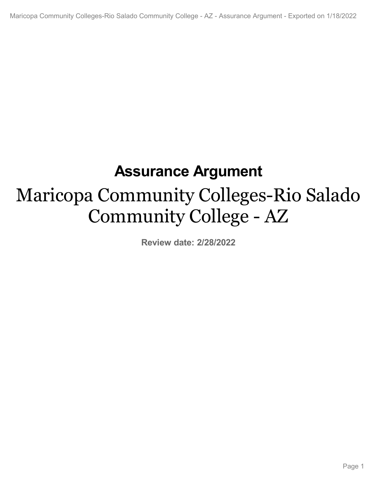# **Assurance Argument**

# Maricopa Community Colleges-Rio Salado Community College - AZ

**Review date: 2/28/2022**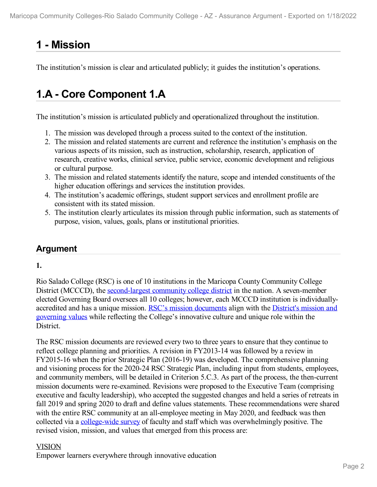# **1 -Mission**

The institution's mission is clear and articulated publicly; it guides the institution's operations.

# **1.A - Core Component 1.A**

The institution's mission is articulated publicly and operationalized throughout the institution.

- 1. The mission was developed through a process suited to the context of the institution.
- 2. The mission and related statements are current and reference the institution's emphasis on the various aspects of its mission, such as instruction, scholarship, research, application of research, creative works, clinical service, public service, economic development and religious or cultural purpose.
- 3. The mission and related statements identify the nature, scope and intended constituents of the higher education offerings and services the institution provides.
- 4. The institution's academic offerings, student support services and enrollment profile are consistent with its stated mission.
- 5. The institution clearly articulates its mission through public information, such as statements of purpose, vision, values, goals, plans or institutional priorities.

# **Argument**

### **1.**

Rio Salado College (RSC) is one of 10 institutions in the Maricopa County Community College District (MCCCD), the [second-largest](file:///D:/evidence/viewfile?fileId=1351711) community college district in the nation. A seven-member elected Governing Board oversees all 10 colleges; however, each MCCCD institution is individuallyaccredited and has a unique mission. RSC's mission [documents](file:///D:/evidence/viewfile?fileid=1351720) align with the District's mission and governing values while reflecting the College's innovative culture and unique role within the District.

The RSC mission documents are reviewed every two to three years to ensure that they continue to reflect college planning and priorities. A revision in FY2013-14 was followed by a review in FY2015-16 when the prior Strategic Plan (2016-19) was developed. The comprehensive planning and visioning process for the 2020-24 RSC Strategic Plan, including input from students, employees, and community members, will be detailed in Criterion 5.C.3. As part of the process, the then-current mission documents were re-examined. Revisions were proposed to the Executive Team (comprising executive and faculty leadership), who accepted the suggested changes and held a series of retreats in fall 2019 and spring 2020 to draft and define values statements. These recommendations were shared with the entire RSC community at an all-employee meeting in May 2020, and feedback was then collected via a [college-wide](file:///D:/evidence/viewfile?fileid=1351713) survey of faculty and staff which was overwhelmingly positive. The revised vision, mission, and values that emerged from this process are:

#### VISION

Empower learners everywhere through innovative education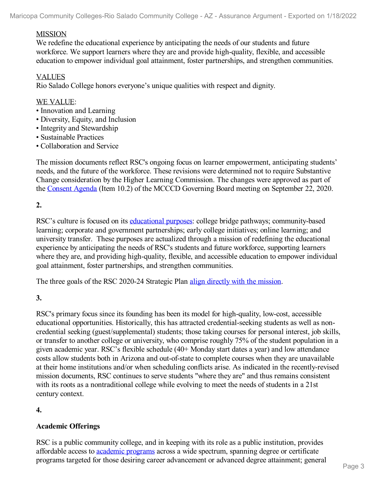#### MISSION

We redefine the educational experience by anticipating the needs of our students and future workforce. We support learners where they are and provide high-quality, flexible, and accessible education to empower individual goal attainment, foster partnerships, and strengthen communities.

#### VALUES

Rio Salado College honors everyone's unique qualities with respect and dignity.

#### WE VALUE:

- Innovation and Learning
- Diversity, Equity, and Inclusion
- Integrity and Stewardship
- Sustainable Practices
- Collaboration and Service

The mission documents reflect RSC's ongoing focus on learner empowerment, anticipating students' needs, and the future of the workforce. These revisions were determined not to require Substantive Change consideration by the Higher Learning Commission. The changes were approved as part of the [Consent](file:///D:/evidence/viewfile?fileId=1351714#page=2) Agenda (Item 10.2) of the MCCCD Governing Board meeting on September 22, 2020.

#### **2.**

RSC's culture is focused on its [educational](file:///D:/evidence/viewfile?fileid=1351710) purposes: college bridge pathways; community-based learning; corporate and government partnerships; early college initiatives; online learning; and university transfer. These purposes are actualized through a mission of redefining the educational experience by anticipating the needs of RSC's students and future workforce, supporting learners where they are, and providing high-quality, flexible, and accessible education to empower individual goal attainment, foster partnerships, and strengthen communities.

The three goals of the RSC 2020-24 Strategic Plan align [directly](file:///D:/evidence/viewfile?fileid=1351715) with the mission.

#### **3.**

RSC's primary focus since its founding has been its model for high-quality, low-cost, accessible educational opportunities. Historically, this has attracted credential-seeking students as well as noncredential seeking (guest/supplemental) students; those taking courses for personal interest, job skills, or transfer to another college or university, who comprise roughly 75% of the student population in a given academic year. RSC's flexible schedule (40+ Monday start dates a year) and low attendance costs allow students both in Arizona and out-of-state to complete courses when they are unavailable at their home institutions and/or when scheduling conflicts arise. As indicated in the recently-revised mission documents, RSC continues to serve students "where they are" and thus remains consistent with its roots as a nontraditional college while evolving to meet the needs of students in a 21st century context.

#### **4.**

#### **Academic Offerings**

RSC is a public community college, and in keeping with its role as a public institution, provides affordable access to academic [programs](file:///D:/evidence/viewfile?fileid=1351718) across a wide spectrum, spanning degree or certificate programs targeted for those desiring career advancement or advanced degree attainment; general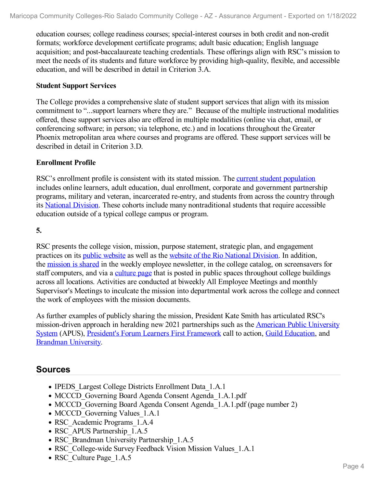education courses; college readiness courses; special-interest courses in both credit and non-credit formats; workforce development certificate programs; adult basic education; English language acquisition; and post-baccalaureate teaching credentials. These offerings align with RSC's mission to meet the needs of its students and future workforce by providing high-quality, flexible, and accessible education, and will be described in detail in Criterion 3.A.

#### **Student Support Services**

The College provides a comprehensive slate of student support services that align with its mission commitment to "...support learners where they are." Because of the multiple instructional modalities offered, these support services also are offered in multiple modalities (online via chat, email, or conferencing software; in person; via telephone, etc.) and in locations throughout the Greater Phoenix metropolitan area where courses and programs are offered. These support services will be described in detail in Criterion 3.D.

#### **Enrollment Profile**

RSC's enrollment profile is consistent with its stated mission. The current student [population](file:///D:/evidence/viewfile?fileid=1351712) includes online learners, adult education, dual enrollment, corporate and government partnership programs, military and veteran, incarcerated re-entry, and students from across the country through its [National](file:///D:/evidence/viewfile?fileid=1351724) Division. These cohorts include many nontraditional students that require accessible education outside of a typical college campus or program.

**5.**

RSC presents the college vision, mission, purpose statement, strategic plan, and engagement practices on its public [website](file:///D:/evidence/viewfile?fileId=1351778) as well as the website of the Rio [National](file:///D:/evidence/viewfile?fileid=1351732) Division. In addition, the [mission](file:///D:/evidence/viewfile?fileid=1351726) is shared in the weekly employee newsletter, in the college catalog, on screensavers for staff computers, and via a [culture](file:///D:/evidence/viewfile?fileid=1351717) page that is posted in public spaces throughout college buildings across all locations. Activities are conducted at biweekly All Employee Meetings and monthly Supervisor's Meetings to inculcate the mission into departmental work across the college and connect the work of employees with the mission documents.

As further examples of publicly sharing the mission, President Kate Smith has articulated RSC's [mission-driven](file:///D:/evidence/viewfile?fileid=1351722) approach in heralding new 2021 partnerships such as the American Public University System (APUS), President's Forum Learners First [Framework](file:///D:/evidence/viewfile?fileid=1351725) call to action, Guild [Education](file:///D:/evidence/viewfile?fileid=1351730), and [Brandman](file:///D:/evidence/viewfile?fileid=1351721) University.

### **Sources**

- IPEDS Largest College Districts Enrollment Data 1.A.1
- MCCCD Governing Board Agenda Consent Agenda 1.A.1.pdf
- MCCCD Governing Board Agenda Consent Agenda 1.A.1.pdf (page number 2)
- MCCCD Governing Values 1.A.1
- RSC\_Academic Programs\_1.A.4
- RSC\_APUS Partnership\_1.A.5
- RSC\_Brandman University Partnership\_1.A.5
- RSC College-wide Survey Feedback Vision Mission Values 1.A.1
- RSC Culture Page 1.A.5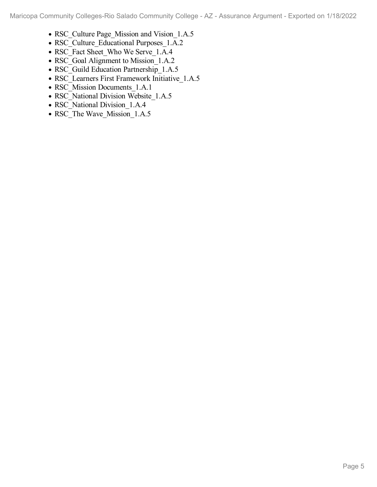- RSC Culture Page Mission and Vision 1.A.5
- RSC\_Culture\_Educational Purposes\_1.A.2
- RSC\_Fact Sheet\_Who We Serve\_1.A.4
- RSC Goal Alignment to Mission 1.A.2
- RSC\_Guild Education Partnership\_1.A.5
- RSC Learners First Framework Initiative 1.A.5
- RSC\_Mission Documents\_1.A.1
- RSC National Division Website 1.A.5
- RSC\_National Division\_1.A.4
- RSC\_The Wave\_Mission\_1.A.5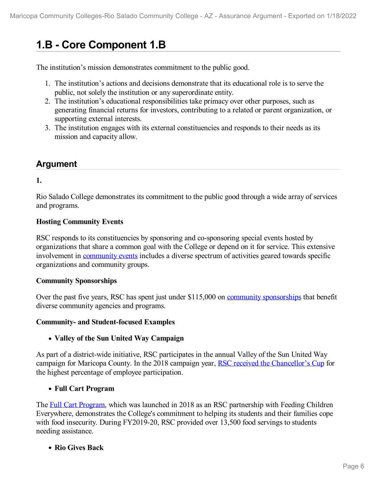# **1.B - Core Component 1.B**

The institution's mission demonstrates commitment to the public good.

- 1. The institution's actions and decisions demonstrate that its educational role is to serve the public, not solely the institution or any superordinate entity.
- 2. The institution's educational responsibilities take primacy over other purposes, such as generating financial returns for investors, contributing to a related or parent organization, or supporting external interests.
- 3. The institution engages with its external constituencies and responds to their needs as its mission and capacity allow.

# **Argument**

#### **1.**

Rio Salado College demonstrates its commitment to the public good through a wide array of services and programs.

#### **Hosting Community Events**

RSC responds to its constituencies by sponsoring and co-sponsoring special events hosted by organizations that share a common goal with the College or depend on it for service. This extensive involvement in [community](file:///D:/evidence/viewfile?fileId=1351815) events includes a diverse spectrum of activities geared towards specific organizations and community groups.

#### **Community Sponsorships**

Over the past five years, RSC has spent just under \$115,000 on community [sponsorships](file:///D:/evidence/viewfile?fileId=1351801) that benefit diverse community agencies and programs.

#### **Community- and Student-focused Examples**

#### **Valley of the Sun United Way Campaign**

As part of a district-wide initiative, RSC participates in the annual Valley of the Sun United Way campaign for Maricopa County. In the 2018 campaign year, RSC received the [Chancellor's](file:///D:/evidence/viewfile?fileId=1351829) Cup for the highest percentage of employee participation.

#### **Full Cart Program**

The Full Cart [Program](file:///D:/evidence/viewfile?fileId=1351821), which was launched in 2018 as an RSC partnership with Feeding Children Everywhere, demonstrates the College's commitment to helping its students and their families cope with food insecurity. During FY2019-20, RSC provided over 13,500 food servings to students needing assistance.

#### **Rio Gives Back**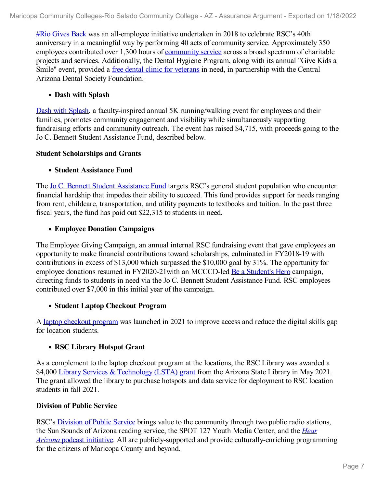#Rio [Gives](file:///D:/evidence/viewfile?fileId=1351816) Back was an all-employee initiative undertaken in 2018 to celebrate RSC's 40th anniversary in a meaningful way by performing 40 acts of community service. Approximately 350 employees contributed over 1,300 hours of [community](file:///D:/evidence/viewfile?fileId=1351814) service across a broad spectrum of charitable projects and services. Additionally, the Dental Hygiene Program, along with its annual "Give Kids a Smile" event, provided a free dental clinic for [veterans](file:///D:/evidence/viewfile?fileId=1351802) in need, in partnership with the Central Arizona Dental Society Foundation.

#### **Dash with Splash**

Dash with [Splash](file:///D:/evidence/viewfile?fileId=1351798), a faculty-inspired annual 5K running/walking event for employees and their families, promotes community engagement and visibility while simultaneously supporting fundraising efforts and community outreach. The event has raised \$4,715, with proceeds going to the Jo C. Bennett Student Assistance Fund, described below.

#### **Student Scholarships and Grants**

#### **Student Assistance Fund**

The Jo C. Bennett Student [Assistance](file:///D:/evidence/viewfile?fileId=1351805) Fund targets RSC's general student population who encounter financial hardship that impedes their ability to succeed. This fund provides support for needs ranging from rent, childcare, transportation, and utility payments to textbooks and tuition. In the past three fiscal years, the fund has paid out \$22,315 to students in need.

#### **Employee Donation Campaigns**

The Employee Giving Campaign, an annual internal RSC fundraising event that gave employees an opportunity to make financial contributions toward scholarships, culminated in FY2018-19 with contributions in excess of \$13,000 which surpassed the \$10,000 goal by 31%. The opportunity for employee donations resumed in FY2020-21 with an MCCCD-led Be a [Student's](file:///D:/evidence/viewfile?fileId=1351839) Hero campaign, directing funds to students in need via the Jo C. Bennett Student Assistance Fund. RSC employees contributed over \$7,000 in this initial year of the campaign.

#### **Student Laptop Checkout Program**

A laptop [checkout](file:///D:/evidence/viewfile?fileid=1351810) program was launched in 2021 to improve access and reduce the digital skills gap for location students.

#### **RSC Library Hotspot Grant**

As a complement to the laptop checkout program at the locations, the RSC Library was awarded a \$4,000 Library Services & [Technology](file:///D:/evidence/viewfile?fileId=1351788#page=2) (LSTA) grant from the Arizona State Library in May 2021. The grant allowed the library to purchase hotspots and data service for deployment to RSC location students in fall 2021.

#### **Division of Public Service**

RSC's [Division](file:///D:/evidence/viewfile?fileid=1351819) of Public Service brings value to the community through two public radio stations, the Sun Sounds of Arizona reading service, the SPOT 127 Youth Media Center, and the *Hear Arizona* podcast initiative. All are publicly-supported and provide [culturally-enriching](file:///D:/evidence/viewfile?fileid=1351790) programming for the citizens of Maricopa County and beyond.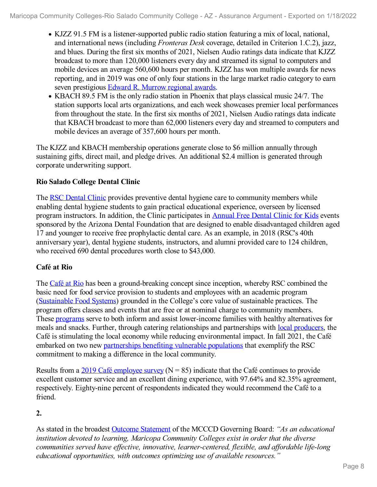- KJZZ 91.5 FM is a listener-supported public radio station featuring a mix of local, national, and international news (including *Fronteras Desk* coverage, detailed in Criterion 1.C.2), jazz, and blues. During the first six months of 2021, Nielsen Audio ratings data indicate that KJZZ broadcast to more than 120,000 listeners every day and streamed its signal to computers and mobile devices an average 560,600 hours per month. KJZZ has won multiple awards for news reporting, and in 2019 was one of only four stations in the large market radio category to earn seven prestigious Edward R. [Murrow](file:///D:/evidence/viewfile?fileid=1351825) regional awards.
- KBACH 89.5 FM is the only radio station in Phoenix that plays classical music 24/7. The station supports local arts organizations, and each week showcases premier local performances from throughout the state. In the first six months of 2021, Nielsen Audio ratings data indicate that KBACH broadcast to more than 62,000 listeners every day and streamed to computers and mobile devices an average of 357,600 hours per month.

The KJZZ and KBACH membership operations generate close to \$6 million annually through sustaining gifts, direct mail, and pledge drives. An additional \$2.4 million is generated through corporate underwriting support.

### **Rio Salado College Dental Clinic**

The RSC [Dental](file:///D:/evidence/viewfile?fileid=1351811) Clinic provides preventive dental hygiene care to community members while enabling dental hygiene students to gain practical educational experience, overseen by licensed program instructors. In addition, the Clinic participates in [Annual](file:///D:/evidence/viewfile?fileid=1351834) Free Dental Clinic for Kids events sponsored by the Arizona Dental Foundation that are designed to enable disadvantaged children aged 17 and younger to receive free prophylactic dental care. As an example, in 2018 (RSC's 40th anniversary year), dental hygiene students, instructors, and alumni provided care to 124 children, who received 690 dental procedures worth close to \$43,000.

### **Café at Rio**

The [Café](file:///D:/evidence/viewfile?fileid=1351807) at Rio has been a ground-breaking concept since inception, whereby RSC combined the basic need for food service provision to students and employees with an academic program ([Sustainable](file:///D:/evidence/viewfile?fileid=1351785) Food Systems) grounded in the College's core value of sustainable practices. The program offers classes and events that are free or at nominal charge to community members. These [programs](file:///D:/evidence/viewfile?fileid=1351786) serve to both inform and assist lower-income families with healthy alternatives for meals and snacks. Further, through catering relationships and partnerships with local [producers](file:///D:/evidence/viewfile?fileid=1351791), the Café is stimulating the local economy while reducing environmental impact. In fall 2021, the Café embarked on two new [partnerships](file:///D:/evidence/viewfile?fileid=1351792) benefiting vulnerable populations that exemplify the RSC commitment to making a difference in the local community.

Results from a 2019 Café [employee](file:///D:/evidence/viewfile?fileid=1351795) survey ( $N = 85$ ) indicate that the Café continues to provide excellent customer service and an excellent dining experience, with 97.64% and 82.35% agreement, respectively. Eighty-nine percent of respondents indicated they would recommend the Café to a friend.

### **2.**

As stated in the broadest Outcome [Statement](file:///D:/evidence/viewfile?fileid=1351813) of the MCCCD Governing Board: *"As an educational institution devoted to learning, Maricopa Community Colleges exist in order that the diverse communities served have ef ective, innovative, learner-centered, flexible, and af ordable life-long educational opportunities, with outcomes optimizing use of available resources."*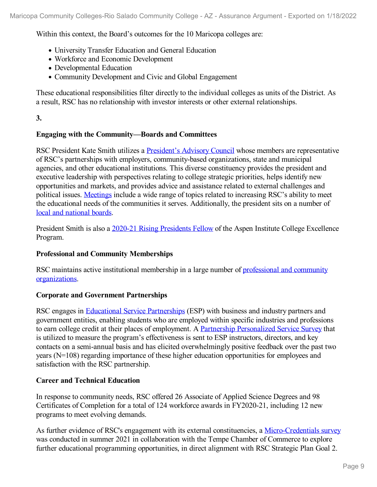Within this context, the Board's outcomes for the 10 Maricopa colleges are:

- University Transfer Education and General Education
- Workforce and Economic Development
- Developmental Education
- Community Development and Civic and Global Engagement

These educational responsibilities filter directly to the individual colleges as units of the District. As a result, RSC has no relationship with investor interests or other external relationships.

#### **3.**

#### **Engaging with the Community—Boards and Committees**

RSC President Kate Smith utilizes a [President's](file:///D:/evidence/viewfile?fileId=1353059) Advisory Council whose members are representative of RSC's partnerships with employers, community-based organizations, state and municipal agencies, and other educational institutions. This diverse constituency provides the president and executive leadership with perspectives relating to college strategic priorities, helps identify new opportunities and markets, and provides advice and assistance related to external challenges and political issues. [Meetings](file:///D:/evidence/viewfile?fileid=1351818) include a wide range of topics related to increasing RSC's ability to meet the educational needs of the communities it serves. Additionally, the president sits on a number of local and [national](file:///D:/evidence/viewfile?fileid=1351822) boards.

President Smith is also a 2020-21 Rising [Presidents](file:///D:/evidence/viewfile?fileid=1351783) Fellow of the Aspen Institute College Excellence Program.

#### **Professional and Community Memberships**

RSC maintains active institutional membership in a large number of professional and community [organizations.](file:///D:/evidence/viewfile?fileid=1351797)

#### **Corporate and Government Partnerships**

RSC engages in Educational Service [Partnerships](file:///D:/evidence/viewfile?fileid=1351789) (ESP) with business and industry partners and government entities, enabling students who are employed within specific industries and professions to earn college credit at their places of employment. A Partnership [Personalized](file:///D:/evidence/viewfile?fileid=1351833) Service Survey that is utilized to measure the program's effectiveness is sent to ESP instructors, directors, and key contacts on a semi-annual basis and has elicited overwhelmingly positive feedback over the past two years (N=108) regarding importance of these higher education opportunities for employees and satisfaction with the RSC partnership.

#### **Career and Technical Education**

In response to community needs, RSC offered 26 Associate of Applied Science Degrees and 98 Certificates of Completion for a total of 124 workforce awards in FY2020-21, including 12 new programs to meet evolving demands.

As further evidence of RSC's engagement with its external constituencies, a [Micro-Credentials](file:///D:/evidence/viewfile?fileid=1351794) survey was conducted in summer 2021 in collaboration with the Tempe Chamber of Commerce to explore further educational programming opportunities, in direct alignment with RSC Strategic Plan Goal 2.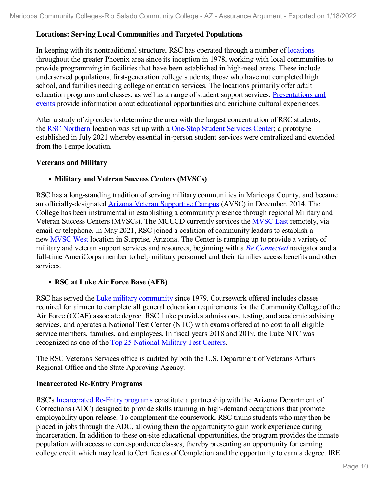#### **Locations: Serving Local Communities and Targeted Populations**

In keeping with its nontraditional structure, RSC has operated through a number of <u>[locations](file:///D:/evidence/viewfile?fileid=1351799)</u> throughout the greater Phoenix area since its inception in 1978, working with local communities to provide programming in facilities that have been established in high-need areas. These include underserved populations, first-generation college students, those who have not completed high school, and families needing college orientation services. The locations primarily offer adult education programs and classes, as well as a range of student support services. [Presentations](file:///D:/evidence/viewfile?fileid=1351809) and events provide information about educational opportunities and enriching cultural experiences.

After a study of zip codes to determine the area with the largest concentration of RSC students, the RSC [Northern](file:///D:/evidence/viewfile?fileid=1351827) location was set up with a [One-Stop](file:///D:/evidence/viewfile?fileid=1351782) Student Services Center; a prototype established in July 2021 whereby essential in-person student services were centralized and extended from the Tempe location.

#### **Veterans and Military**

#### **Military and Veteran Success Centers (MVSCs)**

RSC has a long-standing tradition of serving military communities in Maricopa County, and became an officially-designated Arizona Veteran [Supportive](file:///D:/evidence/viewfile?fileid=1351793) Campus (AVSC) in December, 2014. The College has been instrumental in establishing a community presence through regional Military and Veteran Success Centers (MVSCs). The MCCCD currently services the [MVSC](file:///D:/evidence/viewfile?fileid=1351806) East remotely, via email or telephone. In May 2021, RSC joined a coalition of community leaders to establish a new [MVSC](file:///D:/evidence/viewfile?fileid=1351826) West location in Surprise, Arizona. The Center is ramping up to provide a variety of military and veteran support services and resources, beginning with a *Be [Connected](file:///D:/evidence/viewfile?fileid=1351796)* navigator and a full-time AmeriCorps member to help military personnel and their families access benefits and other services.

#### **RSC at Luke Air Force Base (AFB)**

RSC has served the Luke military [community](file:///D:/evidence/viewfile?fileid=1351781) since 1979. Coursework offered includes classes required for airmen to complete all general education requirements for the Community College of the Air Force (CCAF) associate degree. RSC Luke provides admissions, testing, and academic advising services, and operates a National Test Center (NTC) with exams offered at no cost to all eligible service members, families, and employees. In fiscal years 2018 and 2019, the Luke NTC was recognized as one of the Top 25 [National](file:///D:/evidence/viewfile?fileid=1351820) Military Test Centers.

The RSC Veterans Services office is audited by both the U.S. Department of Veterans Affairs Regional Office and the State Approving Agency.

#### **Incarcerated Re-Entry Programs**

RSC's [Incarcerated](file:///D:/evidence/viewfile?fileid=1351780) Re-Entry programs constitute a partnership with the Arizona Department of Corrections (ADC) designed to provide skills training in high-demand occupations that promote employability upon release. To complement the coursework, RSC trains students who may then be placed in jobs through the ADC, allowing them the opportunity to gain work experience during incarceration. In addition to these on-site educational opportunities, the program provides the inmate population with access to correspondence classes, thereby presenting an opportunity for earning college credit which may lead to Certificates of Completion and the opportunity to earn a degree. IRE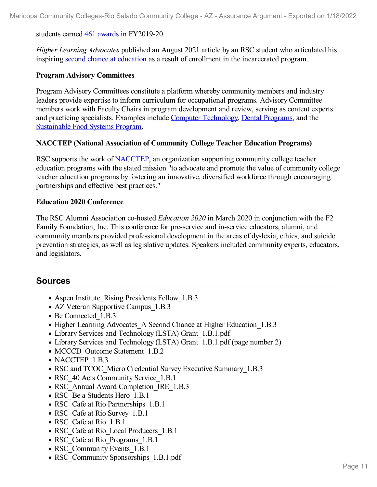students earned 461 [awards](file:///D:/evidence/viewfile?fileid=1351808) in FY2019-20.

*Higher Learning Advocates* published an August 2021 article by an RSC student who articulated his inspiring second chance at [education](file:///D:/evidence/viewfile?fileid=1351817) as a result of enrollment in the incarcerated program.

#### **Program Advisory Committees**

Program Advisory Committees constitute a platform whereby community members and industry leaders provide expertise to inform curriculum for occupational programs. Advisory Committee members work with Faculty Chairs in program development and review, serving as content experts and practicing specialists. Examples include Computer [Technology](file:///D:/evidence/viewfile?fileid=1351832), Dental [Programs](file:///D:/evidence/viewfile?fileid=1351800), and the [Sustainable](file:///D:/evidence/viewfile?fileid=1351803) Food Systems Program.

#### **NACCTEP (National Association of Community College Teacher Education Programs)**

RSC supports the work of [NACCTEP,](file:///D:/evidence/viewfile?fileid=1351784) an organization supporting community college teacher education programs with the stated mission "to advocate and promote the value of community college teacher education programs by fostering an innovative, diversified workforce through encouraging partnerships and effective best practices."

#### **Education 2020 Conference**

The RSC Alumni Association co-hosted *Education 2020* in March 2020 in conjunction with the F2 Family Foundation, Inc. This conference for pre-service and in-service educators, alumni, and community members provided professional development in the areas of dyslexia, ethics, and suicide prevention strategies, as well as legislative updates. Speakers included community experts, educators, and legislators.

### **Sources**

- Aspen Institute Rising Presidents Fellow 1.B.3
- AZ Veteran Supportive Campus 1.B.3
- Be Connected 1.B.3
- Higher Learning Advocates A Second Chance at Higher Education 1.B.3
- Library Services and Technology (LSTA) Grant 1.B.1.pdf
- Library Services and Technology (LSTA) Grant 1.B.1.pdf (page number 2)
- MCCCD Outcome Statement 1.B.2
- NACCTEP 1.B.3
- RSC and TCOC\_Micro Credential Survey Executive Summary 1.B.3
- RSC 40 Acts Community Service 1.B.1
- RSC\_Annual Award Completion\_IRE\_1.B.3
- RSC Be a Students Hero 1.B.1
- RSC Cafe at Rio Partnerships 1.B.1
- RSC Cafe at Rio Survey 1.B.1
- RSC Cafe at Rio 1.B.1
- RSC\_Cafe at Rio\_Local Producers\_1.B.1
- RSC Cafe at Rio Programs 1.B.1
- RSC Community Events 1.B.1
- RSC Community Sponsorships 1.B.1.pdf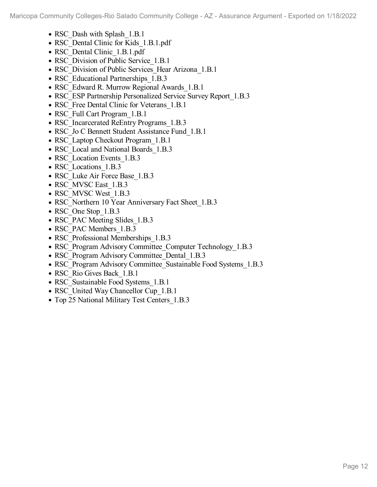- RSC\_Dash with Splash\_1.B.1
- RSC Dental Clinic for Kids 1.B.1.pdf
- RSC Dental Clinic 1.B.1.pdf
- RSC Division of Public Service 1.B.1
- RSC Division of Public Services Hear Arizona 1.B.1
- RSC Educational Partnerships 1.B.3
- RSC\_Edward R. Murrow Regional Awards\_1.B.1
- RSC ESP Partnership Personalized Service Survey Report 1.B.3
- RSC Free Dental Clinic for Veterans 1.B.1
- RSC Full Cart Program 1.B.1
- RSC Incarcerated ReEntry Programs 1.B.3
- RSC Jo C Bennett Student Assistance Fund 1.B.1
- RSC Laptop Checkout Program 1.B.1
- RSC Local and National Boards 1.B.3
- RSC Location Events 1.B.3
- RSC Locations 1.B.3
- RSC Luke Air Force Base 1.B.3
- RSC\_MVSC East\_1.B.3
- RSC MVSC West 1.B.3
- RSC\_Northern 10 Year Anniversary Fact Sheet 1.B.3
- RSC One Stop 1.B.3
- RSC\_PAC Meeting Slides 1.B.3
- RSC\_PAC Members\_1.B.3
- RSC Professional Memberships 1.B.3
- RSC Program Advisory Committee Computer Technology 1.B.3
- RSC Program Advisory Committee Dental 1.B.3
- RSC Program Advisory Committee Sustainable Food Systems 1.B.3
- RSC Rio Gives Back 1.B.1
- RSC Sustainable Food Systems 1.B.1
- RSC United Way Chancellor Cup 1.B.1
- Top 25 National Military Test Centers 1.B.3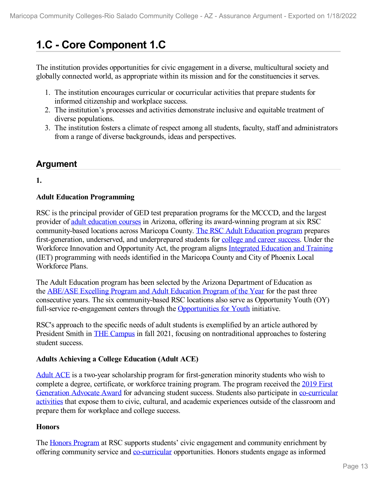# **1.C - Core Component 1.C**

The institution provides opportunities for civic engagement in a diverse, multicultural society and globally connected world, as appropriate within its mission and for the constituencies it serves.

- 1. The institution encourages curricular or cocurricular activities that prepare students for informed citizenship and workplace success.
- 2. The institution's processes and activities demonstrate inclusive and equitable treatment of diverse populations.
- 3. The institution fosters a climate of respect among all students, faculty, staff and administrators from a range of diverse backgrounds, ideas and perspectives.

# **Argument**

**1.**

### **Adult Education Programming**

RSC is the principal provider of GED test preparation programs for the MCCCD, and the largest provider of adult [education](file:///D:/evidence/viewfile?fileId=1351997) courses in Arizona, offering its award-winning program at six RSC community-based locations across Maricopa County. The RSC Adult [Education](file:///D:/evidence/viewfile?fileId=1351999) program prepares first-generation, underserved, and underprepared students for college and career [success](file:///D:/evidence/viewfile?fileid=1351988). Under the Workforce Innovation and Opportunity Act, the program aligns [Integrated](file:///D:/evidence/viewfile?fileid=1351953) Education and Training (IET) programming with needs identified in the Maricopa County and City of Phoenix Local Workforce Plans.

The Adult Education program has been selected by the Arizona Department of Education as the [ABE/ASE](file:///D:/evidence/viewfile?fileid=1351902) Excelling Program and Adult Education Program of the Year for the past three consecutive years. The six community-based RSC locations also serve as Opportunity Youth (OY) full-service re-engagement centers through the [Opportunities](file:///D:/evidence/viewfile?fileId=1352002) for Youth initiative.

RSC's approach to the specific needs of adult students is exemplified by an article authored by President Smith in THE [Campus](file:///D:/evidence/viewfile?fileId=1351995) in fall 2021, focusing on nontraditional approaches to fostering student success.

#### **Adults Achieving a College Education (Adult ACE)**

[Adult](file:///D:/evidence/viewfile?fileid=1351893) ACE is a two-year scholarship program for first-generation minority students who wish to complete a degree, [certificate,](file:///D:/evidence/viewfile?fileId=1352008) or workforce training program. The program received the 2019 First Generation Advocate Award for advancing student success. Students also participate in [co-curricular](file:///D:/evidence/viewfile?fileid=1352000) activities that expose them to civic, cultural, and academic experiences outside of the classroom and prepare them for workplace and college success.

#### **Honors**

The Honors [Program](file:///D:/evidence/viewfile?fileid=1351954) at RSC supports students' civic engagement and community enrichment by offering community service and [co-curricular](file:///D:/evidence/viewfile?fileid=1351956) opportunities. Honors students engage as informed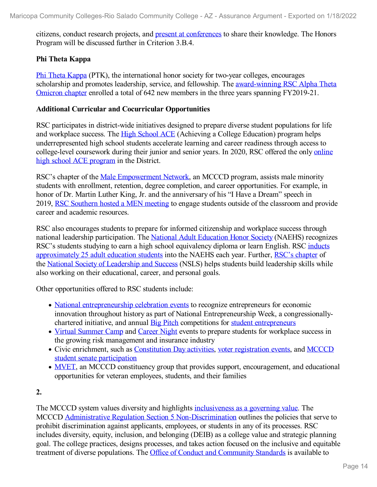citizens, conduct research projects, and present at [conferences](file:///D:/evidence/viewfile?fileid=1351984) to share their knowledge. The Honors Program will be discussed further in Criterion 3.B.4.

#### **Phi Theta Kappa**

Phi Theta [Kappa](file:///D:/evidence/viewfile?fileid=1351978) (PTK), the international honor society for two-year colleges, encourages scholarship and promotes leadership, service, and fellowship. The **[award-winning](file:///D:/evidence/viewfile?fileid=1351976) RSC Alpha Theta** Omicron chapter enrolled a total of 642 new members in the three years spanning FY2019-21.

#### **Additional Curricular and Cocurricular Opportunities**

RSC participates in district-wide initiatives designed to prepare diverse student populations for life and workplace success. The High [School](file:///D:/evidence/viewfile?fileid=1351949) ACE (Achieving a College Education) program helps underrepresented high school students accelerate learning and career readiness through access to [college-level](file:///D:/evidence/viewfile?fileid=1351898) coursework during their junior and senior years. In 2020, RSC offered the only online high school ACE program in the District.

RSC's chapter of the Male [Empowerment](file:///D:/evidence/viewfile?fileid=1351957) Network, an MCCCD program, assists male minority students with enrollment, retention, degree completion, and career opportunities. For example, in honor of Dr. Martin Luther King, Jr. and the anniversary of his "I Have a Dream" speech in 2019, RSC [Southern](file:///D:/evidence/viewfile?fileid=1351966) hosted a MEN meeting to engage students outside of the classroom and provide career and academic resources.

RSC also encourages students to prepare for informed citizenship and workplace success through national leadership participation. The National Adult [Education](file:///D:/evidence/viewfile?fileid=1351890) Honor Society (NAEHS) recognizes RSC's students studying to earn a high school equivalency diploma or learn English. RSC inducts [approximately](file:///D:/evidence/viewfile?fileid=1351973) 25 adult education students into the NAEHS each year. Further, RSC's [chapter](file:///D:/evidence/viewfile?fileid=1351963) of the National Society of [Leadership](file:///D:/evidence/viewfile?fileid=1351967) and Success (NSLS) helps students build leadership skills while also working on their educational, career, and personal goals.

Other opportunities offered to RSC students include:

- National [entrepreneurship](file:///D:/evidence/viewfile?fileId=1351969#page=3) celebration events to recognize entrepreneurs for economic innovation throughout history as part of National Entrepreneurship Week, a congressionallychartered initiative, and annual Big [Pitch](file:///D:/evidence/viewfile?fileid=1351931) competitions for student [entrepreneurs](file:///D:/evidence/viewfile?fileid=1351991)
- Virtual [Summer](file:///D:/evidence/viewfile?fileid=1351985) Camp and [Career](file:///D:/evidence/viewfile?fileid=1351979) Night events to prepare students for workplace success in the growing risk management and insurance industry
- Civic enrichment, such as [Constitution](file:///D:/evidence/viewfile?fileid=1351886) Day activities, voter [registration](file:///D:/evidence/viewfile?fileId=1351989) events, and MCCCD student senate participation
- [MVET,](file:///D:/evidence/viewfile?fileid=1351970) an MCCCD constituency group that provides support, encouragement, and educational opportunities for veteran employees, students, and their families

#### **2.**

The MCCCD system values diversity and highlights [inclusiveness](file:///D:/evidence/viewfile?fileid=1351884) as a governing value. The MCCCD Administrative Regulation Section 5 [Non-Discrimination](file:///D:/evidence/viewfile?fileid=1351870) outlines the policies that serve to prohibit discrimination against applicants, employees, or students in any of its processes. RSC includes diversity, equity, inclusion, and belonging (DEIB) as a college value and strategic planning goal. The college practices, designs processes, and takes action focused on the inclusive and equitable treatment of diverse populations. The Office of Conduct and [Community](file:///D:/evidence/viewfile?fileid=1351938) Standards is available to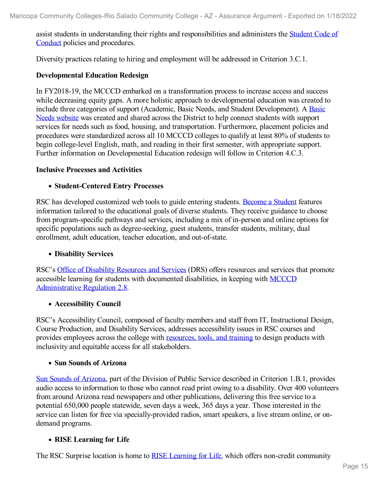assist students in understanding their rights and [responsibilities](file:///D:/evidence/viewfile?fileid=1351905) and administers the Student Code of Conduct policies and procedures.

Diversity practices relating to hiring and employment will be addressed in Criterion 3.C.1.

#### **Developmental Education Redesign**

In FY2018-19, the MCCCD embarked on a transformation process to increase access and success while decreasing equity gaps. A more holistic approach to developmental education was created to include three categories of support (Academic, Basic Needs, and Student [Development\).](file:///D:/evidence/viewfile?fileid=1351887) A Basic Needs website was created and shared across the District to help connect students with support services for needs such as food, housing, and transportation. Furthermore, placement policies and procedures were standardized across all 10 MCCCD colleges to qualify at least 80% of students to begin college-level English, math, and reading in their first semester, with appropriate support. Further information on Developmental Education redesign will follow in Criterion 4.C.3.

#### **Inclusive Processes and Activities**

#### **Student-Centered Entry Processes**

RSC has developed customized web tools to guide entering students. [Become](file:///D:/evidence/viewfile?fileid=1351929) a Student features information tailored to the educational goals of diverse students. They receive guidance to choose from program-specific pathways and services, including a mix of in-person and online options for specific populations such as degree-seeking, guest students, transfer students, military, dual enrollment, adult education, teacher education, and out-of-state.

#### **Disability Services**

RSC's Office of Disability [Resources](file:///D:/evidence/viewfile?fileid=1351975) and Services (DRS) offers resources and services that promote accessible learning for students with documented disabilities, in keeping with MCCCD [Administrative](file:///D:/evidence/viewfile?fileid=1351904) Regulation 2.8.

#### **Accessibility Council**

RSC's Accessibility Council, composed of faculty members and staff from IT, Instructional Design, Course Production, and Disability Services, addresses accessibility issues in RSC courses and provides employees across the college with [resources,](file:///D:/evidence/viewfile?fileid=1351900) tools, and training to design products with inclusivity and equitable access for all stakeholders.

#### **Sun Sounds of Arizona**

Sun Sounds of [Arizona](file:///D:/evidence/viewfile?fileid=1351994), part of the Division of Public Service described in Criterion 1.B.1, provides audio access to information to those who cannot read print owing to a disability. Over 400 volunteers from around Arizona read newspapers and other publications, delivering this free service to a potential 650,000 people statewide, seven days a week, 365 days a year. Those interested in the service can listen for free via specially-provided radios, smart speakers, a live stream online, or on demand programs.

#### **RISE Learning for Life**

The RSC Surprise location is home to RISE [Learning](file:///D:/evidence/viewfile?fileid=1352003) for Life, which offers non-credit community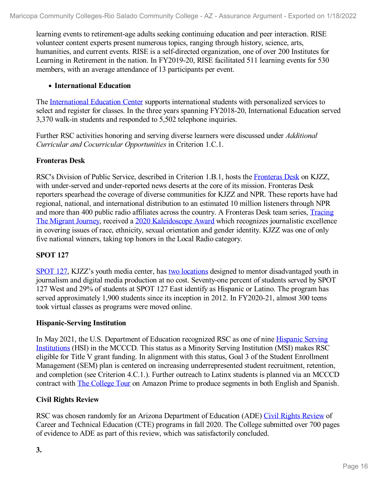learning events to retirement-age adults seeking continuing education and peer interaction. RISE volunteer content experts present numerous topics, ranging through history, science, arts, humanities, and current events. RISE is a self-directed organization, one of over 200 Institutes for Learning in Retirement in the nation. In FY2019-20, RISE facilitated 511 learning events for 530 members, with an average attendance of 13 participants per event.

#### **International Education**

The [International](file:///D:/evidence/viewfile?fileid=1351958) Education Center supports international students with personalized services to select and register for classes. In the three years spanning FY2018-20, International Education served 3,370 walk-in students and responded to 5,502 telephone inquiries.

Further RSC activities honoring and serving diverse learners were discussed under *Additional Curricular and Cocurricular Opportunities* in Criterion 1.C.1.

#### **Fronteras Desk**

RSC's Division of Public Service, described in Criterion 1.B.1, hosts the [Fronteras](file:///D:/evidence/viewfile?fileid=1351881) Desk on KJZZ, with under-served and under-reported news deserts at the core of its mission. Fronteras Desk reporters spearhead the coverage of diverse communities for KJZZ and NPR. These reports have had regional, national, and international distribution to an estimated 10 million listeners through NPR and more than 400 public radio affiliates across the country. A Fronteras Desk team series, Tracing The Migrant Journey, received a 2020 [Kaleidoscope](file:///D:/evidence/viewfile?fileid=1351901) Award which recognizes journalistic excellence in covering issues of race, ethnicity, sexual orientation and gender identity. KJZZ was one of only five national winners, taking top honors in the Local Radio category.

#### **SPOT 127**

[SPOT](file:///D:/evidence/viewfile?fileid=1351889) 127, KJZZ's youth media center, has two [locations](file:///D:/evidence/viewfile?fileid=1351885) designed to mentor disadvantaged youth in journalism and digital media production at no cost. Seventy-one percent of students served by SPOT 127 West and 29% of students at SPOT 127 East identify as Hispanic or Latino. The program has served approximately 1,900 students since its inception in 2012. In FY2020-21, almost 300 teens took virtual classes as programs were moved online.

#### **Hispanic-Serving Institution**

In May 2021, the U.S. [Department](file:///D:/evidence/viewfile?fileid=1351903) of Education recognized RSC as one of nine Hispanic Serving Institutions (HSI) in the MCCCD. This status as a Minority Serving Institution (MSI) makes RSC eligible for Title V grant funding. In alignment with this status, Goal 3 of the Student Enrollment Management (SEM) plan is centered on increasing underrepresented student recruitment, retention, and completion (see Criterion 4.C.1.). Further outreach to Latinx students is planned via an MCCCD contract with The [College](file:///D:/evidence/viewfile?fileid=1351882) Tour on Amazon Prime to produce segments in both English and Spanish.

#### **Civil Rights Review**

RSC was chosen randomly for an Arizona Department of Education (ADE) Civil Rights [Review](file:///D:/evidence/viewfile?fileid=1351879) of Career and Technical Education (CTE) programs in fall 2020. The College submitted over 700 pages of evidence to ADE as part of this review, which was satisfactorily concluded.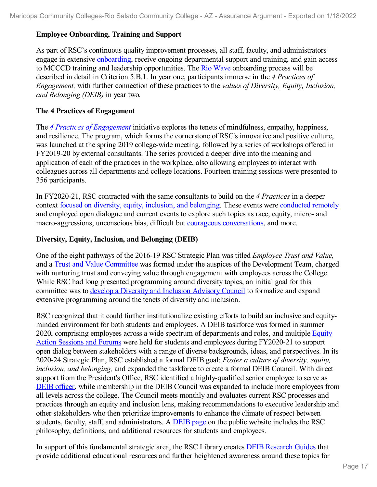#### **Employee Onboarding, Training and Support**

As part of RSC's continuous quality improvement processes, all staff, faculty, and administrators engage in extensive [onboarding](file:///D:/evidence/viewfile?fileid=1351982), receive ongoing departmental support and training, and gain access to MCCCD training and leadership opportunities. The Rio [Wave](file:///D:/evidence/viewfile?fileid=1351977) onboarding process will be described in detail in Criterion 5.B.1. In year one, participants immerse in the *4 Practices of Engagement,* with further connection of these practices to the *values of Diversity, Equity, Inclusion, and Belonging (DEIB)* in year two*.*

#### **The 4 Practices of Engagement**

The *4 Practices of [Engagement](file:///D:/evidence/viewfile?fileId=1352066)* initiative explores the tenets of mindfulness, empathy, happiness, and resilience. The program, which forms the cornerstone of RSC's innovative and positive culture, was launched at the spring 2019 college-wide meeting, followed by a series of workshops offered in FY2019-20 by external consultants. The series provided a deeper dive into the meaning and application of each of the practices in the workplace, also allowing employees to interact with colleagues across all departments and college locations. Fourteen training sessions were presented to 356 participants.

In FY2020-21, RSC contracted with the same consultants to build on the *4 Practices* in a deeper context focused on diversity, equity, [inclusion,](file:///D:/evidence/viewfile?fileid=1351897) and belonging. These events were [conducted](file:///D:/evidence/viewfile?fileid=1351940) remotely and employed open dialogue and current events to explore such topics as race, equity, micro- and macro-aggressions, unconscious bias, difficult but courageous [conversations,](file:///D:/evidence/viewfile?fileid=1351872) and more.

#### **Diversity, Equity, Inclusion, and Belonging (DEIB)**

One of the eight pathways of the 2016-19 RSC Strategic Plan was titled *Employee Trust and Value,* and a Trust and Value [Committee](file:///D:/evidence/viewfile?fileid=1351983) was formed under the auspices of the Development Team, charged with nurturing trust and conveying value through engagement with employees across the College. While RSC had long presented programming around diversity topics, an initial goal for this committee was to develop a Diversity and [Inclusion](file:///D:/evidence/viewfile?fileId=1351952#page=2) Advisory Council to formalize and expand extensive programming around the tenets of diversity and inclusion.

RSC recognized that it could further institutionalize existing efforts to build an inclusive and equity minded environment for both students and employees. A DEIB taskforce was formed in summer 2020, comprising employees across a wide spectrum of [departments](file:///D:/evidence/viewfile?fileid=1351936) and roles, and multiple Equity Action Sessions and Forums were held for students and employees during FY2020-21 to support open dialog between stakeholders with a range of diverse backgrounds, ideas, and perspectives. In its 2020-24 Strategic Plan, RSC established a formal DEIB goal: *Foster a culture of diversity, equity, inclusion, and belonging,* and expanded the taskforce to create a formal DEIB Council. With direct support from the President's Office, RSC identified a highly-qualified senior employee to serve as DEIB [officer](file:///D:/evidence/viewfile?fileid=1351955), while membership in the DEIB Council was expanded to include more employees from all levels across the college. The Council meets monthly and evaluates current RSC processes and practices through an equity and inclusion lens, making recommendations to executive leadership and other stakeholders who then prioritize improvements to enhance the climate of respect between students, faculty, staff, and administrators. A [DEIB](file:///D:/evidence/viewfile?fileid=1351943) page on the public website includes the RSC philosophy, definitions, and additional resources for students and employees.

In support of this fundamental strategic area, the RSC Library creates **DEIB [Research](file:///D:/evidence/viewfile?fileid=1351944) Guides** that provide additional educational resources and further heightened awareness around these topics for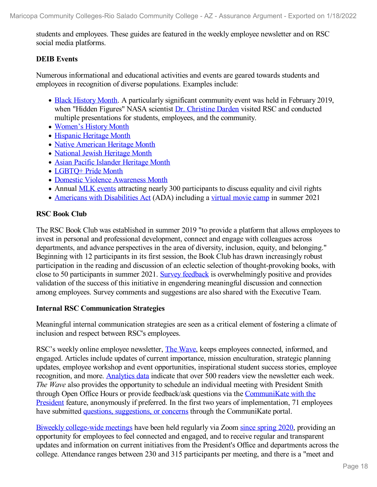students and employees. These guides are featured in the weekly employee newsletter and on RSC social media platforms.

#### **DEIB Events**

Numerous informational and educational activities and events are geared towards students and employees in recognition of diverse populations. Examples include:

- Black [History](file:///D:/evidence/viewfile?fileid=1351928) Month. A particularly significant community event was held in February 2019, when "Hidden Figures" NASA scientist Dr. [Christine](file:///D:/evidence/viewfile?fileid=1351951) Darden visited RSC and conducted multiple presentations for students, employees, and the community.
- [Women's](file:///D:/evidence/viewfile?fileId=1351986) History Month
- [Hispanic](file:///D:/evidence/viewfile?fileid=1351950) Heritage Month
- Native [American](file:///D:/evidence/viewfile?fileid=1351972) Heritage Month
- National Jewish [Heritage](file:///D:/evidence/viewfile?fileId=1351968) Month
- Asian Pacific Islander [Heritage](file:///D:/evidence/viewfile?fileid=1351899) Month
- [LGBTQ+](file:///D:/evidence/viewfile?fileid=1351965) Pride Month
- Domestic Violence [Awareness](file:///D:/evidence/viewfile?fileid=1351947) Month
- Annual MLK [events](file:///D:/evidence/viewfile?fileid=1351962) attracting nearly 300 participants to discuss equality and civil rights
- Americans with [Disabilities](file:///D:/evidence/viewfile?fileid=1351896) Act (ADA) including a [virtual](file:///D:/evidence/viewfile?fileid=1351980) movie camp in summer 2021

#### **RSC Book Club**

The RSC Book Club was established in summer 2019 "to provide a platform that allows employees to invest in personal and professional development, connect and engage with colleagues across departments, and advance perspectives in the area of diversity, inclusion, equity, and belonging." Beginning with 12 participants in its first session, the Book Club has drawn increasingly robust participation in the reading and discussion of an eclectic selection of thought-provoking books, with close to 50 participants in summer 2021. Survey [feedback](file:///D:/evidence/viewfile?fileid=1351961) is overwhelmingly positive and provides validation of the success of this initiative in engendering meaningful discussion and connection among employees. Survey comments and suggestions are also shared with the Executive Team.

#### **Internal RSC Communication Strategies**

Meaningful internal communication strategies are seen as a critical element of fostering a climate of inclusion and respect between RSC's employees.

RSC's weekly online employee newsletter, The [Wave](file:///D:/evidence/viewfile?fileid=1351993), keeps employees connected, informed, and engaged. Articles include updates of current importance, mission enculturation, strategic planning updates, employee workshop and event opportunities, inspirational student success stories, employee recognition, and more. [Analytics](file:///D:/evidence/viewfile?fileid=1351981) data indicate that over 500 readers view the newsletter each week. *The Wave* also provides the opportunity to schedule an individual meeting with President Smith through Open Office Hours or provide feedback/ask questions via the CommuniKate with the President feature, anonymously if preferred. In the first two years of [implementation,](file:///D:/evidence/viewfile?fileid=1351933) 71 employees have submitted questions, [suggestions,](file:///D:/evidence/viewfile?fileid=1351932) or concerns through the CommuniKate portal.

Biweekly [college-wide](file:///D:/evidence/viewfile?fileid=1351939) meetings have been held regularly via Zoom since [spring](file:///D:/evidence/viewfile?fileid=1351927) 2020, providing an opportunity for employees to feel connected and engaged, and to receive regular and transparent updates and information on current initiatives from the President's Office and departments across the college. Attendance ranges between 230 and 315 participants per meeting, and there is a "meet and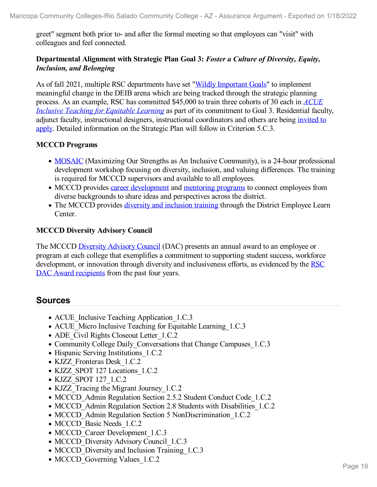greet" segment both prior to- and after the formal meeting so that employees can "visit" with colleagues and feel connected.

#### **Departmental Alignment with Strategic Plan Goal 3:** *Foster a Culture of Diversity, Equity, Inclusion, and Belonging*

As of fall 2021, multiple RSC departments have set "Wildly [Important](file:///D:/evidence/viewfile?fileid=1351891) Goals" to implement meaningful change in the DEIB arena which are being tracked through the strategic planning process. As an example, RSC has committed \$45,000 to train three cohorts of 30 each in *ACUE Inclusive Teaching for Equitable Learning* as part of its [commitment](file:///D:/evidence/viewfile?fileid=1351873) to Goal 3. Residential faculty, adjunct faculty, [instructional](file:///D:/evidence/viewfile?fileid=1351874) designers, instructional coordinators and others are being invited to apply. Detailed information on the Strategic Plan will follow in Criterion 5.C.3.

#### **MCCCD Programs**

- [MOSAIC](file:///D:/evidence/viewfile?fileId=1352109) (Maximizing Our Strengths as An Inclusive Community), is a 24-hour professional development workshop focusing on diversity, inclusion, and valuing differences. The training is required for MCCCD supervisors and available to all employees.
- MCCCD provides career [development](file:///D:/evidence/viewfile?fileid=1351869) and [mentoring](file:///D:/evidence/viewfile?fileid=1351880) programs to connect employees from diverse backgrounds to share ideas and perspectives across the district.
- The MCCCD provides diversity and [inclusion](file:///D:/evidence/viewfile?fileid=1351892) training through the District Employee Learn Center.

#### **MCCCD Diversity Advisory Council**

The MCCCD [Diversity](file:///D:/evidence/viewfile?fileid=1351871) Advisory Council (DAC) presents an annual award to an employee or program at each college that exemplifies a commitment to supporting student success, workforce [development,](file:///D:/evidence/viewfile?fileid=1351930) or innovation through diversity and inclusiveness efforts, as evidenced by the RSC DAC Award recipients from the past four years.

#### **Sources**

- ACUE Inclusive Teaching Application 1.C.3
- ACUE Micro Inclusive Teaching for Equitable Learning 1.C.3
- ADE Civil Rights Closeout Letter 1.C.2
- Community College Daily Conversations that Change Campuses 1.C.3
- Hispanic Serving Institutions 1.C.2
- KJZZ Fronteras Desk 1.C.2
- KJZZ SPOT 127 Locations 1.C.2
- KJZZ SPOT 127 1.C.2
- KJZZ Tracing the Migrant Journey 1.C.2
- MCCCD Admin Regulation Section 2.5.2 Student Conduct Code 1.C.2
- MCCCD Admin Regulation Section 2.8 Students with Disabilities 1.C.2
- MCCCD Admin Regulation Section 5 NonDiscrimination 1.C.2
- MCCCD Basic Needs 1.C.2
- MCCCD Career Development 1.C.3
- MCCCD Diversity Advisory Council 1.C.3
- MCCCD Diversity and Inclusion Training 1.C.3
- MCCCD Governing Values 1.C.2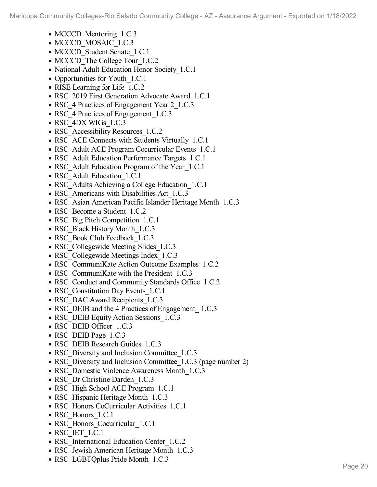- MCCCD Mentoring 1.C.3
- MCCCD MOSAIC 1.C.3
- MCCCD Student Senate 1.C.1
- MCCCD The College Tour 1.C.2
- National Adult Education Honor Society 1.C.1
- Opportunities for Youth 1.C.1
- RISE Learning for Life 1.C.2
- RSC 2019 First Generation Advocate Award 1.C.1
- RSC 4 Practices of Engagement Year 2 1.C.3
- RSC 4 Practices of Engagement 1.C.3
- RSC 4DX WIGs 1.C.3
- RSC Accessibility Resources 1.C.2
- RSC\_ACE Connects with Students Virtually 1.C.1
- RSC Adult ACE Program Cocurricular Events 1.C.1
- RSC Adult Education Performance Targets 1.C.1
- RSC Adult Education Program of the Year 1.C.1
- RSC Adult Education 1.C.1
- RSC Adults Achieving a College Education 1.C.1
- RSC Americans with Disabilities Act 1.C.3
- RSC Asian American Pacific Islander Heritage Month 1.C.3
- RSC Become a Student 1.C.2
- RSC Big Pitch Competition 1.C.1
- RSC Black History Month 1.C.3
- RSC\_Book Club Feedback\_1.C.3
- RSC Collegewide Meeting Slides 1.C.3
- RSC Collegewide Meetings Index 1.C.3
- RSC CommuniKate Action Outcome Examples 1.C.2
- RSC CommuniKate with the President 1.C.3
- RSC Conduct and Community Standards Office 1.C.2
- RSC Constitution Day Events 1.C.1
- RSC DAC Award Recipients 1.C.3
- RSC DEIB and the 4 Practices of Engagement 1.C.3
- RSC DEIB Equity Action Sessions 1.C.3
- RSC DEIB Officer 1.C.3
- RSC\_DEIB Page\_1.C.3
- RSC DEIB Research Guides 1.C.3
- RSC Diversity and Inclusion Committee 1.C.3
- RSC Diversity and Inclusion Committee 1.C.3 (page number 2)
- RSC Domestic Violence Awareness Month 1.C.3
- RSC Dr Christine Darden 1.C.3
- RSC High School ACE Program 1.C.1
- RSC Hispanic Heritage Month 1.C.3
- RSC Honors CoCurricular Activities 1.C.1
- RSC Honors 1.C.1
- RSC Honors Cocurricular 1.C.1
- RSC\_IET\_1.C.1
- RSC International Education Center 1.C.2
- RSC Jewish American Heritage Month 1.C.3
- RSC\_LGBTQplus Pride Month\_1.C.3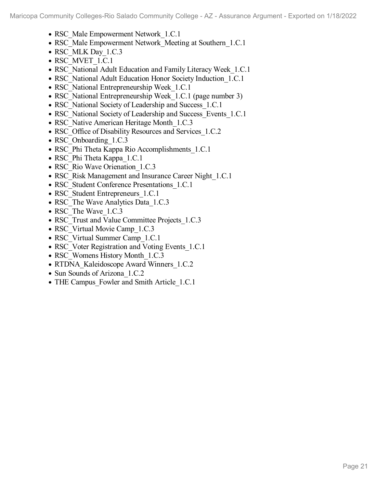- RSC\_Male Empowerment Network 1.C.1
- RSC Male Empowerment Network Meeting at Southern 1.C.1
- RSC\_MLK Day 1.C.3
- RSC\_MVET\_1.C.1
- RSC\_National Adult Education and Family Literacy Week 1.C.1
- RSC\_National Adult Education Honor Society Induction 1.C.1
- RSC National Entrepreneurship Week 1.C.1
- RSC National Entrepreneurship Week 1.C.1 (page number 3)
- RSC\_National Society of Leadership and Success\_1.C.1
- RSC National Society of Leadership and Success Events 1.C.1
- RSC Native American Heritage Month 1.C.3
- RSC Office of Disability Resources and Services 1.C.2
- RSC Onboarding 1.C.3
- RSC Phi Theta Kappa Rio Accomplishments 1.C.1
- RSC Phi Theta Kappa 1.C.1
- RSC Rio Wave Orienation 1.C.3
- RSC\_Risk Management and Insurance Career Night\_1.C.1
- RSC Student Conference Presentations 1.C.1
- RSC Student Entrepreneurs 1.C.1
- RSC The Wave Analytics Data 1.C.3
- RSC The Wave 1.C.3
- RSC Trust and Value Committee Projects 1.C.3
- RSC Virtual Movie Camp 1.C.3
- RSC Virtual Summer Camp 1.C.1
- RSC Voter Registration and Voting Events 1.C.1
- RSC Womens History Month 1.C.3
- RTDNA Kaleidoscope Award Winners 1.C.2
- Sun Sounds of Arizona 1.C.2
- THE Campus Fowler and Smith Article 1.C.1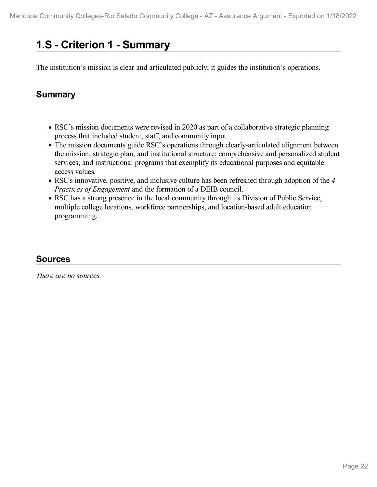# **1.S - Criterion 1 -Summary**

The institution's mission is clear and articulated publicly; it guides the institution's operations.

# **Summary**

- RSC's mission documents were revised in 2020 as part of a collaborative strategic planning process that included student, staff, and community input.
- The mission documents guide RSC's operations through clearly-articulated alignment between the mission, strategic plan, and institutional structure; comprehensive and personalized student services; and instructional programs that exemplify its educational purposes and equitable access values.
- RSC's innovative, positive, and inclusive culture has been refreshed through adoption of the *4 Practices of Engagement* and the formation of a DEIB council.
- RSC has a strong presence in the local community through its Division of Public Service, multiple college locations, workforce partnerships, and location-based adult education programming.

# **Sources**

*There are no sources.*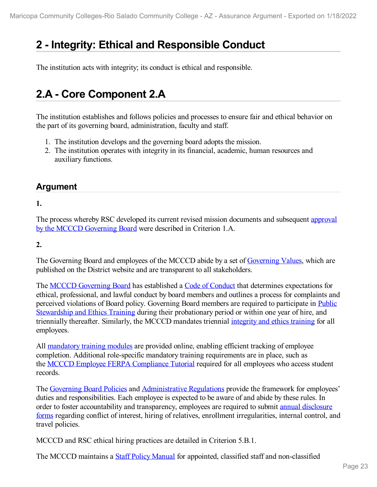# **2 -Integrity: Ethical and Responsible Conduct**

The institution acts with integrity; its conduct is ethical and responsible.

# **2.A - Core Component 2.A**

The institution establishes and follows policies and processes to ensure fair and ethical behavior on the part of its governing board, administration, faculty and staff.

- 1. The institution develops and the governing board adopts the mission.
- 2. The institution operates with integrity in its financial, academic, human resources and auxiliary functions.

## **Argument**

#### **1.**

The process whereby RSC developed its current revised mission documents and [subsequent](file:///D:/evidence/viewfile?fileId=1352167#page=2) approval by the MCCCD Governing Board were described in Criterion 1.A.

#### **2.**

The Governing Board and employees of the MCCCD abide by a set of [Governing](file:///D:/evidence/viewfile?fileId=1352181) Values, which are published on the District website and are transparent to all stakeholders.

The MCCCD [Governing](file:///D:/evidence/viewfile?fileId=1352175) Board has established a Code of [Conduct](file:///D:/evidence/viewfile?fileId=1352157) that determines expectations for ethical, professional, and lawful conduct by board members and outlines a process for complaints and perceived violations of Board policy. Governing Board members are required to participate in Public Stewardship and Ethics Training during their [probationary](file:///D:/evidence/viewfile?fileId=1352159) period or within one year of hire, and triennially thereafter. Similarly, the MCCCD mandates triennial [integrity](file:///D:/evidence/viewfile?fileId=1352189) and ethics training for all employees.

All [mandatory](file:///D:/evidence/viewfile?fileId=1352168) training modules are provided online, enabling efficient tracking of employee completion. Additional role-specific mandatory training requirements are in place, such as the MCCCD Employee FERPA [Compliance](file:///D:/evidence/viewfile?fileId=1352170) Tutorial required for all employees who access student records.

The [Governing](file:///D:/evidence/viewfile?fileId=1352174) Board Policies and [Administrative](file:///D:/evidence/viewfile?fileId=1352154) Regulations provide the framework for employees' duties and responsibilities. Each employee is expected to be aware of and abide by these rules. In order to foster [accountability](file:///D:/evidence/viewfile?fileId=1352151) and transparency, employees are required to submit annual disclosure forms regarding conflict of interest, hiring of relatives, enrollment irregularities, internal control, and travel policies.

MCCCD and RSC ethical hiring practices are detailed in Criterion 5.B.1.

The MCCCD maintains a Staff Policy [Manual](file:///D:/evidence/viewfile?fileId=1352188) for appointed, classified staff and non-classified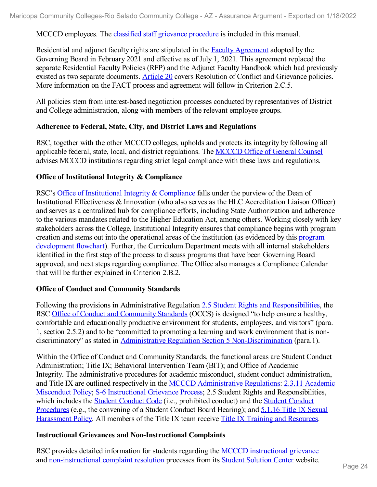MCCCD employees. The classified staff grievance [procedure](file:///D:/evidence/viewfile?fileId=1352163) is included in this manual.

Residential and adjunct faculty rights are stipulated in the Faculty [Agreement](file:///D:/evidence/viewfile?fileId=1352162) adopted by the Governing Board in February 2021 and effective as of July 1, 2021. This agreement replaced the separate Residential Faculty Policies (RFP) and the Adjunct Faculty Handbook which had previously existed as two separate documents. [Article](file:///D:/evidence/viewfile?fileId=1352155) 20 covers Resolution of Conflict and Grievance policies. More information on the FACT process and agreement will follow in Criterion 2.C.5.

All policies stem from interest-based negotiation processes conducted by representatives of District and College administration, along with members of the relevant employee groups.

#### **Adherence to Federal, State, City, and District Laws and Regulations**

RSC, together with the other MCCCD colleges, upholds and protects its integrity by following all applicable federal, state, local, and district regulations. The [MCCCD](file:///D:/evidence/viewfile?fileId=1352169) Office of General Counsel advises MCCCD institutions regarding strict legal compliance with these laws and regulations.

#### **Office of Institutional Integrity & Compliance**

RSC's Office of [Institutional](file:///D:/evidence/viewfile?fileId=1352166) Integrity & Compliance falls under the purview of the Dean of Institutional Effectiveness & Innovation (who also serves as the HLC Accreditation Liaison Officer) and serves as a centralized hub for compliance efforts, including State Authorization and adherence to the various mandates related to the Higher Education Act, among others. Working closely with key stakeholders across the College, Institutional Integrity ensures that compliance begins with program creation and stems out into the operational areas of the institution (as evidenced by this program [development](file:///D:/evidence/viewfile?fileId=1352172) flowchart). Further, the Curriculum Department meets with all internal stakeholders identified in the first step of the process to discuss programs that have been Governing Board approved, and next steps regarding compliance. The Office also manages a Compliance Calendar that will be further explained in Criterion 2.B.2.

#### **Office of Conduct and Community Standards**

Following the provisions in Administrative Regulation 2.5 Student Rights and [Responsibilities](file:///D:/evidence/viewfile?fileId=1352165), the RSC Office of Conduct and [Community](file:///D:/evidence/viewfile?fileId=1352185) Standards (OCCS) is designed "to help ensure a healthy, comfortable and educationally productive environment for students, employees, and visitors" (para. 1, section 2.5.2) and to be "committed to promoting a learning and work environment that is non- discriminatory" as stated in Administrative Regulation Section 5 [Non-Discrimination](file:///D:/evidence/viewfile?fileId=1352150) (para.1).

Within the Office of Conduct and Community Standards, the functional areas are Student Conduct Administration; Title IX; Behavioral Intervention Team (BIT); and Office of Academic Integrity. The administrative procedures for academic misconduct, student conduct administration, and Title IX are outlined respectively in the MCCCD [Administrative](file:///D:/evidence/viewfile?fileId=1352154) Regulations: 2.3.11 Academic Misconduct Policy; S-6 [Instructional](file:///D:/evidence/viewfile?fileId=1352152) Grievance Process; 2.5 Student Rights and [Responsibilities,](file:///D:/evidence/viewfile?fileId=1352160#page=7) which includes the Student [Conduct](file:///D:/evidence/viewfile?fileId=1352177) Code (i.e., prohibited conduct) and the Student Conduct [Procedures](file:///D:/evidence/viewfile?fileId=1352158#page=5) (e.g., the convening of a Student Conduct Board Hearing); and 5.1.16 Title IX Sexual [Harassment](file:///D:/evidence/viewfile?fileId=1352173) Policy. All members of the Title IX team receive Title IX Training and [Resources](file:///D:/evidence/viewfile?fileId=1352182).

#### **Instructional Grievances and Non-Instructional Complaints**

RSC provides detailed information for students regarding the MCCCD [instructional](file:///D:/evidence/viewfile?fileId=1352152) grievance and [non-instructional](file:///D:/evidence/viewfile?fileId=1352161) complaint resolution processes from its Student [Solution](file:///D:/evidence/viewfile?fileId=1352186) Center website.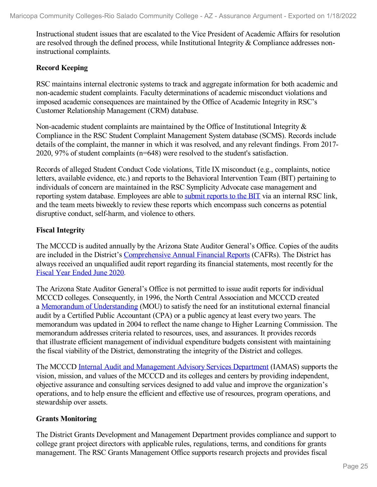Instructional student issues that are escalated to the Vice President of Academic Affairs for resolution are resolved through the defined process, while Institutional Integrity  $&$  Compliance addresses noninstructional complaints.

#### **Record Keeping**

RSC maintains internal electronic systems to track and aggregate information for both academic and non-academic student complaints. Faculty determinations of academic misconduct violations and imposed academic consequences are maintained by the Office of Academic Integrity in RSC's Customer Relationship Management (CRM) database.

Non-academic student complaints are maintained by the Office of Institutional Integrity & Compliance in the RSC Student Complaint Management System database (SCMS). Records include details of the complaint, the manner in which it was resolved, and any relevant findings. From 2017- 2020, 97% of student complaints (n=648) were resolved to the student's satisfaction.

Records of alleged Student Conduct Code violations, Title IX misconduct (e.g., complaints, notice letters, available evidence, etc.) and reports to the Behavioral Intervention Team (BIT) pertaining to individuals of concern are maintained in the RSC Symplicity Advocate case management and reporting system database. Employees are able to submit [reports](file:///D:/evidence/viewfile?fileId=1352183) to the BIT via an internal RSC link, and the team meets biweekly to review these reports which encompass such concerns as potential disruptive conduct, self-harm, and violence to others.

#### **Fiscal Integrity**

The MCCCD is audited annually by the Arizona State Auditor General's Office. Copies of the audits are included in the District's [Comprehensive](file:///D:/evidence/viewfile?fileId=1352153) Annual Financial Reports (CAFRs). The District has always received an unqualified audit report regarding its financial statements, most recently for the Fiscal Year [Ended](file:///D:/evidence/viewfile?fileId=1352180) June 2020.

The Arizona State Auditor General's Office is not permitted to issue audit reports for individual MCCCD colleges. Consequently, in 1996, the North Central Association and MCCCD created a Memorandum of [Understanding](file:///D:/evidence/viewfile?fileId=1352178) (MOU) to satisfy the need for an institutional external financial audit by a Certified Public Accountant (CPA) or a public agency at least every two years. The memorandum was updated in 2004 to reflect the name change to Higher Learning Commission. The memorandum addresses criteria related to resources, uses, and assurances. It provides records that illustrate efficient management of individual expenditure budgets consistent with maintaining the fiscal viability of the District, demonstrating the integrity of the District and colleges.

The MCCCD Internal Audit and [Management](file:///D:/evidence/viewfile?fileId=1352179) Advisory Services Department (IAMAS) supports the vision, mission, and values of the MCCCD and its colleges and centers by providing independent, objective assurance and consulting services designed to add value and improve the organization's operations, and to help ensure the efficient and effective use of resources, program operations, and stewardship over assets.

#### **Grants Monitoring**

The District Grants Development and Management Department provides compliance and support to college grant project directors with applicable rules, regulations, terms, and conditions for grants management. The RSC Grants Management Office supports research projects and provides fiscal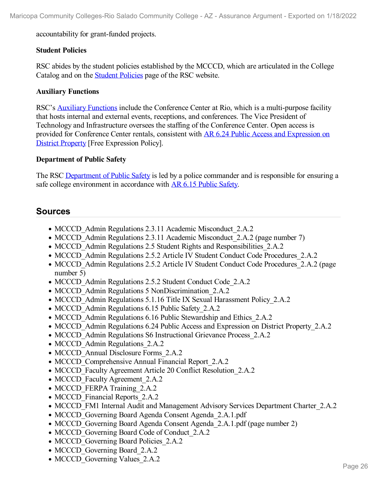accountability for grant-funded projects.

#### **Student Policies**

RSC abides by the student policies established by the MCCCD, which are articulated in the College Catalog and on the [Student](http://www.riosalado.edu/policies/Pages/default.aspx) Policies page of the RSC website.

#### **Auxiliary Functions**

RSC's Auxiliary [Functions](file:///D:/evidence/viewfile?fileId=1352176) include the Conference Center at Rio, which is a multi-purpose facility that hosts internal and external events, receptions, and conferences. The Vice President of Technology and Infrastructure oversees the staffing of the Conference Center. Open access is provided for [Conference](file:///D:/evidence/viewfile?fileId=1352156) Center rentals, consistent with AR 6.24 Public Access and Expression on District Property [Free Expression Policy].

#### **Department of Public Safety**

The RSC [Department](file:///D:/evidence/viewfile?fileId=1352184) of Public Safety is led by a police commander and is responsible for ensuring a safe college environment in accordance with AR 6.15 [Public](file:///D:/evidence/viewfile?fileId=1352164) Safety.

#### **Sources**

- MCCCD Admin Regulations 2.3.11 Academic Misconduct 2.A.2
- MCCCD Admin Regulations 2.3.11 Academic Misconduct 2.A.2 (page number 7)
- MCCCD Admin Regulations 2.5 Student Rights and Responsibilities 2.A.2
- MCCCD Admin Regulations 2.5.2 Article IV Student Conduct Code Procedures 2.A.2
- MCCCD Admin Regulations 2.5.2 Article IV Student Conduct Code Procedures 2.A.2 (page number 5)
- MCCCD Admin Regulations 2.5.2 Student Conduct Code 2.A.2
- MCCCD Admin Regulations 5 NonDiscrimination 2.A.2
- MCCCD Admin Regulations 5.1.16 Title IX Sexual Harassment Policy 2.A.2
- MCCCD Admin Regulations 6.15 Public Safety 2.A.2
- MCCCD Admin Regulations 6.16 Public Stewardship and Ethics 2.A.2
- MCCCD Admin Regulations 6.24 Public Access and Expression on District Property 2.A.2
- MCCCD Admin Regulations S6 Instructional Grievance Process 2.A.2
- MCCCD Admin Regulations 2.A.2
- MCCCD Annual Disclosure Forms 2.A.2
- MCCCD Comprehensive Annual Financial Report 2.A.2
- MCCCD Faculty Agreement Article 20 Conflict Resolution 2.A.2
- MCCCD Faculty Agreement 2.A.2
- MCCCD FERPA Training 2.A.2
- MCCCD Financial Reports 2.A.2
- MCCCD FM1 Internal Audit and Management Advisory Services Department Charter 2.A.2
- MCCCD Governing Board Agenda Consent Agenda 2.A.1.pdf
- MCCCD Governing Board Agenda Consent Agenda 2.A.1.pdf (page number 2)
- MCCCD Governing Board Code of Conduct 2.A.2
- MCCCD Governing Board Policies 2.A.2
- MCCCD Governing Board 2.A.2
- MCCCD Governing Values 2.A.2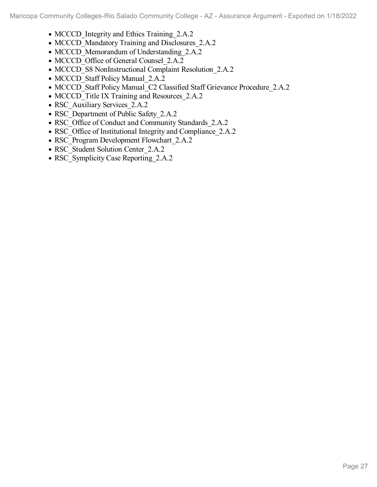- MCCCD Integrity and Ethics Training 2.A.2
- MCCCD Mandatory Training and Disclosures 2.A.2
- MCCCD Memorandum of Understanding 2.A.2
- MCCCD Office of General Counsel 2.A.2
- MCCCD S8 NonInstructional Complaint Resolution 2.A.2
- MCCCD Staff Policy Manual 2.A.2
- MCCCD Staff Policy Manual\_C2 Classified Staff Grievance Procedure\_2.A.2
- MCCCD Title IX Training and Resources 2.A.2
- RSC Auxiliary Services 2.A.2
- RSC Department of Public Safety 2.A.2
- RSC Office of Conduct and Community Standards 2.A.2
- RSC Office of Institutional Integrity and Compliance 2.A.2
- RSC Program Development Flowchart 2.A.2
- RSC Student Solution Center 2.A.2
- RSC\_Symplicity Case Reporting\_2.A.2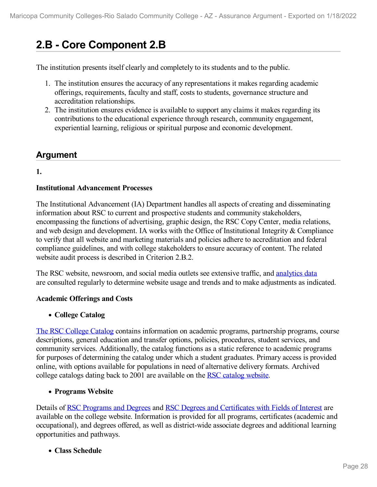# **2.B - Core Component 2.B**

The institution presents itself clearly and completely to its students and to the public.

- 1. The institution ensures the accuracy of any representations it makes regarding academic offerings, requirements, faculty and staff, costs to students, governance structure and accreditation relationships.
- 2. The institution ensures evidence is available to support any claims it makes regarding its contributions to the educational experience through research, community engagement, experiential learning, religious or spiritual purpose and economic development.

## **Argument**

#### **1.**

#### **Institutional Advancement Processes**

The Institutional Advancement (IA) Department handles all aspects of creating and disseminating information about RSC to current and prospective students and community stakeholders, encompassing the functions of advertising, graphic design, the RSC Copy Center, media relations, and web design and development. IA works with the Office of Institutional Integrity & Compliance to verify that all website and marketing materials and policies adhere to accreditation and federal compliance guidelines, and with college stakeholders to ensure accuracy of content. The related website audit process is described in Criterion 2.B.2.

The RSC website, newsroom, and social media outlets see extensive traffic, and [analytics](file:///D:/evidence/viewfile?fileId=1352223) data are consulted regularly to determine website usage and trends and to make adjustments as indicated.

#### **Academic Offerings and Costs**

**College Catalog**

The RSC [College](https://www.riosalado.edu/sites/default/files/inline/file/9366-21-22-catalog-online.pdf) Catalog contains information on academic programs, partnership programs, course descriptions, general education and transfer options, policies, procedures, student services, and community services. Additionally, the catalog functions as a static reference to academic programs for purposes of determining the catalog under which a student graduates. Primary access is provided online, with options available for populations in need of alternative delivery formats. Archived college catalogs dating back to 2001 are available on the RSC catalog [website](file:///D:/evidence/viewfile?fileid=1352195).

#### **Programs Website**

Details of RSC [Programs](file:///D:/evidence/viewfile?fileid=1352203) and Degrees and RSC Degrees and [Certificates](file:///D:/evidence/viewfile?fileid=1352209) with Fields of Interest are available on the college website. Information is provided for all programs, certificates (academic and occupational), and degrees offered, as well as district-wide associate degrees and additional learning opportunities and pathways.

**Class Schedule**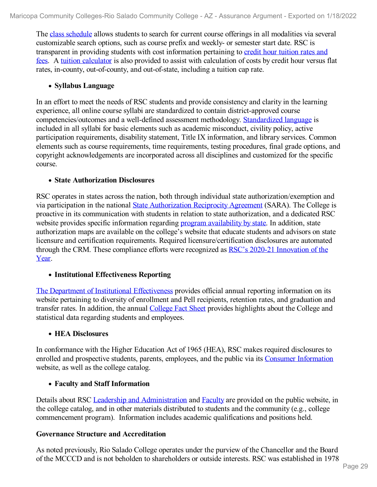The class [schedule](http://www.riosalado.edu/Schedule/pages/default.aspx) allows students to search for current course offerings in all modalities via several customizable search options, such as course prefix and weekly- or semester start date. RSC is transparent in providing students with cost [information](file:///D:/evidence/viewfile?fileid=1352212) pertaining to credit hour tuition rates and fees. A tuition [calculator](file:///D:/evidence/viewfile?fileid=1352217) is also provided to assist with calculation of costs by credit hour versus flat rates, in-county, out-of-county, and out-of-state, including a tuition cap rate.

#### **Syllabus Language**

In an effort to meet the needs of RSC students and provide consistency and clarity in the learning experience, all online course syllabi are standardized to contain district-approved course competencies/outcomes and a well-defined assessment methodology. [Standardized](file:///D:/evidence/viewfile?fileid=1352202) language is included in all syllabi for basic elements such as academic misconduct, civility policy, active participation requirements, disability statement, Title IX information, and library services. Common elements such as course requirements, time requirements, testing procedures, final grade options, and copyright acknowledgements are incorporated across all disciplines and customized for the specific course.

#### **State Authorization Disclosures**

RSC operates in states across the nation, both through individual state authorization/exemption and via participation in the national State [Authorization](file:///D:/evidence/viewfile?fileid=1352214) Reciprocity Agreement (SARA). The College is proactive in its communication with students in relation to state authorization, and a dedicated RSC website provides specific information regarding program [availability](file:///D:/evidence/viewfile?fileid=1352207) by state. In addition, state authorization maps are available on the college's website that educate students and advisors on state licensure and certification requirements. Required licensure/certification disclosures are automated through the CRM. These [compliance](file:///D:/evidence/viewfile?fileid=1352196#page=3) efforts were recognized as RSC's 2020-21 Innovation of the Year.

#### **Institutional Effectiveness Reporting**

The Department of Institutional [Effectiveness](file:///D:/evidence/viewfile?fileid=1352208) provides official annual reporting information on its website pertaining to diversity of enrollment and Pell recipients, retention rates, and graduation and transfer rates. In addition, the annual [College](file:///D:/evidence/viewfile?fileid=1352220) Fact Sheet provides highlights about the College and statistical data regarding students and employees.

#### **HEA Disclosures**

In conformance with the Higher Education Act of 1965 (HEA), RSC makes required disclosures to enrolled and prospective students, parents, employees, and the public via its Consumer [Information](file:///D:/evidence/viewfile?fileid=1352197) website, as well as the college catalog.

#### **Faculty and Staff Information**

Details about RSC Leadership and [Administration](file:///D:/evidence/viewfile?fileId=1352224) and [Faculty](https://www.riosalado.edu/about/leadership-and-administration/residential-faculty) are provided on the public website, in the college catalog, and in other materials distributed to students and the community (e.g., college commencement program). Information includes academic qualifications and positions held.

#### **Governance Structure and Accreditation**

As noted previously, Rio Salado College operates under the purview of the Chancellor and the Board of the MCCCD and is not beholden to shareholders or outside interests. RSC was established in 1978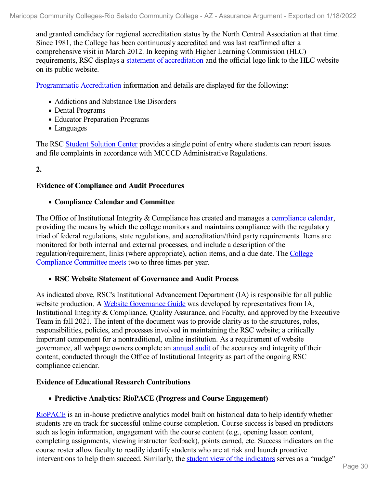and granted candidacy for regional accreditation status by the North Central Association at that time. Since 1981, the College has been continuously accredited and was last reaffirmed after a comprehensive visit in March 2012. In keeping with Higher Learning Commission (HLC) requirements, RSC displays a statement of [accreditation](file:///D:/evidence/viewfile?fileid=1352215) and the official logo link to the HLC website on its public website.

[Programmatic](file:///D:/evidence/viewfile?fileid=1352204) Accreditation information and details are displayed for the following:

- Addictions and Substance Use Disorders
- Dental Programs
- Educator Preparation Programs
- Languages

The RSC Student [Solution](file:///D:/evidence/viewfile?fileid=1352213) Center provides a single point of entry where students can report issues and file complaints in accordance with MCCCD Administrative Regulations.

#### **2.**

#### **Evidence of Compliance and Audit Procedures**

#### **Compliance Calendar and Committee**

The Office of Institutional Integrity & Compliance has created and manages a [compliance](file:///D:/evidence/viewfile?fileid=1352190) calendar, providing the means by which the college monitors and maintains compliance with the regulatory triad of federal regulations, state regulations, and accreditation/third party requirements. Items are monitored for both internal and external processes, and include a description of the [regulation/requirement,](file:///D:/evidence/viewfile?fileid=1352205) links (where appropriate), action items, and a due date. The College Compliance Committee meets two to three times per year.

#### **RSC Website Statement of Governance and Audit Process**

As indicated above, RSC's Institutional Advancement Department (IA) is responsible for all public website production. A Website [Governance](file:///D:/evidence/viewfile?fileid=1352216) Guide was developed by representatives from IA, Institutional Integrity & Compliance, Quality Assurance, and Faculty, and approved by the Executive Team in fall 2021. The intent of the document was to provide clarity as to the structures, roles, responsibilities, policies, and processes involved in maintaining the RSC website; a critically important component for a nontraditional, online institution. As a requirement of website governance, all webpage owners complete an [annual](file:///D:/evidence/viewfile?fileid=1352219#page=3) audit of the accuracy and integrity of their content, conducted through the Office of Institutional Integrity as part of the ongoing RSC compliance calendar.

#### **Evidence of Educational Research Contributions**

#### **Predictive Analytics: RioPACE (Progress and Course Engagement)**

[RioPACE](file:///D:/evidence/viewfile?fileid=1352218) is an in-house predictive analytics model built on historical data to help identify whether students are on track for successful online course completion. Course success is based on predictors such as login information, engagement with the course content (e.g., opening lesson content, completing assignments, viewing instructor feedback), points earned, etc. Success indicators on the course roster allow faculty to readily identify students who are at risk and launch proactive interventions to help them succeed. Similarly, the student view of the [indicators](file:///D:/evidence/viewfile?fileid=1352210) serves as a "nudge"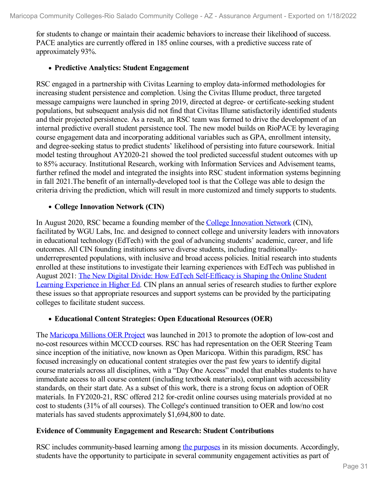for students to change or maintain their academic behaviors to increase their likelihood of success. PACE analytics are currently offered in 185 online courses, with a predictive success rate of approximately 93%.

#### **Predictive Analytics: Student Engagement**

RSC engaged in a partnership with Civitas Learning to employ data-informed methodologies for increasing student persistence and completion. Using the Civitas Illume product, three targeted message campaigns were launched in spring 2019, directed at degree- or certificate-seeking student populations, but subsequent analysis did not find that Civitas Illume satisfactorily identified students and their projected persistence. As a result, an RSC team was formed to drive the development of an internal predictive overall student persistence tool. The new model builds on RioPACE by leveraging course engagement data and incorporating additional variables such as GPA, enrollment intensity, and degree-seeking status to predict students' likelihood of persisting into future coursework. Initial model testing throughout AY2020-21 showed the tool predicted successful student outcomes with up to 85% accuracy. Institutional Research, working with Information Services and Advisement teams, further refined the model and integrated the insights into RSC student information systems beginning in fall 2021.The benefit of an internally-developed tool is that the College was able to design the criteria driving the prediction, which will result in more customized and timely supports to students.

#### **College Innovation Network (CIN)**

In August 2020, RSC became a founding member of the College [Innovation](file:///D:/evidence/viewfile?fileId=1352225) Network (CIN), facilitated by WGU Labs, Inc. and designed to connect college and university leaders with innovators in educational technology (EdTech) with the goal of advancing students' academic, career, and life outcomes. All CIN founding institutions serve diverse students, including traditionally underrepresented populations, with inclusive and broad access policies. Initial research into students enrolled at these institutions to investigate their learning experiences with EdTech was published in August 2021: The New Digital Divide: How EdTech [Self-Efficacy](file:///D:/evidence/viewfile?fileid=1352221) is Shaping the Online Student Learning Experience in Higher Ed. CIN plans an annual series of research studies to further explore these issues so that appropriate resources and support systems can be provided by the participating colleges to facilitate student success.

#### **Educational Content Strategies: Open Educational Resources (OER)**

The [Maricopa](file:///D:/evidence/viewfile?fileId=1352201) Millions OER Project was launched in 2013 to promote the adoption of low-cost and no-cost resources within MCCCD courses. RSC has had representation on the OER Steering Team since inception of the initiative, now known as Open Maricopa. Within this paradigm, RSC has focused increasingly on educational content strategies over the past few years to identify digital course materials across all disciplines, with a "Day One Access" model that enables students to have immediate access to all course content (including textbook materials), compliant with accessibility standards, on their start date. As a subset of this work, there is a strong focus on adoption of OER materials. In FY2020-21, RSC offered 212 for-credit online courses using materials provided at no cost to students (31% of all courses). The College's continued transition to OER and low/no cost materials has saved students approximately \$1,694,800 to date.

#### **Evidence of Community Engagement and Research: Student Contributions**

RSC includes community-based learning among the [purposes](file:///D:/evidence/viewfile?fileid=1352191) in its mission documents. Accordingly, students have the opportunity to participate in several community engagement activities as part of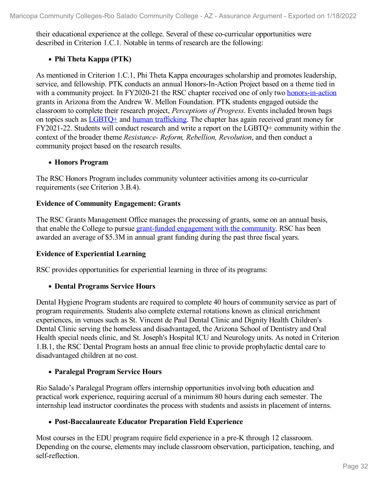their educational experience at the college. Several of these co-curricular opportunities were described in Criterion 1.C.1. Notable in terms of research are the following:

#### **Phi Theta Kappa (PTK)**

As mentioned in Criterion 1.C.1, Phi Theta Kappa encourages scholarship and promotes leadership, service, and fellowship. PTK conducts an annual Honors-In-Action Project based on a theme tied in with a community project. In FY2020-21 the RSC chapter received one of only two [honors-in-action](file:///D:/evidence/viewfile?fileid=1352200) grants in Arizona from the Andrew W. Mellon Foundation. PTK students engaged outside the classroom to complete their research project, *Perceptions of Progress*. Events included brown bags on topics such as [LGBTQ+](file:///D:/evidence/viewfile?fileid=1352199#page=3) and human [trafficking](file:///D:/evidence/viewfile?fileid=1352194). The chapter has again received grant money for FY2021-22. Students will conduct research and write a report on the LGBTQ+ community within the context of the broader theme *Resistance- Reform, Rebellion, Revolution*, and then conduct a community project based on the research results.

#### **Honors Program**

The RSC Honors Program includes community volunteer activities among its co-curricular requirements (see Criterion 3.B.4).

#### **Evidence of Community Engagement: Grants**

The RSC Grants Management Office manages the processing of grants, some on an annual basis, that enable the College to pursue [grant-funded](file:///D:/evidence/viewfile?fileid=1352206) engagement with the community. RSC has been awarded an average of \$5.3M in annual grant funding during the past three fiscal years.

#### **Evidence of Experiential Learning**

RSC provides opportunities for experiential learning in three of its programs:

#### **Dental Programs Service Hours**

Dental Hygiene Program students are required to complete 40 hours of community service as part of program requirements. Students also complete external rotations known as clinical enrichment experiences, in venues such as St. Vincent de Paul Dental Clinic and Dignity Health Children's Dental Clinic serving the homeless and disadvantaged, the Arizona School of Dentistry and Oral Health special needs clinic, and St. Joseph's Hospital ICU and Neurology units. As noted in Criterion 1.B.1, the RSC Dental Program hosts an annual free clinic to provide prophylactic dental care to disadvantaged children at no cost.

#### **Paralegal Program Service Hours**

Rio Salado's Paralegal Program offers internship opportunities involving both education and practical work experience, requiring accrual of a minimum 80 hours during each semester. The internship lead instructor coordinates the process with students and assists in placement of interns.

#### **Post-Baccalaureate Educator Preparation Field Experience**

Most courses in the EDU program require field experience in a pre-K through 12 classroom. Depending on the course, elements may include classroom observation, participation, teaching, and self-reflection.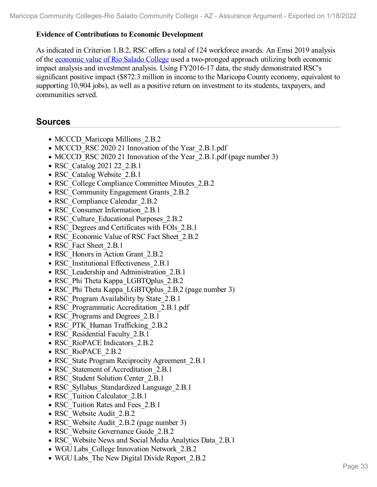#### **Evidence of Contributions to Economic Development**

As indicated in Criterion 1.B.2, RSC offers a total of 124 workforce awards. An Emsi 2019 analysis of the [economic](file:///D:/evidence/viewfile?fileid=1352193) value of Rio Salado College used a two-pronged approach utilizing both economic impact analysis and investment analysis. Using FY2016-17 data, the study demonstrated RSC's significant positive impact (\$872.3 million in income to the Maricopa County economy, equivalent to supporting 10,904 jobs), as well as a positive return on investment to its students, taxpayers, and communities served.

### **Sources**

- MCCCD Maricopa Millions 2.B.2
- MCCCD RSC 2020 21 Innovation of the Year 2.B.1.pdf
- MCCCD RSC 2020 21 Innovation of the Year 2.B.1.pdf (page number 3)
- RSC Catalog 2021 22 2.B.1
- RSC Catalog Website 2.B.1
- RSC College Compliance Committee Minutes 2.B.2
- RSC Community Engagement Grants 2.B.2
- RSC Compliance Calendar 2.B.2
- RSC Consumer Information 2.B.1
- RSC Culture Educational Purposes 2.B.2
- RSC Degrees and Certificates with FOIs 2.B.1
- RSC\_Economic Value of RSC Fact Sheet 2.B.2
- RSC Fact Sheet 2.B.1
- RSC Honors in Action Grant 2.B.2
- RSC Institutional Effectiveness 2.B.1
- RSC Leadership and Administration 2.B.1
- RSC Phi Theta Kappa LGBTQplus 2.B.2
- RSC Phi Theta Kappa LGBTQplus 2.B.2 (page number 3)
- RSC Program Availability by State 2.B.1
- RSC Programmatic Accreditation 2.B.1.pdf
- RSC Programs and Degrees 2.B.1
- RSC\_PTK\_Human Trafficking\_2.B.2
- RSC Residential Faculty 2.B.1
- RSC\_RioPACE Indicators\_2.B.2
- RSC\_RioPACE\_2.B.2
- RSC State Program Reciprocity Agreement 2.B.1
- RSC Statement of Accreditation 2.B.1
- RSC Student Solution Center 2.B.1
- RSC Syllabus Standardized Language 2.B.1
- RSC Tuition Calculator 2.B.1
- RSC Tuition Rates and Fees 2.B.1
- RSC Website Audit 2.B.2
- RSC Website Audit 2.B.2 (page number 3)
- RSC Website Governance Guide 2.B.2
- RSC Website News and Social Media Analytics Data 2.B.1
- WGU Labs College Innovation Network 2.B.2
- WGU Labs The New Digital Divide Report 2.B.2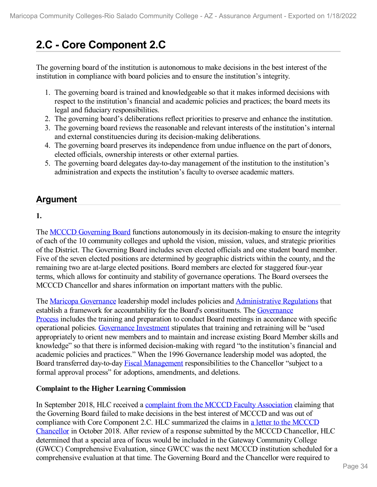# **2.C - Core Component 2.C**

The governing board of the institution is autonomous to make decisions in the best interest of the institution in compliance with board policies and to ensure the institution's integrity.

- 1. The governing board is trained and knowledgeable so that it makes informed decisions with respect to the institution's financial and academic policies and practices; the board meets its legal and fiduciary responsibilities.
- 2. The governing board's deliberations reflect priorities to preserve and enhance the institution.
- 3. The governing board reviews the reasonable and relevant interests of the institution's internal and external constituencies during its decision-making deliberations.
- 4. The governing board preserves its independence from undue influence on the part of donors, elected officials, ownership interests or other external parties.
- 5. The governing board delegates day-to-day management of the institution to the institution's administration and expects the institution's faculty to oversee academic matters.

# **Argument**

#### **1.**

The <u>MCCCD [Governing](file:///D:/evidence/viewfile?fileId=1352281) Board</u> functions autonomously in its decision-making to ensure the integrity of each of the 10 community colleges and uphold the vision, mission, values, and strategic priorities of the District. The Governing Board includes seven elected officials and one student board member. Five of the seven elected positions are determined by geographic districts within the county, and the remaining two are at-large elected positions. Board members are elected for staggered four-year terms, which allows for continuity and stability of governance operations. The Board oversees the MCCCD Chancellor and shares information on important matters with the public.

The Maricopa [Governance](file:///D:/evidence/viewfile?fileId=1352292) leadership model includes policies and [Administrative](file:///D:/evidence/viewfile?fileId=1352263) Regulations that establish a framework for [accountability](file:///D:/evidence/viewfile?fileId=1352266) for the Board's constituents. The Governance Process includes the training and preparation to conduct Board meetings in accordance with specific operational policies. [Governance](file:///D:/evidence/viewfile?fileId=1352283) Investment stipulates that training and retraining will be "used appropriately to orient new members and to maintain and increase existing Board Member skills and knowledge" so that there is informed decision-making with regard "to the institution's financial and academic policies and practices." When the 1996 Governance leadership model was adopted, the Board transferred day-to-day Fiscal [Management](file:///D:/evidence/viewfile?fileId=1352270) responsibilities to the Chancellor "subject to a formal approval process" for adoptions, amendments, and deletions.

#### **Complaint to the Higher Learning Commission**

In September 2018, HLC received a complaint from the MCCCD Faculty [Association](file:///D:/evidence/viewfile?fileId=1352284) claiming that the Governing Board failed to make decisions in the best interest of MCCCD and was out of compliance with Core Component 2.C. HLC [summarized](file:///D:/evidence/viewfile?fileId=1352288) the claims in a letter to the MCCCD Chancellor in October 2018. After review of a response submitted by the MCCCD Chancellor, HLC determined that a special area of focus would be included in the Gateway Community College (GWCC) Comprehensive Evaluation, since GWCC was the next MCCCD institution scheduled for a comprehensive evaluation at that time. The Governing Board and the Chancellor were required to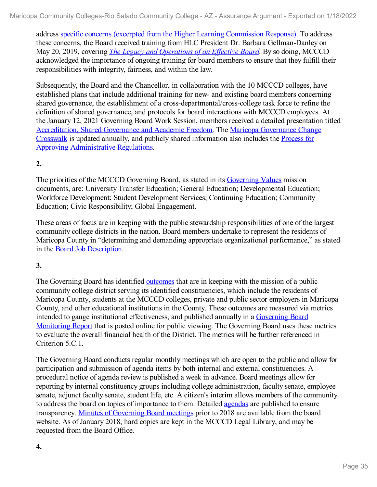address specific concerns (excerpted from the Higher Learning [Commission](file:///D:/evidence/viewfile?fileId=1352262) Response). To address these concerns, the Board received training from HLC President Dr. Barbara Gellman-Danley on May 20, 2019, covering *The Legacy and [Operations](file:///D:/evidence/viewfile?fileId=1352291) of an Ef ective Board*. By so doing, MCCCD acknowledged the importance of ongoing training for board members to ensure that they fulfill their responsibilities with integrity, fairness, and within the law.

Subsequently, the Board and the Chancellor, in collaboration with the 10 MCCCD colleges, have established plans that include additional training for new- and existing board members concerning shared governance, the establishment of a cross-departmental/cross-college task force to refine the definition of shared governance, and protocols for board interactions with MCCCD employees. At the January 12, 2021 Governing Board Work Session, members received a detailed presentation titled [Accreditation,](file:///D:/evidence/viewfile?fileId=1352289) Shared Governance and Academic Freedom. The Maricopa Governance Change Crosswalk is updated annually, and publicly shared information also includes the Process for Approving [Administrative](file:///D:/evidence/viewfile?fileId=1352282) Regulations.

#### **2.**

The priorities of the MCCCD Governing Board, as stated in its [Governing](file:///D:/evidence/viewfile?fileId=1352278) Values mission documents, are: University Transfer Education; General Education; Developmental Education; Workforce Development; Student Development Services; Continuing Education; Community Education; Civic Responsibility; Global Engagement.

These areas of focus are in keeping with the public stewardship responsibilities of one of the largest community college districts in the nation. Board members undertake to represent the residents of Maricopa County in "determining and demanding appropriate organizational performance," as stated in the Board Job [Description](file:///D:/evidence/viewfile?fileId=1352264).

#### **3.**

The Governing Board has identified [outcomes](file:///D:/evidence/viewfile?fileId=1352285) that are in keeping with the mission of a public community college district serving its identified constituencies, which include the residents of Maricopa County, students at the MCCCD colleges, private and public sector employers in Maricopa County, and other educational institutions in the County. These outcomes are measured via metrics intended to gauge institutional [effectiveness,](file:///D:/evidence/viewfile?fileId=1352272) and published annually in a Governing Board Monitoring Report that is posted online for public viewing. The Governing Board uses these metrics to evaluate the overall financial health of the District. The metrics will be further referenced in Criterion 5.C.1.

The Governing Board conducts regular monthly meetings which are open to the public and allow for participation and submission of agenda items by both internal and external constituencies. A procedural notice of agenda review is published a week in advance. Board meetings allow for reporting by internal constituency groups including college administration, faculty senate, employee senate, adjunct faculty senate, student life, etc. A citizen's interim allows members of the community to address the board on topics of importance to them. Detailed [agendas](file:///D:/evidence/viewfile?fileId=1352271) are published to ensure transparency. Minutes of [Governing](file:///D:/evidence/viewfile?fileId=1352269) Board meetings prior to 2018 are available from the board website. As of January 2018, hard copies are kept in the MCCCD Legal Library, and may be requested from the Board Office.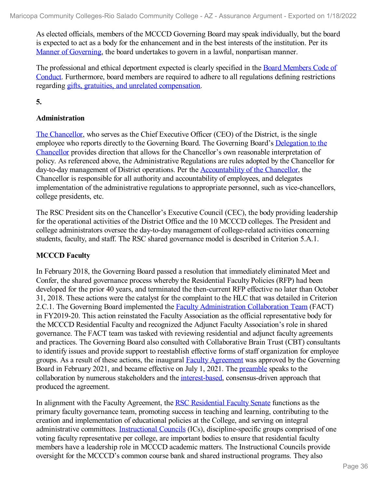As elected officials, members of the MCCCD Governing Board may speak individually, but the board is expected to act as a body for the enhancement and in the best interests of the institution. Per its Manner of [Governing,](file:///D:/evidence/viewfile?fileId=1352279) the board undertakes to govern in a lawful, nonpartisan manner.

The [professional](file:///D:/evidence/viewfile?fileId=1352273) and ethical deportment expected is clearly specified in the Board Members Code of Conduct. Furthermore, board members are required to adhere to all regulations defining restrictions regarding gifts, gratuities, and unrelated [compensation](file:///D:/evidence/viewfile?fileId=1352275).

**5.**

### **Administration**

The [Chancellor](file:///D:/evidence/viewfile?fileId=1352277), who serves as the Chief Executive Officer (CEO) of the District, is the single employee who reports directly to the Governing Board. The Governing Board's Delegation to the Chancellor provides direction that allows for the Chancellor's own reasonable [interpretation](file:///D:/evidence/viewfile?fileId=1352268) of policy. As referenced above, the Administrative Regulations are rules adopted by the Chancellor for day-to-day management of District operations. Per the [Accountability](file:///D:/evidence/viewfile?fileId=1352265) of the Chancellor, the Chancellor is responsible for all authority and accountability of employees, and delegates implementation of the administrative regulations to appropriate personnel, such as vice-chancellors, college presidents, etc.

The RSC President sits on the Chancellor's Executive Council (CEC), the body providing leadership for the operational activities of the District Office and the 10 MCCCD colleges. The President and college administrators oversee the day-to-day management of college-related activities concerning students, faculty, and staff. The RSC shared governance model is described in Criterion 5.A.1.

#### **MCCCD Faculty**

In February 2018, the Governing Board passed a resolution that immediately eliminated Meet and Confer, the shared governance process whereby the Residential Faculty Policies (RFP) had been developed for the prior 40 years, and terminated the then-current RFP effective no later than October 31, 2018. These actions were the catalyst for the complaint to the HLC that was detailed in Criterion 2.C.1. The Governing Board implemented the Faculty [Administration](file:///D:/evidence/viewfile?fileId=1352267) Collaboration Team (FACT) in FY2019-20. This action reinstated the Faculty Association as the official representative body for the MCCCD Residential Faculty and recognized the Adjunct Faculty Association's role in shared governance. The FACT team was tasked with reviewing residential and adjunct faculty agreements and practices. The Governing Board also consulted with Collaborative Brain Trust (CBT) consultants to identify issues and provide support to reestablish effective forms of staff organization for employee groups. As a result of these actions, the inaugural Faculty [Agreement](file:///D:/evidence/viewfile?fileId=1361451) was approved by the Governing Board in February 2021, and became effective on July 1, 2021. The [preamble](file:///D:/evidence/viewfile?fileId=1352274) speaks to the collaboration by numerous stakeholders and the [interest-based](file:///D:/evidence/viewfile?fileId=1352276), consensus-driven approach that produced the agreement.

In alignment with the Faculty Agreement, the RSC [Residential](file:///D:/evidence/viewfile?fileid=1352287) Faculty Senate functions as the primary faculty governance team, promoting success in teaching and learning, contributing to the creation and implementation of educational policies at the College, and serving on integral administrative committees. [Instructional](file:///D:/evidence/viewfile?fileId=1352286) Councils (ICs), discipline-specific groups comprised of one voting faculty representative per college, are important bodies to ensure that residential faculty members have a leadership role in MCCCD academic matters. The Instructional Councils provide oversight for the MCCCD's common course bank and shared instructional programs. They also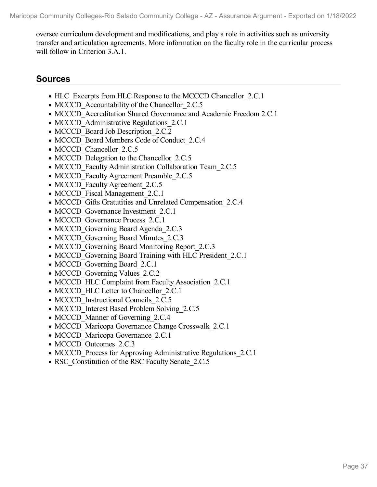oversee curriculum development and modifications, and play a role in activities such as university transfer and articulation agreements. More information on the faculty role in the curricular process will follow in Criterion 3.A.1.

# **Sources**

- HLC Excerpts from HLC Response to the MCCCD Chancellor 2.C.1
- MCCCD Accountability of the Chancellor 2.C.5
- MCCCD Accreditation Shared Governance and Academic Freedom 2.C.1
- MCCCD Administrative Regulations 2.C.1
- MCCCD Board Job Description 2.C.2
- MCCCD Board Members Code of Conduct 2.C.4
- MCCCD Chancellor 2.C.5
- MCCCD Delegation to the Chancellor 2.C.5
- MCCCD Faculty Administration Collaboration Team 2.C.5
- MCCCD Faculty Agreement Preamble 2.C.5
- MCCCD Faculty Agreement 2.C.5
- MCCCD Fiscal Management 2.C.1
- MCCCD Gifts Gratutities and Unrelated Compensation 2.C.4
- MCCCD Governance Investment 2.C.1
- MCCCD Governance Process 2.C.1
- MCCCD Governing Board Agenda 2.C.3
- MCCCD Governing Board Minutes 2.C.3
- MCCCD Governing Board Monitoring Report 2.C.3
- MCCCD Governing Board Training with HLC President 2.C.1
- MCCCD Governing Board 2.C.1
- MCCCD Governing Values 2.C.2
- MCCCD HLC Complaint from Faculty Association 2.C.1
- MCCCD HLC Letter to Chancellor 2.C.1
- MCCCD Instructional Councils 2.C.5
- MCCCD Interest Based Problem Solving 2.C.5
- MCCCD Manner of Governing 2.C.4
- MCCCD Maricopa Governance Change Crosswalk 2.C.1
- MCCCD Maricopa Governance 2.C.1
- MCCCD Outcomes 2.C.3
- MCCCD Process for Approving Administrative Regulations 2.C.1
- RSC Constitution of the RSC Faculty Senate 2.C.5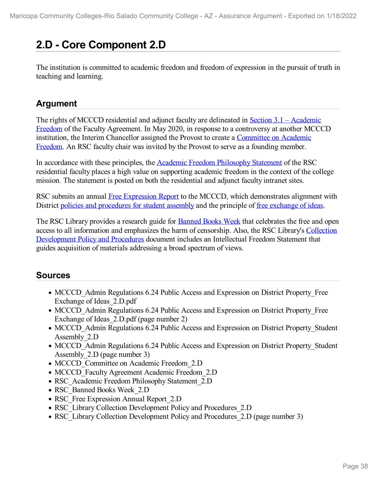# **2.D - Core Component 2.D**

The institution is committed to academic freedom and freedom of expression in the pursuit of truth in teaching and learning.

# **Argument**

The rights of MCCCD residential and adjunct faculty are delineated in Section 3.1 – Academic Freedom of the Faculty [Agreement.](file:///D:/evidence/viewfile?fileId=1352299) In May 2020, in response to a controversy at another MCCCD institution, the Interim Chancellor assigned the Provost to create a [Committee](file:///D:/evidence/viewfile?fileId=1352296) on Academic Freedom. An RSC faculty chair was invited by the Provost to serve as a founding member.

In accordance with these principles, the Academic Freedom [Philosophy](file:///D:/evidence/viewfile?fileId=1352298) Statement of the RSC residential faculty places a high value on supporting academic freedom in the context of the college mission. The statement is posted on both the residential and adjunct faculty intranet sites.

RSC submits an annual Free [Expression](file:///D:/evidence/viewfile?fileId=1352301) Report to the MCCCD, which demonstrates alignment with District policies and [procedures](file:///D:/evidence/viewfile?fileId=1352304#page=3) for student assembly and the principle of <u>free [exchange](file:///D:/evidence/viewfile?fileId=1352305#page=2) of ideas</u>.

The RSC Library provides a research guide for **[Banned](file:///D:/evidence/viewfile?fileId=1352302) Books Week** that celebrates the free and open access to all information and emphasizes the harm of censorship. Also, the RSC Library's Collection [Development](file:///D:/evidence/viewfile?fileId=1352303#page=3) Policy and Procedures document includes an Intellectual Freedom Statement that guides acquisition of materials addressing a broad spectrum of views.

# **Sources**

- MCCCD Admin Regulations 6.24 Public Access and Expression on District Property Free Exchange of Ideas\_2.D.pdf
- MCCCD Admin Regulations 6.24 Public Access and Expression on District Property Free Exchange of Ideas 2.D.pdf (page number 2)
- MCCCD Admin Regulations 6.24 Public Access and Expression on District Property Student Assembly\_2.D
- MCCCD Admin Regulations 6.24 Public Access and Expression on District Property Student Assembly\_2.D (page number 3)
- MCCCD\_Committee on Academic Freedom\_2.D
- MCCCD Faculty Agreement Academic Freedom 2.D
- RSC Academic Freedom Philosophy Statement 2.D
- RSC\_Banned Books Week\_2.D
- RSC Free Expression Annual Report 2.D
- RSC Library Collection Development Policy and Procedures 2.D
- RSC Library Collection Development Policy and Procedures 2.D (page number 3)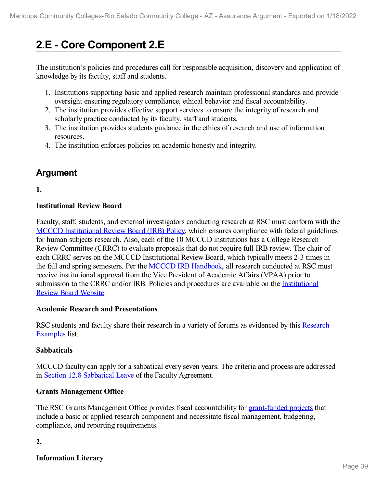# **2.E - Core Component 2.E**

The institution's policies and procedures call for responsible acquisition, discovery and application of knowledge by its faculty, staff and students.

- 1. Institutions supporting basic and applied research maintain professional standards and provide oversight ensuring regulatory compliance, ethical behavior and fiscal accountability.
- 2. The institution provides effective support services to ensure the integrity of research and scholarly practice conducted by its faculty, staff and students.
- 3. The institution provides students guidance in the ethics of research and use of information resources.
- 4. The institution enforces policies on academic honesty and integrity.

# **Argument**

**1.**

# **Institutional Review Board**

Faculty, staff, students, and external investigators conducting research at RSC must conform with the MCCCD [Institutional](file:///D:/evidence/viewfile?fileId=1352329) Review Board (IRB) Policy, which ensures compliance with federal guidelines for human subjects research. Also, each of the 10 MCCCD institutions has a College Research Review Committee (CRRC) to evaluate proposals that do not require full IRB review. The chair of each CRRC serves on the MCCCD Institutional Review Board, which typically meets 2-3 times in the fall and spring semesters. Per the MCCCD IRB [Handbook](file:///D:/evidence/viewfile?fileId=1352323), all research conducted at RSC must receive institutional approval from the Vice President of Academic Affairs (VPAA) prior to submission to the CRRC and/or IRB. Policies and procedures are available on the [Institutional](file:///D:/evidence/viewfile?fileId=1352317) Review Board Website.

### **Academic Research and Presentations**

RSC students and faculty share their research in a variety of forums as [evidenced](file:///D:/evidence/viewfile?fileId=1352315) by this Research Examples list.

# **Sabbaticals**

MCCCD faculty can apply for a sabbatical every seven years. The criteria and process are addressed in Section 12.8 [Sabbatical](file:///D:/evidence/viewfile?fileId=1352320) Leave of the Faculty Agreement.

# **Grants Management Office**

The RSC Grants Management Office provides fiscal accountability for [grant-funded](file:///D:/evidence/viewfile?fileId=1352311) projects that include a basic or applied research component and necessitate fiscal management, budgeting, compliance, and reporting requirements.

# **2.**

**Information Literacy**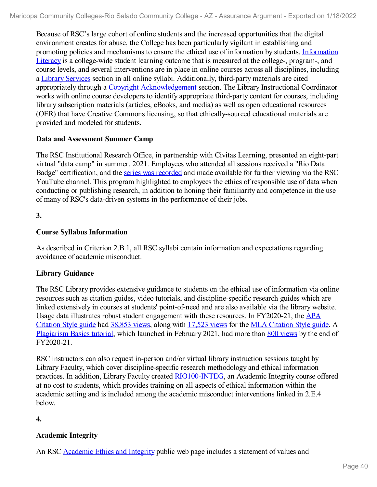Because of RSC's large cohort of online students and the increased opportunities that the digital environment creates for abuse, the College has been particularly vigilant in establishing and promoting policies and [mechanisms](file:///D:/evidence/viewfile?fileId=1352318) to ensure the ethical use of information by students. Information Literacy is a college-wide student learning outcome that is measured at the college-, program-, and course levels, and several interventions are in place in online courses across all disciplines, including a Library [Services](file:///D:/evidence/viewfile?fileId=1352328) section in all online syllabi. Additionally, third-party materials are cited appropriately through a Copyright [Acknowledgement](file:///D:/evidence/viewfile?fileId=1352330) section. The Library Instructional Coordinator works with online course developers to identify appropriate third-party content for courses, including library subscription materials (articles, eBooks, and media) as well as open educational resources (OER) that have Creative Commons licensing, so that ethically-sourced educational materials are provided and modeled for students.

## **Data and Assessment Summer Camp**

The RSC Institutional Research Office, in partnership with Civitas Learning, presented an eight-part virtual "data camp" in summer, 2021. Employees who attended all sessions received a "Rio Data Badge" certification, and the series was [recorded](file:///D:/evidence/viewfile?fileId=1352359) and made available for further viewing via the RSC YouTube channel. This program highlighted to employees the ethics of responsible use of data when conducting or publishing research, in addition to honing their familiarity and competence in the use of many of RSC's data-driven systems in the performance of their jobs.

## **3.**

# **Course Syllabus Information**

As described in Criterion 2.B.1, all RSC syllabi contain information and expectations regarding avoidance of academic misconduct.

# **Library Guidance**

The RSC Library provides extensive guidance to students on the ethical use of information via online resources such as citation guides, video tutorials, and discipline-specific research guides which are linked extensively in courses at students' point-of-need and are also available via the library website. Usage data illustrates robust student [engagement](file:///D:/evidence/viewfile?fileId=1352312) with these resources. In FY2020-21, the APA Citation Style guide had [38,853](file:///D:/evidence/viewfile?fileId=1352327) views, along with [17,523](file:///D:/evidence/viewfile?fileId=1352335) views for the MLA [Citation](file:///D:/evidence/viewfile?fileId=1352332) Style guide. A [Plagiarism](file:///D:/evidence/viewfile?fileId=1352322) Basics tutorial, which launched in February 2021, had more than 800 [views](file:///D:/evidence/viewfile?fileId=1352321) by the end of FY2020-21.

RSC instructors can also request in-person and/or virtual library instruction sessions taught by Library Faculty, which cover discipline-specific research methodology and ethical information practices. In addition, Library Faculty created [RIO100-INTEG,](file:///D:/evidence/viewfile?fileId=1352337) an Academic Integrity course offered at no cost to students, which provides training on all aspects of ethical information within the academic setting and is included among the academic misconduct interventions linked in 2.E.4 below.

**4.**

# **Academic Integrity**

An RSC [Academic](file:///D:/evidence/viewfile?fileId=1352334) Ethics and Integrity public web page includes a statement of values and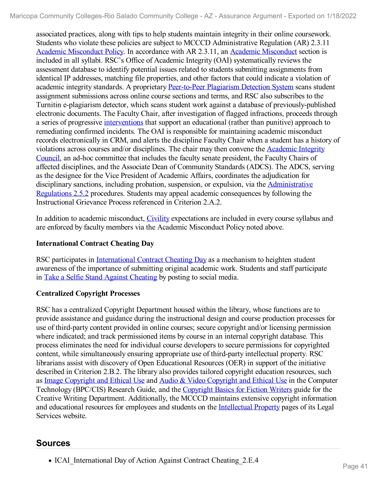associated practices, along with tips to help students maintain integrity in their online coursework. Students who violate these policies are subject to MCCCD Administrative Regulation (AR) 2.3.11 Academic [Misconduct](file:///D:/evidence/viewfile?fileId=1352324) Policy. In accordance with AR 2.3.11, an Academic Misconduct section is included in all syllabi. RSC's Office of Academic Integrity (OAI) systematically reviews the assessment database to identify potential issues related to students submitting assignments from identical IP addresses, matching file properties, and other factors that could indicate a violation of academic integrity standards. A proprietary [Peer-to-Peer](file:///D:/evidence/viewfile?fileId=1352313) Plagiarism Detection System scans student assignment submissions across online course sections and terms, and RSC also subscribes to the Turnitin e-plagiarism detector, which scans student work against a database of previously-published electronic documents. The Faculty Chair, after investigation of flagged infractions, proceeds through a series of progressive [interventions](file:///D:/evidence/viewfile?fileId=1352316#page=5) that support an educational (rather than punitive) approach to remediating confirmed incidents. The OAI is responsible for maintaining academic misconduct records electronically in CRM, and alerts the discipline Faculty Chair when a student has a history of violations across courses and/or [disciplines.](file:///D:/evidence/viewfile?fileId=1352319) The chair may then convene the Academic Integrity Council, an ad-hoc committee that includes the faculty senate president, the Faculty Chairs of affected disciplines, and the Associate Dean of Community Standards (ADCS). The ADCS, serving as the designee for the Vice President of Academic Affairs, coordinates the adjudication for disciplinary sanctions, including probation, suspension, or expulsion, via the [Administrative](file:///D:/evidence/viewfile?fileId=1352336) Regulations 2.5.2 procedures. Students may appeal academic consequences by following the Instructional Grievance Process referenced in Criterion 2.A.2.

In addition to academic misconduct, [Civility](file:///D:/evidence/viewfile?fileId=1352331) expectations are included in every course syllabus and are enforced by faculty members via the Academic Misconduct Policy noted above.

## **International Contract Cheating Day**

RSC participates in [International](file:///D:/evidence/viewfile?fileId=1352308) Contract Cheating Day as a mechanism to heighten student awareness of the importance of submitting original academic work. Students and staff participate in Take a Selfie Stand Against [Cheating](file:///D:/evidence/viewfile?fileId=1352333) by posting to social media.

# **Centralized Copyright Processes**

RSC has a centralized Copyright Department housed within the library, whose functions are to provide assistance and guidance during the instructional design and course production processes for use of third-party content provided in online courses; secure copyright and/or licensing permission where indicated; and track permissioned items by course in an internal copyright database. This process eliminates the need for individual course developers to secure permissions for copyrighted content, while simultaneously ensuring appropriate use of third-party intellectual property. RSC librarians assist with discovery of Open Educational Resources (OER) in support of the initiative described in Criterion 2.B.2. The library also provides tailored copyright education resources, such as Image [Copyright](file:///D:/evidence/viewfile?fileId=1352326) and Ethical Use and Audio & Video [Copyright](file:///D:/evidence/viewfile?fileId=1352314) and Ethical Use in the Computer Technology (BPC/CIS) Research Guide, and the [Copyright](file:///D:/evidence/viewfile?fileId=1352310) Basics for Fiction Writers guide for the Creative Writing Department. Additionally, the MCCCD maintains extensive copyright information and educational resources for employees and students on the [Intellectual](file:///D:/evidence/viewfile?fileId=1352309) Property pages of its Legal Services website.

# **Sources**

• ICAI International Day of Action Against Contract Cheating 2.E.4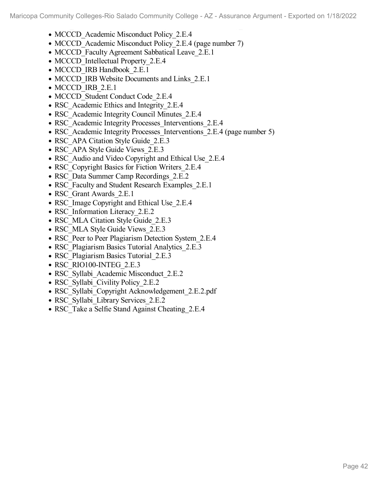- ICAI\_International Day of Action Against Contract Cheating\_2.E.4 • MCCCD Academic Misconduct Policy 2.E.4
- MCCCD Academic Misconduct Policy 2.E.4 (page number 7)
- MCCCD Faculty Agreement Sabbatical Leave 2.E.1
- MCCCD Intellectual Property 2.E.4
- MCCCD IRB Handbook 2.E.1
- MCCCD IRB Website Documents and Links 2.E.1
- MCCCD IRB 2.E.1
- MCCCD Student Conduct Code 2.E.4
- RSC Academic Ethics and Integrity 2.E.4
- RSC Academic Integrity Council Minutes 2.E.4
- RSC\_Academic Integrity Processes\_Interventions\_2.E.4
- RSC Academic Integrity Processes Interventions 2.E.4 (page number 5)
- RSC APA Citation Style Guide 2.E.3
- RSC APA Style Guide Views 2.E.3
- RSC Audio and Video Copyright and Ethical Use 2.E.4
- RSC Copyright Basics for Fiction Writers 2.E.4
- RSC\_Data Summer Camp Recordings\_2.E.2
- RSC Faculty and Student Research Examples 2.E.1
- RSC Grant Awards 2.E.1
- RSC Image Copyright and Ethical Use 2.E.4
- RSC Information Literacy 2.E.2
- RSC\_MLA Citation Style Guide\_2.E.3
- RSC MLA Style Guide Views 2.E.3
- RSC Peer to Peer Plagiarism Detection System 2.E.4
- RSC Plagiarism Basics Tutorial Analytics 2.E.3
- RSC Plagiarism Basics Tutorial 2.E.3
- RSC\_RIO100-INTEG\_2.E.3
- RSC Syllabi Academic Misconduct 2.E.2
- RSC Syllabi Civility Policy 2.E.2
- RSC\_Syllabi\_Copyright Acknowledgement\_2.E.2.pdf
- RSC Syllabi Library Services 2.E.2
- RSC Take a Selfie Stand Against Cheating 2.E.4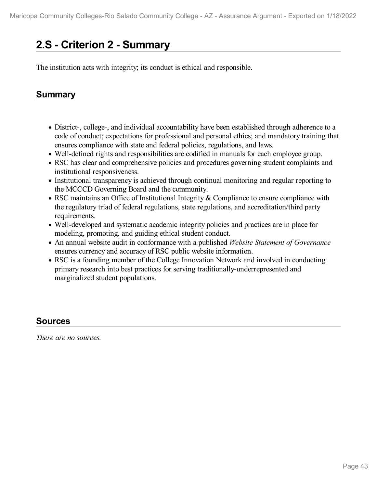# **2.S - Criterion 2 -Summary**

The institution acts with integrity; its conduct is ethical and responsible.

# **Summary**

- District-, college-, and individual accountability have been established through adherence to a code of conduct; expectations for professional and personal ethics; and mandatory training that ensures compliance with state and federal policies, regulations, and laws.
- Well-defined rights and responsibilities are codified in manuals for each employee group.
- RSC has clear and comprehensive policies and procedures governing student complaints and institutional responsiveness.
- Institutional transparency is achieved through continual monitoring and regular reporting to the MCCCD Governing Board and the community.
- RSC maintains an Office of Institutional Integrity & Compliance to ensure compliance with the regulatory triad of federal regulations, state regulations, and accreditation/third party requirements.
- Well-developed and systematic academic integrity policies and practices are in place for modeling, promoting, and guiding ethical student conduct.
- An annual website audit in conformance with a published *Website Statement of Governance* ensures currency and accuracy of RSC public website information.
- RSC is a founding member of the College Innovation Network and involved in conducting primary research into best practices for serving traditionally-underrepresented and marginalized student populations.

# **Sources**

*There are no sources.*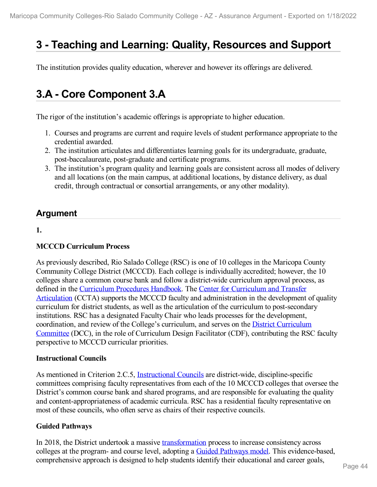# **3 -Teaching and Learning: Quality, Resources and Support**

The institution provides quality education, wherever and however its offerings are delivered.

# **3.A - Core Component 3.A**

The rigor of the institution's academic offerings is appropriate to higher education.

- 1. Courses and programs are current and require levels of student performance appropriate to the credential awarded.
- 2. The institution articulates and differentiates learning goals for its undergraduate, graduate, post-baccalaureate, post-graduate and certificate programs.
- 3. The institution's program quality and learning goals are consistent across all modes of delivery and all locations (on the main campus, at additional locations, by distance delivery, as dual credit, through contractual or consortial arrangements, or any other modality).

# **Argument**

**1.**

# **MCCCD Curriculum Process**

As previously described, Rio Salado College (RSC) is one of 10 colleges in the Maricopa County Community College District (MCCCD). Each college is individually accredited; however, the 10 colleges share a common course bank and follow adistrict-wide curriculum approval process, as defined in the [Curriculum](file:///D:/evidence/viewfile?fileId=1352365) Procedures Handbook. The Center for Curriculum and Transfer Articulation (CCTA) supports the MCCCD faculty and [administration](file:///D:/evidence/viewfile?fileId=1352368) in the development of quality curriculum for district students, as well as the articulation of the curriculum to post-secondary institutions. RSC has a designated Faculty Chair who leads processes for the development, [coordination,](file:///D:/evidence/viewfile?fileId=1352382) and review of the College's curriculum, and serves on the District Curriculum Committee (DCC), in the role of Curriculum Design Facilitator (CDF), contributing the RSC faculty perspective to MCCCD curricular priorities.

### **Instructional Councils**

As mentioned in Criterion 2.C.5, [Instructional](file:///D:/evidence/viewfile?fileId=1352370) Councils are district-wide, discipline-specific committees comprising faculty representatives from each of the 10 MCCCD colleges that oversee the District's common course bank and shared programs, and are responsible for evaluating the quality and content-appropriateness of academic curricula. RSC has a residential faculty representative on most of these councils, who often serve as chairs of their respective councils.

# **Guided Pathways**

In 2018, the District undertook a massive [transformation](file:///D:/evidence/viewfile?fileId=1352387) process to increase consistency across colleges at the program- and course level, adopting a Guided [Pathways](file:///D:/evidence/viewfile?fileid=1352386) model. This evidence-based, comprehensive approach is designed to help students identify their educational and career goals,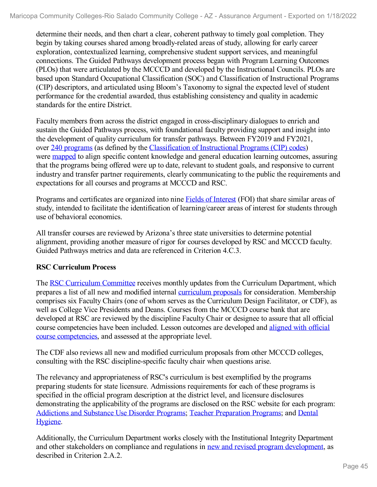determine their needs, and then chart a clear, coherent pathway to timely goal completion. They begin by taking courses shared among broadly-related areas of study, allowing for early career exploration, contextualized learning, comprehensive student support services, and meaningful connections. The Guided Pathways development process began with Program Learning Outcomes (PLOs) that were articulated by the MCCCD and developed by the Instructional Councils. PLOs are based upon Standard Occupational Classification (SOC) and Classification of Instructional Programs (CIP) descriptors, and articulated using Bloom's Taxonomy to signal the expected level of student performance for the credential awarded, thus establishing consistency and quality in academic standards for the entire District.

Faculty members from across the district engaged in cross-disciplinary dialogues to enrich and sustain the Guided Pathways process, with foundational faculty providing support and insight into the development of quality curriculum for transfer pathways. Between FY2019 and FY2021, over 240 [programs](file:///D:/evidence/viewfile?fileId=1352369) (as defined by the [Classification](file:///D:/evidence/viewfile?fileId=1352391) of Instructional Programs (CIP) codes) were [mapped](file:///D:/evidence/viewfile?fileid=1352389) to align specific content knowledge and general education learning outcomes, assuring that the programs being offered were up to date, relevant to student goals, and responsive to current industry and transfer partner requirements, clearly communicating to the public the requirements and expectations for all courses and programs at MCCCD and RSC.

Programs and certificates are organized into nine Fields of [Interest](file:///D:/evidence/viewfile?fileId=1352366) (FOI) that share similar areas of study, intended to facilitate the identification of learning/career areas of interest for students through use of behavioral economics.

All transfer courses are reviewed by Arizona's three state universities to determine potential alignment, providing another measure of rigor for courses developed by RSC and MCCCD faculty. Guided Pathways metrics and data are referenced in Criterion 4.C.3.

# **RSC Curriculum Process**

The RSC [Curriculum](file:///D:/evidence/viewfile?fileId=1352390) Committee receives monthly updates from the Curriculum Department, which prepares a list of all new and modified internal [curriculum](file:///D:/evidence/viewfile?fileId=1352392) proposals for consideration. Membership comprises six Faculty Chairs (one of whom serves as the Curriculum Design Facilitator, or CDF), as well as College Vice Presidents and Deans. Courses from the MCCCD course bank that are developed at RSC are reviewed by the discipline Faculty Chair or designee to assure that all official course [competencies](file:///D:/evidence/viewfile?fileId=1352388) have been included. Lesson outcomes are developed and aligned with official course competencies, and assessed at the appropriate level.

The CDF also reviews all new and modified curriculum proposals from other MCCCD colleges, consulting with the RSC discipline-specific faculty chair when questions arise.

The relevancy and appropriateness of RSC's curriculum is best exemplified by the programs preparing students for state licensure. Admissions requirements for each of these programs is specified in the official program description at the district level, and licensure disclosures demonstrating the applicability of the programs are disclosed on the RSC website for each program: [Addictions](file:///D:/evidence/viewfile?fileId=1352379) and Substance Use Disorder Programs; Teacher [Preparation](file:///D:/evidence/viewfile?fileId=1352376) Programs; and Dental Hygiene.

Additionally, the Curriculum Department works closely with the Institutional Integrity Department and other stakeholders on compliance and regulations in new and revised program [development](file:///D:/evidence/viewfile?fileId=1352384), as described in Criterion 2.A.2.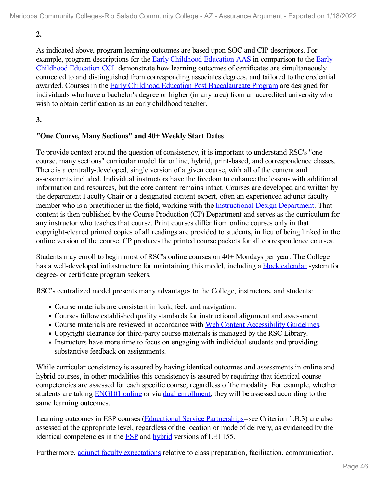**2.**

As indicated above, program learning outcomes are based upon SOC and CIP descriptors. For example, program descriptions for the Early [Childhood](file:///D:/evidence/viewfile?fileId=1352378) Education AAS in comparison to the Early Childhood Education CCL demonstrate how learning outcomes of certificates are [simultaneously](file:///D:/evidence/viewfile?fileId=1352373) connected to and distinguished from corresponding associates degrees, and tailored to the credential awarded. Courses in the Early Childhood Education Post [Baccalaureate](file:///D:/evidence/viewfile?fileId=1352371) Program are designed for individuals who have a bachelor's degree or higher (in any area) from an accredited university who wish to obtain certification as an early childhood teacher.

## **3.**

### **"One Course, Many Sections" and 40+ Weekly Start Dates**

To provide context around the question of consistency, it is important to understand RSC's "one course, many sections" curricular model for online, hybrid, print-based, and correspondence classes. There is a centrally-developed, single version of a given course, with all of the content and assessments included. Individual instructors have the freedom to enhance the lessons with additional information and resources, but the core content remains intact. Courses are developed and written by the department Faculty Chair or a designated content expert, often an experienced adjunct faculty member who is a practitioner in the field, working with the [Instructional](file:///D:/evidence/viewfile?fileId=1352374) Design Department. That content is then published by the Course Production (CP) Department and serves as the curriculum for any instructor who teaches that course. Print courses differ from online courses only in that copyright-cleared printed copies of all readings are provided to students, in lieu of being linked in the online version of the course. CP produces the printed course packets for all correspondence courses.

Students may enroll to begin most of RSC's online courses on 40+ Mondays per year. The College has a well-developed infrastructure for maintaining this model, including a **block [calendar](file:///D:/evidence/viewfile?fileId=1352377)** system for degree- or certificate program seekers.

RSC's centralized model presents many advantages to the College, instructors, and students:

- Course materials are consistent in look, feel, and navigation.
- Courses follow established quality standards for instructional alignment and assessment.
- Course materials are reviewed in accordance with Web Content [Accessibility](file:///D:/evidence/viewfile?fileId=1352394) Guidelines.
- Copyright clearance for third-party course materials is managed by the RSC Library.
- Instructors have more time to focus on engaging with individual students and providing substantive feedback on assignments.

While curricular consistency is assured by having identical outcomes and assessments in online and hybrid courses, in other modalities this consistency is assured by requiring that identical course competencies are assessed for each specific course, regardless of the modality. For example, whether students are taking [ENG101](file:///D:/evidence/viewfile?fileId=1352393) online or via dual [enrollment,](file:///D:/evidence/viewfile?fileId=1352385) they will be assessed according to the same learning outcomes.

Learning outcomes in ESP courses (Educational Service [Partnerships](file:///D:/evidence/viewfile?fileId=1352381)-see Criterion 1.B.3) are also assessed at the appropriate level, regardless of the location or mode of delivery, as evidenced by the identical competencies in the **[ESP](file:///D:/evidence/viewfile?fileId=1352372)** and **[hybrid](file:///D:/evidence/viewfile?fileId=1352375)** versions of LET155.

Furthermore, adjunct faculty [expectations](file:///D:/evidence/viewfile?fileId=1352383) relative to class preparation, facilitation, communication,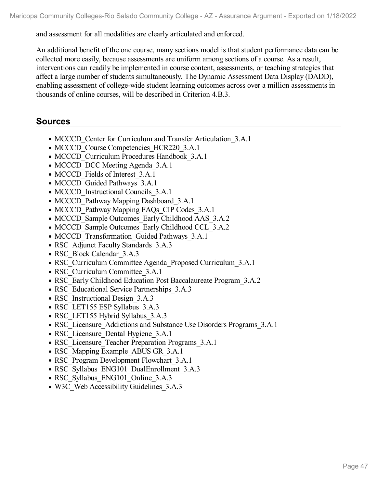and assessment for all modalities are clearly articulated and enforced.

An additional benefit of the one course, many sections model is that student performance data can be collected more easily, because assessments are uniform among sections of a course. As a result, interventions can readily be implemented in course content, assessments, or teaching strategies that affect a large number of students simultaneously. The Dynamic Assessment Data Display (DADD), enabling assessment of college-wide student learning outcomes across over a million assessments in thousands of online courses, will be described in Criterion 4.B.3.

# **Sources**

- MCCCD Center for Curriculum and Transfer Articulation 3.A.1
- MCCCD Course Competencies HCR220 3.A.1
- MCCCD Curriculum Procedures Handbook 3.A.1
- MCCCD DCC Meeting Agenda 3.A.1
- MCCCD Fields of Interest 3.A.1
- MCCCD Guided Pathways 3.A.1
- MCCCD Instructional Councils 3.A.1
- MCCCD Pathway Mapping Dashboard 3.A.1
- MCCCD Pathway Mapping FAQs CIP Codes 3.A.1
- MCCCD Sample Outcomes Early Childhood AAS 3.A.2
- MCCCD Sample Outcomes Early Childhood CCL 3.A.2
- MCCCD Transformation Guided Pathways 3.A.1
- RSC Adjunct Faculty Standards 3.A.3
- RSC\_Block Calendar\_3.A.3
- RSC\_Curriculum Committee Agenda\_Proposed Curriculum\_3.A.1
- RSC Curriculum Committee 3.A.1
- RSC\_Early Childhood Education Post Baccalaureate Program 3.A.2
- RSC Educational Service Partnerships 3.A.3
- RSC Instructional Design 3.A.3
- RSC\_LET155 ESP Syllabus\_3.A.3
- RSC\_LET155 Hybrid Syllabus\_3.A.3
- RSC Licensure Addictions and Substance Use Disorders Programs 3.A.1
- RSC Licensure Dental Hygiene 3.A.1
- RSC Licensure Teacher Preparation Programs 3.A.1
- RSC Mapping Example ABUS GR 3.A.1
- RSC\_Program Development Flowchart\_3.A.1
- RSC Syllabus ENG101 DualEnrollment 3.A.3
- RSC Syllabus ENG101 Online 3.A.3
- W3C Web Accessibility Guidelines 3.A.3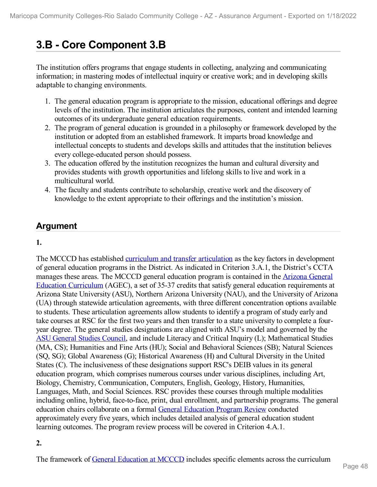# **3.B - Core Component 3.B**

The institution offers programs that engage students in collecting, analyzing and communicating information; in mastering modes of intellectual inquiry or creative work; and in developing skills adaptable to changing environments.

- 1. The general education program is appropriate to the mission, educational offerings and degree levels of the institution. The institution articulates the purposes, content and intended learning outcomes of its undergraduate general education requirements.
- 2. The program of general education is grounded in a philosophy or framework developed by the institution or adopted from an established framework. It imparts broad knowledge and intellectual concepts to students and develops skills and attitudes that the institution believes every college-educated person should possess.
- 3. The education offered by the institution recognizes the human and cultural diversity and provides students with growth opportunities and lifelong skills to live and work in a multicultural world.
- 4. The faculty and students contribute to scholarship, creative work and the discovery of knowledge to the extent appropriate to their offerings and the institution's mission.

# **Argument**

# **1.**

The MCCCD has established curriculum and transfer [articulation](file:///D:/evidence/viewfile?fileid=1352399) as the key factors in development of general education programs in the District. As indicated in Criterion 3.A.1, the District's CCTA manages these areas. The MCCCD general education program is contained in the Arizona General Education Curriculum (AGEC), a set of 35-37 credits that satisfy general education [requirements](file:///D:/evidence/viewfile?fileId=1352401) at Arizona State University (ASU), Northern Arizona University (NAU), and the University of Arizona (UA) through statewide articulation agreements, with three different concentration options available to students. These articulation agreements allow students to identify a program of study early and take courses at RSC for the first two years and then transfer to a state university to complete a four year degree. The general studies designations are aligned with ASU's model and governed by the ASU [General](file:///D:/evidence/viewfile?fileId=1352398) Studies Council, and include Literacy and Critical Inquiry (L); Mathematical Studies (MA, CS); Humanities and Fine Arts (HU); Social and Behavioral Sciences (SB); Natural Sciences (SQ, SG); Global Awareness (G); Historical Awareness (H) and Cultural Diversity in the United States (C). The inclusiveness of these designations support RSC's DEIB values in its general education program, which comprises numerous courses under various disciplines, including Art, Biology, Chemistry, Communication, Computers, English, Geology, History, Humanities, Languages, Math, and Social Sciences. RSC provides these courses through multiple modalities including online, hybrid, face-to-face, print, dual enrollment, and partnership programs. The general education chairs collaborate on a formal General [Education](file:///D:/evidence/viewfile?fileId=1352414) Program Review conducted approximately every five years, which includes detailed analysis of general education student learning outcomes. The program review process will be covered in Criterion 4.A.1.

# **2.**

The framework of General [Education](file:///D:/evidence/viewfile?fileId=1352412) at MCCCD includes specific elements across the curriculum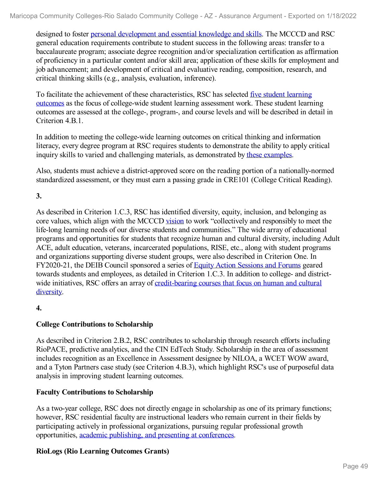designed to foster personal [development](file:///D:/evidence/viewfile?fileId=1352402) and essential knowledge and skills. The MCCCD and RSC general education requirements contribute to student success in the following areas: transfer to a baccalaureate program; associate degree recognition and/or specialization certification as affirmation of proficiency in a particular content and/or skill area; application of these skills for employment and job advancement; and development of critical and evaluative reading, composition, research, and critical thinking skills (e.g., analysis, evaluation, inference).

To facilitate the achievement of these [characteristics,](file:///D:/evidence/viewfile?fileId=1352404) RSC has selected five student learning outcomes as the focus of college-wide student learning assessment work. These student learning outcomes are assessed at the college-, program-, and course levels and will be described in detail in Criterion 4.B.1.

In addition to meeting the college-wide learning outcomes on critical thinking and information literacy, every degree program at RSC requires students to demonstrate the ability to apply critical inquiry skills to varied and challenging materials, as demonstrated by these [examples](file:///D:/evidence/viewfile?fileId=1352410).

Also, students must achieve a district-approved score on the reading portion of a nationally-normed standardized assessment, or they must earn a passing grade in CRE101 (College Critical Reading).

**3.**

As described in Criterion 1.C.3, RSC has identified diversity, equity, inclusion, and belonging as core values, which align with the MCCCD [vision](file:///D:/evidence/viewfile?fileId=1352397) to work "collectively and responsibly to meet the life-long learning needs of our diverse students and communities." The wide array of educational programs and opportunities for students that recognize human and cultural diversity, including Adult ACE, adult education, veterans, incarcerated populations, RISE, etc., along with student programs and organizations supporting diverse student groups, were also described in Criterion One. In FY2020-21, the DEIB Council sponsored a series of Equity Action [Sessions](file:///D:/evidence/viewfile?fileId=1352400) and Forums geared towards students and employees, as detailed in Criterion 1.C.3. In addition to college- and district wide initiatives, RSC offers an array of [credit-bearing](file:///D:/evidence/viewfile?fileId=1352409) courses that focus on human and cultural diversity.

**4.**

# **College Contributions to Scholarship**

As described in Criterion 2.B.2, RSC contributes to scholarship through research efforts including RioPACE, predictive analytics, and the CIN EdTech Study. Scholarship in the area of assessment includes recognition as an Excellence in Assessment designee by NILOA, a WCET WOW award, and a Tyton Partners case study (see Criterion 4.B.3), which highlight RSC's use of purposeful data analysis in improving student learning outcomes.

# **Faculty Contributions to Scholarship**

As a two-year college, RSC does not directly engage in scholarship as one of its primary functions; however, RSC residential faculty are instructional leaders who remain current in their fields by participating actively in professional organizations, pursuing regular professional growth opportunities, academic publishing, and presenting at [conferences](file:///D:/evidence/viewfile?fileId=1352403).

# **RioLogs (Rio Learning Outcomes Grants)**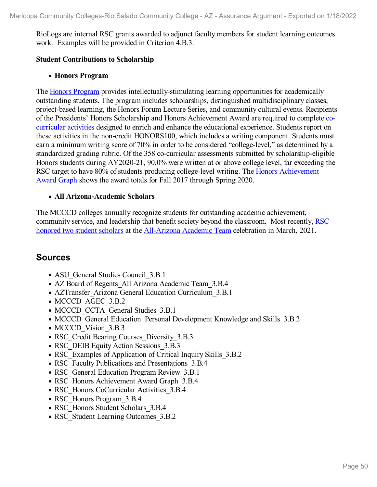RioLogs are internal RSC grants awarded to adjunct faculty members for student learning outcomes work. Examples will be provided in Criterion 4.B.3.

#### **Student Contributions to Scholarship**

#### **Honors Program**

The Honors [Program](file:///D:/evidence/viewfile?fileId=1352405) provides intellectually-stimulating learning opportunities for academically outstanding students. The program includes scholarships, distinguished multidisciplinary classes, project-based learning, the Honors Forum Lecture Series, and community cultural events. Recipients of the Presidents' Honors Scholarship and Honors [Achievement](file:///D:/evidence/viewfile?fileId=1352407) Award are required to complete cocurricular activities designed to enrich and enhance the educational experience. Students report on these activities in the non-credit HONORS100, which includes a writing component. Students must earn a minimum writing score of 70% in order to be considered "college-level," as determined by a standardized grading rubric. Of the 358 co-curricular assessments submitted by scholarship-eligible Honors students during AY2020-21, 90.0% were written at or above college level, far exceeding the RSC target to have 80% of students producing college-level writing. The Honors [Achievement](file:///D:/evidence/viewfile?fileId=1352413) Award Graph shows the award totals for Fall 2017 through Spring 2020.

#### **All Arizona-Academic Scholars**

The MCCCD colleges annually recognize students for outstanding academic achievement, [community](file:///D:/evidence/viewfile?fileId=1352411) service, and leadership that benefit society beyond the classroom. Most recently, RSC honored two student scholars at the [All-Arizona](file:///D:/evidence/viewfile?fileId=1352406) Academic Team celebration in March, 2021.

# **Sources**

- ASU General Studies Council 3.B.1
- AZ Board of Regents All Arizona Academic Team 3.B.4
- AZTransfer Arizona General Education Curriculum 3.B.1
- MCCCD AGEC 3.B.2
- MCCCD CCTA General Studies 3.B.1
- MCCCD General Education Personal Development Knowledge and Skills 3.B.2
- MCCCD Vision 3.B.3
- RSC Credit Bearing Courses Diversity 3.B.3
- RSC DEIB Equity Action Sessions 3.B.3
- RSC Examples of Application of Critical Inquiry Skills 3.B.2
- RSC Faculty Publications and Presentations 3.B.4
- RSC General Education Program Review 3.B.1
- RSC Honors Achievement Award Graph 3.B.4
- RSC Honors CoCurricular Activities 3.B.4
- RSC Honors Program 3.B.4
- RSC Honors Student Scholars 3.B.4
- RSC Student Learning Outcomes 3.B.2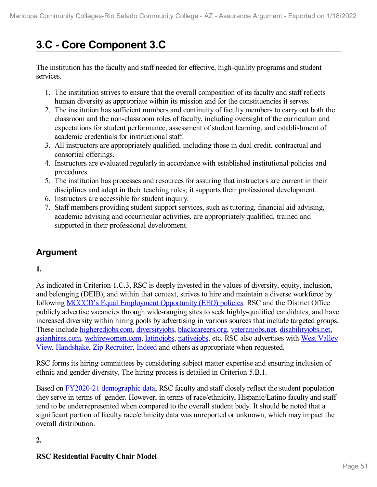# **3.C - Core Component 3.C**

The institution has the faculty and staff needed for effective, high-quality programs and student services.

- 1. The institution strives to ensure that the overall composition of its faculty and staff reflects human diversity as appropriate within its mission and for the constituencies it serves.
- 2. The institution has sufficient numbers and continuity of faculty members to carry out both the classroom and the non-classroom roles of faculty, including oversight of the curriculum and expectations for student performance, assessment of student learning, and establishment of academic credentials for instructional staff.
- 3. All instructors are appropriately qualified, including those in dual credit, contractual and consortial offerings.
- 4. Instructors are evaluated regularly in accordance with established institutional policies and procedures.
- 5. The institution has processes and resources for assuring that instructors are current in their disciplines and adept in their teaching roles; it supports their professional development.
- 6. Instructors are accessible for student inquiry.
- 7. Staff members providing student support services, such as tutoring, financial aid advising, academic advising and cocurricular activities, are appropriately qualified, trained and supported in their professional development.

# **Argument**

# **1.**

As indicated in Criterion 1.C.3, RSC is deeply invested in the values of diversity, equity, inclusion, and belonging (DEIB), and within that context, strives to hire and maintain a diverse workforce by following MCCCD's Equal [Employment](file:///D:/evidence/viewfile?fileId=1352433) Opportunity (EEO) policies. RSC and the District Office publicly advertise vacancies through wide-ranging sites to seek highly-qualified candidates, and have increased diversity within hiring pools by advertising in various sources that include targeted groups. These include [higheredjobs.com](file:///D:/evidence/viewfile?fileId=1352427), [diversityjobs](file:///D:/evidence/viewfile?fileId=1352434), [blackcareers.org](file:///D:/evidence/viewfile?fileId=1352428), [veteranjobs.net](file:///D:/evidence/viewfile?fileId=1352463), [disabilityjobs.net](file:///D:/evidence/viewfile?fileId=1352431), [asianhires.com](file:///D:/evidence/viewfile?fileId=1352429), [wehirewomen.com,](file:///D:/evidence/viewfile?fileId=1352471) [latinojobs](file:///D:/evidence/viewfile?fileId=1352447), [nativejobs](file:///D:/evidence/viewfile?fileId=1352450), etc. RSC also advertises with West Valley View, [Handshake](file:///D:/evidence/viewfile?fileId=1352435), Zip [Recruiter,](file:///D:/evidence/viewfile?fileId=1352488) [Indeed](file:///D:/evidence/viewfile?fileId=1352438) and others as appropriate when requested.

RSC forms its hiring committees by considering subject matter expertise and ensuring inclusion of ethnic and gender diversity. The hiring process is detailed in Criterion 5.B.1.

Based on FY2020-21 [demographic](file:///D:/evidence/viewfile?fileId=1352480) data, RSC faculty and staff closely reflect the student population they serve in terms of gender. However, in terms of race/ethnicity, Hispanic/Latino faculty and staff tend to be underrepresented when compared to the overall student body. It should be noted that a significant portion of faculty race/ethnicity data was unreported or unknown, which may impact the overall distribution.

# **2.**

# **RSC Residential Faculty Chair Model**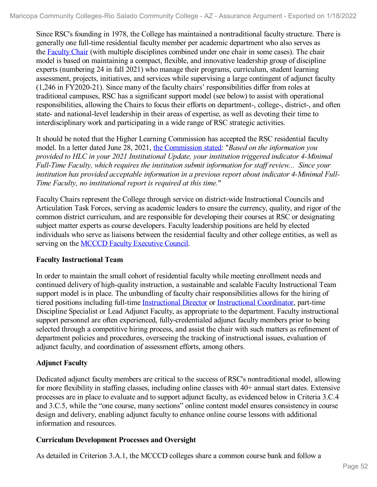Since RSC's founding in 1978, the College has maintained a nontraditional faculty structure. There is generally one full-time residential faculty member per academic department who also serves as the [Faculty](file:///D:/evidence/viewfile?fileId=1352458) Chair (with multiple disciplines combined under one chair in some cases). The chair model is based on maintaining a compact, flexible, and innovative leadership group of discipline experts (numbering 24 in fall 2021) who manage their programs, curriculum, student learning assessment, projects, initiatives, and services while supervising a large contingent of adjunct faculty (1,246 in FY2020-21). Since many of the faculty chairs' responsibilities differ from roles at traditional campuses, RSC has a significant support model (see below) to assist with operational responsibilities, allowing the Chairs to focus their efforts on department-, college-, district-, and often state- and national-level leadership in their areas of expertise, as well as devoting their time to interdisciplinary work and participating in a wide range of RSC strategic activities.

It should be noted that the Higher Learning Commission has accepted the RSC residential faculty model. In a letter dated June 28, 2021, the [Commission](file:///D:/evidence/viewfile?fileId=1352432) stated: "*Based on the information you provided to HLC in your 2021 Institutional Update, your institution triggered indicator 4-Minimal Full-Time Faculty, which requires the institution submit information for staf review... Since your institution has provided acceptable information in a previous report about indicator 4-Minimal Full- Time Faculty, no institutional report is required at this time.*"

Faculty Chairs represent the College through service on district-wide Instructional Councils and Articulation Task Forces, serving as academic leaders to ensure the currency, quality, and rigor of the common district curriculum, and are responsible for developing their courses at RSC or designating subject matter experts as course developers. Faculty leadership positions are held by elected individuals who serve as liaisons between the residential faculty and other college entities, as well as serving on the MCCCD Faculty [Executive](file:///D:/evidence/viewfile?fileId=1352442) Council.

# **Faculty Instructional Team**

In order to maintain the small cohort of residential faculty while meeting enrollment needs and continued delivery of high-quality instruction, a sustainable and scalable Faculty Instructional Team support model is in place. The unbundling of faculty chair responsibilities allows for the hiring of tiered positions including full-time [Instructional](file:///D:/evidence/viewfile?fileId=1352445) Director or [Instructional](file:///D:/evidence/viewfile?fileId=1352457) Coordinator, part-time Discipline Specialist or Lead Adjunct Faculty, as appropriate to the department. Faculty instructional support personnel are often experienced, fully-credentialed adjunct faculty members prior to being selected through a competitive hiring process, and assist the chair with such matters as refinement of department policies and procedures, overseeing the tracking of instructional issues, evaluation of adjunct faculty, and coordination of assessment efforts, among others.

# **Adjunct Faculty**

Dedicated adjunct faculty members are critical to the success of RSC's nontraditional model, allowing for more flexibility in staffing classes, including online classes with 40+ annual start dates. Extensive processes are in place to evaluate and to support adjunct faculty, as evidenced below in Criteria 3.C.4 and 3.C.5, while the "one course, many sections" online content model ensures consistency in course design and delivery, enabling adjunct faculty to enhance online course lessons with additional information and resources.

# **Curriculum Development Processes and Oversight**

As detailed in Criterion 3.A.1, the MCCCD colleges share a common course bank and follow a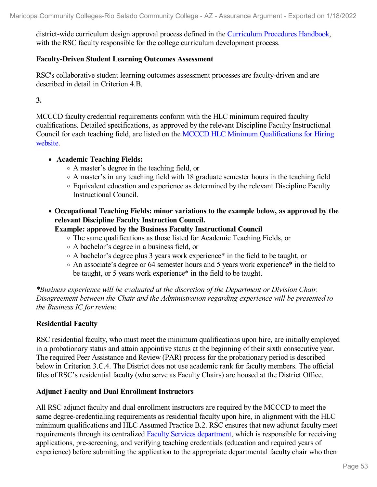district-wide curriculum design approval process defined in the [Curriculum](file:///D:/evidence/viewfile?fileId=1352436) Procedures Handbook, with the RSC faculty responsible for the college curriculum development process.

#### **Faculty-Driven Student Learning Outcomes Assessment**

RSC's collaborative student learning outcomes assessment processes are faculty-driven and are described in detail in Criterion 4.B.

**3.**

MCCCD faculty credential requirements conform with the HLC minimum required faculty qualifications. Detailed specifications, as approved by the relevant Discipline Faculty Instructional Council for each teaching field, are listed on the MCCCD HLC Minimum [Qualifications](file:///D:/evidence/viewfile?fileId=1352437) for Hiring website.

#### **Academic Teaching Fields:**

- A master's degree in the teaching field, or
- A master's in any teaching field with 18 graduate semester hours in the teaching field
- Equivalent education and experience as determined by the relevant Discipline Faculty Instructional Council.
- **Occupational Teaching Fields: minor variations to the example below, as approved by the relevant Discipline Faculty Instruction Council.**

#### **Example: approved by the Business Faculty Instructional Council**

- The same qualifications as those listed for Academic Teaching Fields, or
- A bachelor's degree in a business field, or
- A bachelor's degree plus 3 years work experience\* in the field to be taught, or
- An associate's degree or 64 semester hours and 5 years work experience\* in the field to be taught, or 5 years work experience\* in the field to be taught.

*\*Business experience will be evaluated at the discretion of the Department or Division Chair. Disagreement between the Chair and the Administration regarding experience will be presented to the Business IC for review.*

### **Residential Faculty**

RSC residential faculty, who must meet the minimum qualifications upon hire, are initially employed in a probationary status and attain appointive status at the beginning of their sixth consecutive year. The required Peer Assistance and Review (PAR) process for the probationary period is described below in Criterion 3.C.4. The District does not use academic rank for faculty members. The official files of RSC's residential faculty (who serve as Faculty Chairs) are housed at the District Office.

#### **Adjunct Faculty and Dual Enrollment Instructors**

All RSC adjunct faculty and dual enrollment instructors are required by the MCCCD to meet the same degree-credentialing requirements as residential faculty upon hire, in alignment with the HLC minimum qualifications and HLC Assumed Practice B.2. RSC ensures that new adjunct faculty meet requirements through its centralized **Faculty Services [department](file:///D:/evidence/viewfile?fileId=1352452)**, which is responsible for receiving applications, pre-screening, and verifying teaching credentials (education and required years of experience) before submitting the application to the appropriate departmental faculty chair who then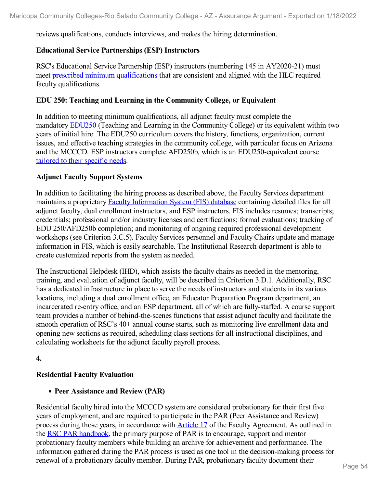reviews qualifications, conducts interviews, and makes the hiring determination.

#### **Educational Service Partnerships (ESP) Instructors**

RSC's Educational Service Partnership (ESP) instructors (numbering 145 in AY2020-21) must meet prescribed minimum [qualifications](file:///D:/evidence/viewfile?fileId=1352489) that are consistent and aligned with the HLC required faculty qualifications.

#### **EDU 250: Teaching and Learning in the Community College, or Equivalent**

In addition to meeting minimum qualifications, all adjunct faculty must complete the mandatory [EDU250](file:///D:/evidence/viewfile?fileId=1352451) (Teaching and Learning in the Community College) or its equivalent within two years of initial hire. The EDU250 curriculum covers the history, functions, organization, current issues, and effective teaching strategies in the community college, with particular focus on Arizona and the MCCCD. ESP instructors complete AFD250b, which is an EDU250-equivalent course tailored to their [specific](file:///D:/evidence/viewfile?fileId=1352479) needs.

#### **Adjunct Faculty Support Systems**

In addition to facilitating the hiring process as described above, the Faculty Services department maintains a proprietary Faculty [Information](file:///D:/evidence/viewfile?fileId=1359617) System (FIS) database containing detailed files for all adjunct faculty, dual enrollment instructors, and ESP instructors. FIS includes resumes; transcripts; credentials; professional and/or industry licenses and certifications; formal evaluations; tracking of EDU 250/AFD250b completion; and monitoring of ongoing required professional development workshops (see Criterion 3.C.5). Faculty Services personnel and Faculty Chairs update and manage information in FIS, which is easily searchable. The Institutional Research department is able to create customized reports from the system as needed.

The Instructional Helpdesk (IHD), which assists the faculty chairs as needed in the mentoring, training, and evaluation of adjunct faculty, will be described in Criterion 3.D.1. Additionally, RSC has a dedicated infrastructure in place to serve the needs of instructors and students in its various locations, including a dual enrollment office, an Educator Preparation Program department, an incarcerated re-entry office, and an ESP department, all of which are fully-staffed. A course support team provides a number of behind-the-scenes functions that assist adjunct faculty and facilitate the smooth operation of RSC's 40+ annual course starts, such as monitoring live enrollment data and opening new sections as required, scheduling class sections for all instructional disciplines, and calculating worksheets for the adjunct faculty payroll process.

#### **4.**

### **Residential Faculty Evaluation**

#### **Peer Assistance and Review (PAR)**

Residential faculty hired into the MCCCD system are considered probationary for their first five years of employment, and are required to participate in the PAR (Peer Assistance and Review) process during those years, in accordance with [Article](file:///D:/evidence/viewfile?fileId=1352456) 17 of the Faculty Agreement. As outlined in the RSC PAR [handbook](file:///D:/evidence/viewfile?fileId=1352476), the primary purpose of PAR is to encourage, support and mentor probationary faculty members while building an archive for achievement and performance. The information gathered during the PAR process is used as one tool in the decision-making process for renewal of a probationary faculty member. During PAR, probationary faculty document their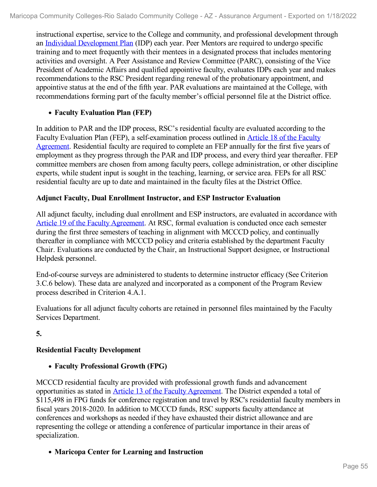instructional expertise, service to the College and community, and professional development through an Individual [Development](file:///D:/evidence/viewfile?fileId=1352483) Plan (IDP) each year. Peer Mentors are required to undergo specific training and to meet frequently with their mentees in a designated process that includes mentoring activities and oversight. A Peer Assistance and Review Committee (PARC), consisting of the Vice President of Academic Affairs and qualified appointive faculty, evaluates IDPs each year and makes recommendations to the RSC President regarding renewal of the probationary appointment, and appointive status at the end of the fifth year. PAR evaluations are maintained at the College, with recommendations forming part of the faculty member's official personnel file at the District office.

## **Faculty Evaluation Plan (FEP)**

In addition to PAR and the IDP process, RSC's residential faculty are evaluated according to the Faculty Evaluation Plan (FEP), a [self-examination](file:///D:/evidence/viewfile?fileId=1352453) process outlined in Article 18 of the Faculty Agreement. Residential faculty are required to complete an FEP annually for the first five years of employment as they progress through the PAR and IDP process, and every third year thereafter. FEP committee members are chosen from among faculty peers, college administration, or other discipline experts, while student input is sought in the teaching, learning, or service area. FEPs for all RSC residential faculty are up to date and maintained in the faculty files at the District Office.

### **Adjunct Faculty, Dual Enrollment Instructor, and ESP Instructor Evaluation**

All adjunct faculty, including dual enrollment and ESP instructors, are evaluated in accordance with Article 19 of the Faculty [Agreement](file:///D:/evidence/viewfile?fileId=1352443). At RSC, formal evaluation is conducted once each semester during the first three semesters of teaching in alignment with MCCCD policy, and continually thereafter in compliance with MCCCD policy and criteria established by the department Faculty Chair. Evaluations are conducted by the Chair, an Instructional Support designee, or Instructional Helpdesk personnel.

End-of-course surveys are administered to students to determine instructor efficacy (See Criterion 3.C.6 below). These data are analyzed and incorporated as a component of the Program Review process described in Criterion 4.A.1.

Evaluations for all adjunct faculty cohorts are retained in personnel files maintained by the Faculty Services Department.

### **5.**

# **Residential Faculty Development**

### **Faculty Professional Growth (FPG)**

MCCCD residential faculty are provided with professional growth funds and advancement opportunities as stated in Article 13 of the Faculty [Agreement](file:///D:/evidence/viewfile?fileId=1352470). The District expended a total of \$115,498 in FPG funds for conference registration and travel by RSC's residential faculty members in fiscal years 2018-2020. In addition to MCCCD funds, RSC supports faculty attendance at conferences and workshops as needed if they have exhausted their district allowance and are representing the college or attending a conference of particular importance in their areas of specialization.

# **Maricopa Center for Learning and Instruction**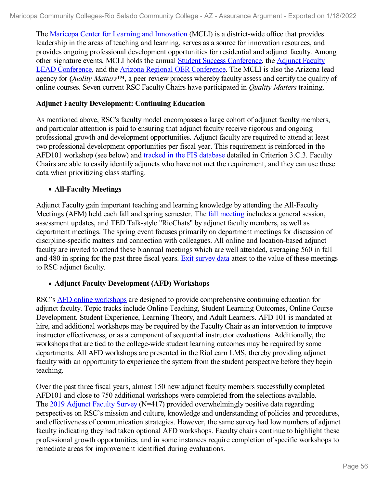The Maricopa Center for Learning and [Innovation](file:///D:/evidence/viewfile?fileId=1352460) (MCLI) is a district-wide office that provides leadership in the areas of teaching and learning, serves as a source for innovation resources, and provides ongoing professional development opportunities for residential and adjunct faculty. Among other signature events, MCLI holds the annual Student Success [Conference,](file:///D:/evidence/viewfile?fileId=1352444) the Adjunct Faculty LEAD Conference, and the Arizona Regional OER [Conference](file:///D:/evidence/viewfile?fileId=1352441). The MCLI is also the Arizona lead agency for *Quality Matters*™, a peer review process whereby faculty assess and certify the quality of online courses. Seven current RSC Faculty Chairs have participated in *Quality Matters* training.

#### **Adjunct Faculty Development: Continuing Education**

As mentioned above, RSC's faculty model encompasses a large cohort of adjunct faculty members, and particular attention is paid to ensuring that adjunct faculty receive rigorous and ongoing professional growth and development opportunities. Adjunct faculty are required to attend at least two professional development opportunities per fiscal year. This requirement is reinforced in the AFD101 workshop (see below) and tracked in the FIS [database](file:///D:/evidence/viewfile?fileId=1352467) detailed in Criterion 3.C.3. Faculty Chairs are able to easily identify adjuncts who have not met the requirement, and they can use these data when prioritizing class staffing.

#### **All-Faculty Meetings**

Adjunct Faculty gain important teaching and learning knowledge by attending the All-Faculty Meetings (AFM) held each fall and spring semester. The fall [meeting](file:///D:/evidence/viewfile?fileId=1352455) includes a general session, assessment updates, and TED Talk-style "RioChats" by adjunct faculty members, as well as department meetings. The spring event focuses primarily on department meetings for discussion of discipline-specific matters and connection with colleagues. All online and location-based adjunct faculty are invited to attend these biannual meetings which are well attended, averaging 560 in fall and 480 in spring for the past three fiscal years. Exit [survey](file:///D:/evidence/viewfile?fileId=1352482) data attest to the value of these meetings to RSC adjunct faculty.

### **Adjunct Faculty Development (AFD) Workshops**

RSC's AFD online [workshops](file:///D:/evidence/viewfile?fileId=1352464) are designed to provide comprehensive continuing education for adjunct faculty. Topic tracks include Online Teaching, Student Learning Outcomes, Online Course Development, Student Experience, Learning Theory, and Adult Learners. AFD 101 is mandated at hire, and additional workshops may be required by the Faculty Chair as an intervention to improve instructor effectiveness, or as a component of sequential instructor evaluations. Additionally, the workshops that are tied to the college-wide student learning outcomes may be required by some departments. All AFD workshops are presented in the RioLearn LMS, thereby providing adjunct faculty with an opportunity to experience the system from the student perspective before they begin teaching.

Over the past three fiscal years, almost 150 new adjunct faculty members successfully completed AFD101 and close to 750 additional workshops were completed from the selections available. The 2019 [Adjunct](file:///D:/evidence/viewfile?fileId=1352446) Faculty Survey (N=417) provided overwhelmingly positive data regarding perspectives on RSC's mission and culture, knowledge and understanding of policies and procedures, and effectiveness of communication strategies. However, the same survey had low numbers of adjunct faculty indicating they had taken optional AFD workshops. Faculty chairs continue to highlight these professional growth opportunities, and in some instances require completion of specific workshops to remediate areas for improvement identified during evaluations.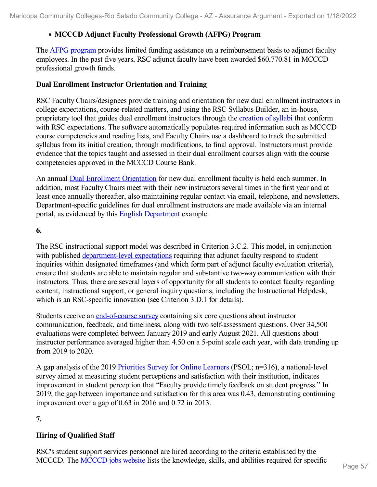# **MCCCD Adjunct Faculty Professional Growth (AFPG) Program**

The **AFPG** [program](file:///D:/evidence/viewfile?fileId=1352474) provides limited funding assistance on a reimbursement basis to adjunct faculty employees. In the past five years, RSC adjunct faculty have been awarded \$60,770.81 in MCCCD professional growth funds.

## **Dual Enrollment Instructor Orientation and Training**

RSC Faculty Chairs/designees provide training and orientation for new dual enrollment instructors in college expectations, course-related matters, and using the RSC Syllabus Builder, an in-house, proprietary tool that guides dual enrollment instructors through the [creation](file:///D:/evidence/viewfile?fileId=1352484) of syllabi that conform with RSC expectations. The software automatically populates required information such as MCCCD course competencies and reading lists, and Faculty Chairs use a dashboard to track the submitted syllabus from its initial creation, through modifications, to final approval. Instructors must provide evidence that the topics taught and assessed in their dual enrollment courses align with the course competencies approved in the MCCCD Course Bank.

An annual Dual Enrollment [Orientation](file:///D:/evidence/viewfile?fileId=1352468) for new dual enrollment faculty is held each summer. In addition, most Faculty Chairs meet with their new instructors several times in the first year and at least once annually thereafter, also maintaining regular contact via email, telephone, and newsletters. Department-specific guidelines for dual enrollment instructors are made available via an internal portal, as evidenced by this English [Department](file:///D:/evidence/viewfile?fileId=1352469) example.

**6.**

The RSC instructional support model was described in Criterion 3.C.2. This model, in conjunction with published [department-level](file:///D:/evidence/viewfile?fileId=1352461) expectations requiring that adjunct faculty respond to student inquiries within designated timeframes (and which form part of adjunct faculty evaluation criteria), ensure that students are able to maintain regular and substantive two-way communication with their instructors. Thus, there are several layers of opportunity for all students to contact faculty regarding content, instructional support, or general inquiry questions, including the Instructional Helpdesk, which is an RSC-specific innovation (see Criterion 3.D.1 for details).

Students receive an [end-of-course](file:///D:/evidence/viewfile?fileId=1352459) survey containing six core questions about instructor communication, feedback, and timeliness, along with two self-assessment questions. Over 34,500 evaluations were completed between January 2019 and early August 2021. All questions about instructor performance averaged higher than 4.50 on a 5-point scale each year, with data trending up from 2019 to 2020.

A gap analysis of the 2019 [Priorities](file:///D:/evidence/viewfile?fileId=1352485) Survey for Online Learners (PSOL; n=316), a national-level survey aimed at measuring student perceptions and satisfaction with their institution, indicates improvement in student perception that "Faculty provide timely feedback on student progress." In 2019, the gap between importance and satisfaction for this area was 0.43, demonstrating continuing improvement over a gap of 0.63 in 2016 and 0.72 in 2013.

**7.**

# **Hiring of Qualified Staff**

RSC's student support services personnel are hired according to the criteria established by the MCCCD. The [MCCCD](file:///D:/evidence/viewfile?fileId=1352439) jobs website lists the knowledge, skills, and abilities required for specific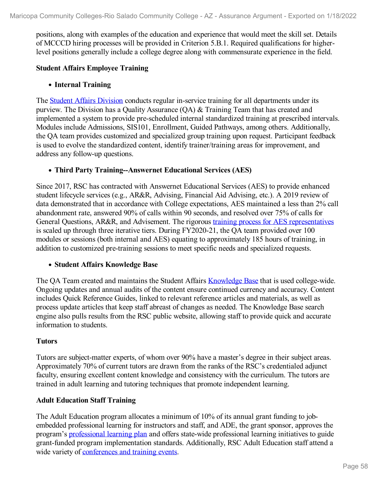positions, along with examples of the education and experience that would meet the skill set. Details of MCCCD hiring processes will be provided in Criterion 5.B.1. Required qualifications for higherlevel positions generally include a college degree along with commensurate experience in the field.

### **Student Affairs Employee Training**

## **Internal Training**

The Student Affairs [Division](file:///D:/evidence/viewfile?fileId=1352473) conducts regular in-service training for all departments under its purview. The Division has a Quality Assurance (QA) & Training Team that has created and implemented a system to provide pre-scheduled internal standardized training at prescribed intervals. Modules include Admissions, SIS101, Enrollment, Guided Pathways, among others. Additionally, the QA team provides customized and specialized group training upon request. Participant feedback is used to evolve the standardized content, identify trainer/training areas for improvement, and address any follow-up questions.

## **Third Party Training--Answernet Educational Services (AES)**

Since 2017, RSC has contracted with Answernet Educational Services (AES) to provide enhanced student lifecycle services (e.g., AR&R, Advising, Financial Aid Advising, etc.). A 2019 review of data demonstrated that in accordance with College expectations, AES maintained a less than 2% call abandonment rate, answered 90% of calls within 90 seconds, and resolved over 75% of calls for General Questions, AR&R, and Advisement. The rigorous training process for AES [representatives](file:///D:/evidence/viewfile?fileId=1352481) is scaled up through three iterative tiers. During FY2020-21, the QA team provided over 100 modules or sessions (both internal and AES) equating to approximately 185 hours of training, in addition to customized pre-training sessions to meet specific needs and specialized requests.

### **Student Affairs Knowledge Base**

The QA Team created and maintains the Student Affairs [Knowledge](file:///D:/evidence/viewfile?fileId=1352475) Base that is used college-wide. Ongoing updates and annual audits of the content ensure continued currency and accuracy. Content includes Quick Reference Guides, linked to relevant reference articles and materials, as well as process update articles that keep staff abreast of changes as needed. The Knowledge Base search engine also pulls results from the RSC public website, allowing staff to provide quick and accurate information to students.

### **Tutors**

Tutors are subject-matter experts, of whom over 90% have a master's degree in their subject areas. Approximately 70% of current tutors are drawn from the ranks of the RSC's credentialed adjunct faculty, ensuring excellent content knowledge and consistency with the curriculum. The tutors are trained in adult learning and tutoring techniques that promote independent learning.

# **Adult Education Staff Training**

The Adult Education program allocates a minimum of 10% of its annual grant funding to jobembedded professional learning for instructors and staff, and ADE, the grant sponsor, approves the program's [professional](file:///D:/evidence/viewfile?fileId=1352477) learning plan and offers state-wide professional learning initiatives to guide grant-funded program implementation standards. Additionally, RSC Adult Education staff attend a wide variety of [conferences](file:///D:/evidence/viewfile?fileId=1352454) and training events.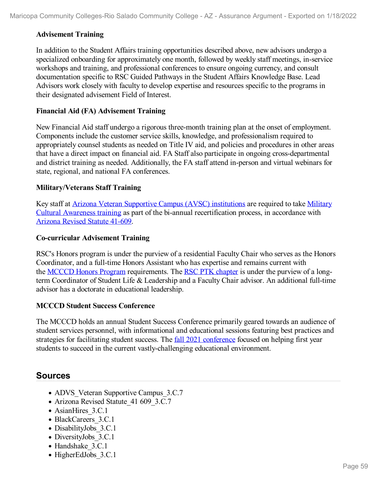### **Advisement Training**

In addition to the Student Affairs training opportunities described above, new advisors undergo a specialized onboarding for approximately one month, followed by weekly staff meetings, in-service workshops and training, and professional conferences to ensure ongoing currency, and consult documentation specific to RSC Guided Pathways in the Student Affairs Knowledge Base. Lead Advisors work closely with faculty to develop expertise and resources specific to the programs in their designated advisement Field of Interest.

### **Financial Aid (FA) Advisement Training**

New Financial Aid staff undergo a rigorous three-month training plan at the onset of employment. Components include the customer service skills, knowledge, and professionalism required to appropriately counsel students as needed on Title IV aid, and policies and procedures in other areas that have a direct impact on financial aid. FA Staff also participate in ongoing cross-departmental and district training as needed. Additionally, the FA staff attend in-person and virtual webinars for state, regional, and national FA conferences.

## **Military/Veterans Staff Training**

Key staff at Arizona Veteran Supportive Campus (AVSC) [institutions](file:///D:/evidence/viewfile?fileId=1352462) are required to take Military Cultural Awareness training as part of the bi-annual [recertification](file:///D:/evidence/viewfile?fileId=1352478) process, in accordance with [Arizona](file:///D:/evidence/viewfile?fileId=1352426) Revised Statute 41-609.

### **Co-curricular Advisement Training**

RSC's Honors program is under the purview of a residential Faculty Chair who serves as the Honors Coordinator, and a full-time Honors Assistant who has expertise and remains current with the [MCCCD](file:///D:/evidence/viewfile?fileId=1352448) Honors Program requirements. The RSC PTK [chapter](file:///D:/evidence/viewfile?fileId=1352487) is under the purview of a longterm Coordinator of Student Life & Leadership and a Faculty Chair advisor. An additional full-time advisor has a doctorate in educational leadership.

### **MCCCD Student Success Conference**

The MCCCD holds an annual Student Success Conference primarily geared towards an audience of student services personnel, with informational and educational sessions featuring best practices and strategies for facilitating student success. The <u>fall 2021 [conference](file:///D:/evidence/viewfile?fileId=1352440)</u> focused on helping first year students to succeed in the current vastly-challenging educational environment.

# **Sources**

- ADVS Veteran Supportive Campus 3.C.7
- Arizona Revised Statute 41 609 3.C.7
- AsianHires 3.C.1
- BlackCareers 3.C.1
- DisabilityJobs 3.C.1
- DiversityJobs 3.C.1
- Handshake 3.C.1
- HigherEdJobs 3.C.1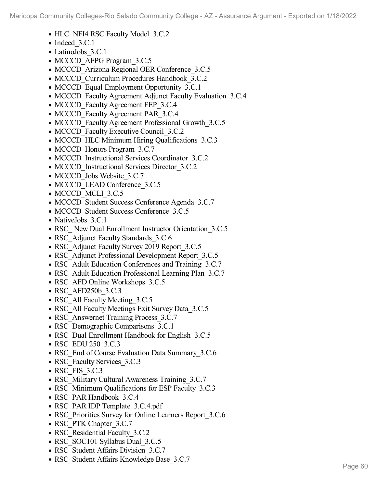- HLC NFI4 RSC Faculty Model 3.C.2
- Indeed 3.C.1
- LatinoJobs 3.C.1
- MCCCD AFPG Program 3.C.5
- MCCCD Arizona Regional OER Conference 3.C.5
- MCCCD Curriculum Procedures Handbook 3.C.2
- MCCCD Equal Employment Opportunity 3.C.1
- MCCCD Faculty Agreement Adjunct Faculty Evaluation 3.C.4
- MCCCD Faculty Agreement FEP 3.C.4
- MCCCD Faculty Agreement PAR 3.C.4
- MCCCD Faculty Agreement Professional Growth 3.C.5
- MCCCD Faculty Executive Council 3.C.2
- MCCCD HLC Minimum Hiring Qualifications 3.C.3
- MCCCD Honors Program 3.C.7
- MCCCD Instructional Services Coordinator 3.C.2
- MCCCD Instructional Services Director 3.C.2
- MCCCD Jobs Website 3.C.7
- MCCCD LEAD Conference 3.C.5
- MCCCD MCLI 3.C.5
- MCCCD Student Success Conference Agenda 3.C.7
- MCCCD Student Success Conference 3.C.5
- NativeJobs 3.C.1
- RSC New Dual Enrollment Instructor Orientation 3.C.5
- RSC Adjunct Faculty Standards 3.C.6
- RSC Adjunct Faculty Survey 2019 Report 3.C.5
- RSC Adjunct Professional Development Report 3.C.5
- RSC Adult Education Conferences and Training 3.C.7
- RSC Adult Education Professional Learning Plan 3.C.7
- RSC AFD Online Workshops 3.C.5
- RSC AFD250b 3.C.3
- RSC All Faculty Meeting 3.C.5
- RSC All Faculty Meetings Exit Survey Data 3.C.5
- RSC Answernet Training Process 3.C.7
- RSC Demographic Comparisons 3.C.1
- RSC Dual Enrollment Handbook for English 3.C.5
- RSC EDU 250 3.C.3
- RSC End of Course Evaluation Data Summary 3.C.6
- RSC Faculty Services 3.C.3
- RSC FIS 3.C.3
- RSC Military Cultural Awareness Training 3.C.7
- RSC Minimum Qualifications for ESP Faculty 3.C.3
- RSC\_PAR Handbook\_3.C.4
- RSC\_PAR IDP Template\_3.C.4.pdf
- RSC Priorities Survey for Online Learners Report 3.C.6
- RSC\_PTK Chapter\_3.C.7
- RSC\_Residential Faculty\_3.C.2
- RSC SOC101 Syllabus Dual 3.C.5
- RSC Student Affairs Division 3.C.7
- RSC\_Student Affairs Knowledge Base\_3.C.7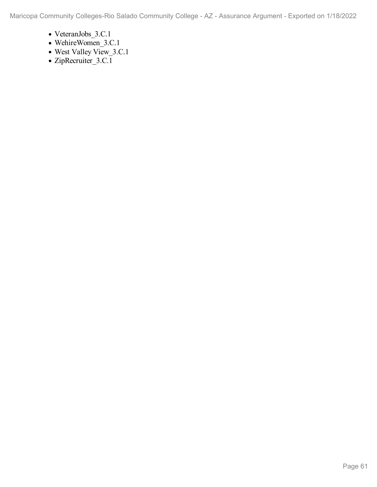Maricopa Community Colleges-Rio Salado Community College - AZ - Assurance Argument - Exported on 1/18/2022

- VeteranJobs\_3.C.1
- WehireWomen\_3.C.1
- West Valley View\_3.C.1
- ZipRecruiter\_3.C.1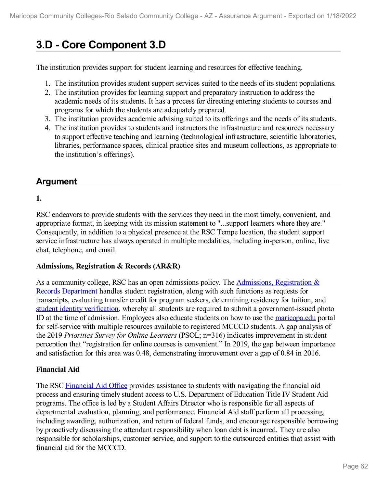# **3.D - Core Component 3.D**

The institution provides support for student learning and resources for effective teaching.

- 1. The institution provides student support services suited to the needs of its student populations.
- 2. The institution provides for learning support and preparatory instruction to address the academic needs of its students. It has a process for directing entering students to courses and programs for which the students are adequately prepared.
- 3. The institution provides academic advising suited to its offerings and the needs of its students.
- 4. The institution provides to students and instructors the infrastructure and resources necessary to support effective teaching and learning (technological infrastructure, scientific laboratories, libraries, performance spaces, clinical practice sites and museum collections, as appropriate to the institution's offerings).

# **Argument**

# **1.**

RSC endeavors to provide students with the services they need in the most timely, convenient, and appropriate format, in keeping with its mission statement to "...support learners where they are." Consequently, in addition to a physical presence at the RSC Tempe location, the student support service infrastructure has always operated in multiple modalities, including in-person, online, live chat, telephone, and email.

### **Admissions, Registration & Records (AR&R)**

As a community college, RSC has an open admissions policy. The [Admissions,](file:///D:/evidence/viewfile?fileId=1352616) Registration & Records Department handles student registration, along with such functions as requests for transcripts, evaluating transfer credit for program seekers, determining residency for tuition, and student identity [verification,](file:///D:/evidence/viewfile?fileId=1352658) whereby all students are required to submit a government-issued photo ID at the time of admission. Employees also educate students on how to use the [maricopa.edu](file:///D:/evidence/viewfile?fileId=1352650) portal for self-service with multiple resources available to registered MCCCD students. A gap analysis of the 2019 *Priorities Survey for Online Learners* (PSOL; n=316) indicates improvement in student perception that "registration for online courses is convenient." In 2019, the gap between importance and satisfaction for this area was 0.48, demonstrating improvement over a gap of 0.84 in 2016.

# **Financial Aid**

The RSC [Financial](file:///D:/evidence/viewfile?fileId=1352643) Aid Office provides assistance to students with navigating the financial aid process and ensuring timely student access to U.S. Department of Education Title IV Student Aid programs. The office is led by a Student Affairs Director who is responsible for all aspects of departmental evaluation, planning, and performance. Financial Aid staff perform all processing, including awarding, authorization, and return of federal funds, and encourage responsible borrowing by proactively discussing the attendant responsibility when loan debt is incurred. They are also responsible for scholarships, customer service, and support to the outsourced entities that assist with financial aid for the MCCCD.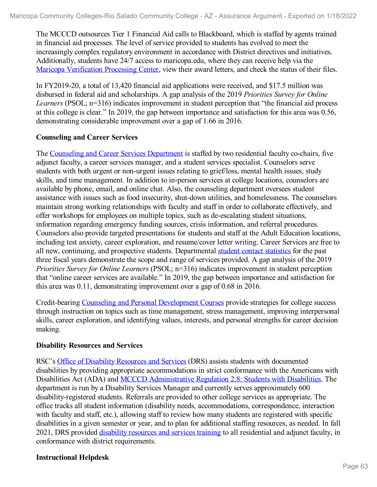The MCCCD outsources Tier 1 Financial Aid calls to Blackboard, which is staffed by agents trained in financial aid processes. The level of service provided to students has evolved to meet the increasingly complex regulatory environment in accordance with District directives and initiatives. Additionally, students have 24/7 access to maricopa.edu, where they can receive help via the Maricopa [Verification](file:///D:/evidence/viewfile?fileId=1352644) Processing Center, view their award letters, and check the status of their files.

In FY2019-20, a total of 13,420 financial aid applications were received, and \$17.5 million was disbursed in federal aid and scholarships. A gap analysis of the 2019 *Priorities Survey for Online Learners* (PSOL; n=316) indicates improvement in student perception that "the financial aid process at this college is clear." In 2019, the gap between importance and satisfaction for this area was 0.56, demonstrating considerable improvement over a gap of 1.66 in 2016.

## **Counseling and Career Services**

The Counseling and Career Services [Department](file:///D:/evidence/viewfile?fileId=1352642) is staffed by two residential faculty co-chairs, five adjunct faculty, a career services manager, and a student services specialist. Counselors serve students with both urgent or non-urgent issues relating to grief/loss, mental health issues, study skills, and time management. In addition to in-person services at college locations, counselors are available by phone, email, and online chat. Also, the counseling department oversees student assistance with issues such as food insecurity, shut-down utilities, and homelessness. The counselors maintain strong working relationships with faculty and staff in order to collaborate effectively, and offer workshops for employees on multiple topics, such as de-escalating student situations, information regarding emergency funding sources, crisis information, and referral procedures. Counselors also provide targeted presentations for students and staff at the Adult Education locations, including test anxiety, career exploration, and resume/cover letter writing. Career Services are free to all new, continuing, and prospective students. Departmental student contact [statistics](file:///D:/evidence/viewfile?fileId=1352656) for the past three fiscal years demonstrate the scope and range of services provided. A gap analysis of the 2019 *Priorities Survey for Online Learners* (PSOL; n=316) indicates improvement in student perception that "online career services are available." In 2019, the gap between importance and satisfaction for this area was 0.11, demonstrating improvement over a gap of 0.68 in 2016.

Credit-bearing Counseling and Personal [Development](file:///D:/evidence/viewfile?fileId=1352651) Courses provide strategies for college success through instruction on topics such as time management, stress management, improving interpersonal skills, career exploration, and identifying values, interests, and personal strengths for career decision making.

### **Disability Resources and Services**

RSC's Office of Disability [Resources](file:///D:/evidence/viewfile?fileId=1352648) and Services (DRS) assists students with documented disabilities by providing appropriate accommodations in strict conformance with the Americans with Disabilities Act (ADA) and MCCCD [Administrative](file:///D:/evidence/viewfile?fileId=1352657) Regulation 2.8: Students with Disabilities. The department is run by a Disability Services Manager and currently serves approximately 600 disability-registered students. Referrals are provided to other college services as appropriate. The office tracks all student information (disability needs, accommodations, correspondence, interaction with faculty and staff, etc.), allowing staff to review how many students are registered with specific disabilities in a given semester or year, and to plan for additional staffing resources, as needed. In fall 2021, DRS provided disability [resources](file:///D:/evidence/viewfile?fileId=1352623) and services training to all residential and adjunct faculty, in conformance with district requirements.

### **Instructional Helpdesk**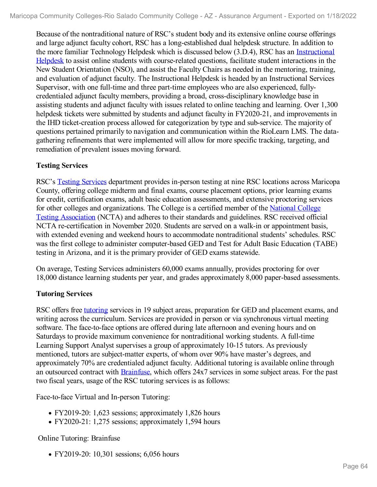Because of the nontraditional nature of RSC's student body and its extensive online course offerings and large adjunct faculty cohort, RSC has a long-established dual helpdesk structure. In addition to the more familiar Technology Helpdesk which is discussed below (3.D.4), RSC has an Instructional Helpdesk to assist online students with [course-related](file:///D:/evidence/viewfile?fileId=1352645) questions, facilitate student interactions in the New Student Orientation (NSO), and assist the Faculty Chairs as needed in the mentoring, training, and evaluation of adjunct faculty. The Instructional Helpdesk is headed by an Instructional Services Supervisor, with one full-time and three part-time employees who are also experienced, fullycredentialed adjunct faculty members, providing a broad, cross-disciplinary knowledge base in assisting students and adjunct faculty with issues related to online teaching and learning. Over 1,300 helpdesk tickets were submitted by students and adjunct faculty in FY2020-21, and improvements in the IHD ticket-creation process allowed for categorization by type and sub-service. The majority of questions pertained primarily to navigation and communication within the RioLearn LMS. The data gathering refinements that were implemented will allow for more specific tracking, targeting, and remediation of prevalent issues moving forward.

# **Testing Services**

RSC's Testing [Services](file:///D:/evidence/viewfile?fileId=1352637) department provides in-person testing at nine RSC locations across Maricopa County, offering college midterm and final exams, course placement options, prior learning exams for credit, certification exams, adult basic education assessments, and extensive proctoring services for other colleges and [organizations.](file:///D:/evidence/viewfile?fileId=1352608) The College is a certified member of the National College Testing Association (NCTA) and adheres to their standards and guidelines. RSC received official NCTA re-certification in November 2020. Students are served on a walk-in or appointment basis, with extended evening and weekend hours to accommodate nontraditional students' schedules. RSC was the first college to administer computer-based GED and Test for Adult Basic Education (TABE) testing in Arizona, and it is the primary provider of GED exams statewide.

On average, Testing Services administers 60,000 exams annually, provides proctoring for over 18,000 distance learning students per year, and grades approximately 8,000 paper-based assessments.

# **Tutoring Services**

RSC offers free [tutoring](file:///D:/evidence/viewfile?fileId=1352640) services in 19 subject areas, preparation for GED and placement exams, and writing across the curriculum. Services are provided in person or via synchronous virtual meeting software. The face-to-face options are offered during late afternoon and evening hours and on Saturdays to provide maximum convenience for nontraditional working students. A full-time Learning Support Analyst supervises a group of approximately 10-15 tutors. As previously mentioned, tutors are subject-matter experts, of whom over 90% have master's degrees, and approximately 70% are credentialed adjunct faculty. Additional tutoring is available online through an outsourced contract with [Brainfuse](file:///D:/evidence/viewfile?fileId=1352607), which offers 24x7 services in some subject areas. For the past two fiscal years, usage of the RSC tutoring services is as follows:

Face-to-face Virtual and In-person Tutoring:

- FY2019-20: 1,623 sessions; approximately 1,826 hours
- FY2020-21: 1,275 sessions; approximately 1,594 hours

Online Tutoring: Brainfuse

• FY2019-20: 10,301 sessions; 6,056 hours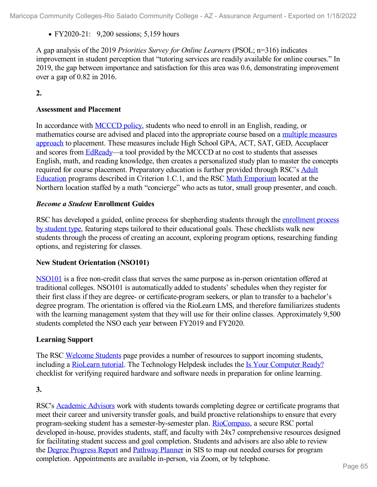• FY2020-21: 9,200 sessions; 5,159 hours

A gap analysis of the 2019 *Priorities Survey for Online Learners* (PSOL; n=316) indicates improvement in student perception that "tutoring services are readily available for online courses." In 2019, the gap between importance and satisfaction for this area was 0.6, demonstrating improvement over a gap of 0.82 in 2016.

**2.**

## **Assessment and Placement**

In accordance with [MCCCD](file:///D:/evidence/viewfile?fileId=1352638#page=14) policy, students who need to enroll in an English, reading, or [mathematics](file:///D:/evidence/viewfile?fileId=1352633) course are advised and placed into the appropriate course based on a multiple measures approach to placement. These measures include High School GPA, ACT, SAT, GED, Accuplacer and scores from [EdReady](file:///D:/evidence/viewfile?fileId=1352609)—a tool provided by the MCCCD at no cost to students that assesses English, math, and reading knowledge, then creates a personalized study plan to master the concepts required for course placement. [Preparatory](file:///D:/evidence/viewfile?fileId=1352610) education is further provided through RSC's Adult Education programs described in Criterion 1.C.1, and the RSC Math [Emporium](file:///D:/evidence/viewfile?fileId=1352634) located at the Northern location staffed by a math "concierge" who acts as tutor, small group presenter, and coach.

### *Become a Student* **Enrollment Guides**

RSC has developed a guided, online process for [shepherding](file:///D:/evidence/viewfile?fileId=1352614) students through the enrollment process by student type, featuring steps tailored to their educational goals. These checklists walk new students through the process of creating an account, exploring program options, researching funding options, and registering for classes.

### **New Student Orientation (NSO101)**

[NSO101](file:///D:/evidence/viewfile?fileId=1352635) is a free non-credit class that serves the same purpose as in-person orientation offered at traditional colleges. NSO101 is automatically added to students' schedules when they register for their first class if they are degree- or certificate-program seekers, or plan to transfer to a bachelor's degree program. The orientation is offered via the RioLearn LMS, and therefore familiarizes students with the learning management system that they will use for their online classes. Approximately 9,500 students completed the NSO each year between FY2019 and FY2020.

### **Learning Support**

The RSC [Welcome](file:///D:/evidence/viewfile?fileId=1352641) Students page provides a number of resources to support incoming students, including a [RioLearn](file:///D:/evidence/viewfile?fileId=1352639) tutorial. The Technology Helpdesk includes the Is Your [Computer](file:///D:/evidence/viewfile?fileId=1352629) Ready? checklist for verifying required hardware and software needs in preparation for online learning.

### **3.**

RSC's [Academic](file:///D:/evidence/viewfile?fileId=1352611) Advisors work with students towards completing degree or certificate programs that meet their career and university transfer goals, and build proactive relationships to ensure that every program-seeking student has a semester-by-semester plan. [RioCompass](file:///D:/evidence/viewfile?fileId=1352631), a secure RSC portal developed in-house, provides students, staff, and faculty with 24x7 comprehensive resources designed for facilitating student success and goal completion. Students and advisors are also able to review the Degree [Progress](file:///D:/evidence/viewfile?fileId=1352654) Report and [Pathway](file:///D:/evidence/viewfile?fileId=1352653) Planner in SIS to map out needed courses for program completion. Appointments are available in-person, via Zoom, or by telephone.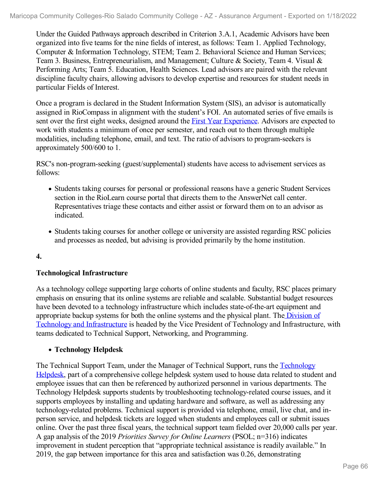Under the Guided Pathways approach described in Criterion 3.A.1, Academic Advisors have been organized into five teams for the nine fields of interest, as follows: Team 1. Applied Technology, Computer & Information Technology, STEM; Team 2. Behavioral Science and Human Services; Team 3. Business, Entrepreneurialism, and Management; Culture & Society, Team 4. Visual & Performing Arts; Team 5. Education, Health Sciences. Lead advisors are paired with the relevant discipline faculty chairs, allowing advisors to develop expertise and resources for student needs in particular Fields of Interest.

Once a program is declared in the Student Information System (SIS), an advisor is automatically assigned in RioCompass in alignment with the student's FOI. An automated series of five emails is sent over the first eight weeks, designed around the First Year [Experience](file:///D:/evidence/viewfile?fileId=1352659). Advisors are expected to work with students a minimum of once per semester, and reach out to them through multiple modalities, including telephone, email, and text. The ratio of advisors to program-seekers is approximately 500/600 to 1.

RSC's non-program-seeking (guest/supplemental) students have access to advisement services as follows:

- Students taking courses for personal or professional reasons have a generic Student Services section in the RioLearn course portal that directs them to the AnswerNet call center. Representatives triage these contacts and either assist or forward them on to an advisor as indicated.
- Students taking courses for another college or university are assisted regarding RSC policies and processes as needed, but advising is provided primarily by the home institution.
- **4.**

### **Technological Infrastructure**

As a technology college supporting large cohorts of online students and faculty, RSC places primary emphasis on ensuring that its online systems are reliable and scalable. Substantial budget resources have been devoted to a technology infrastructure which includes state-of-the-art equipment and appropriate backup systems for both the online systems and the physical plant. The Division of Technology and [Infrastructure](file:///D:/evidence/viewfile?fileId=1352625) is headed by the Vice President of Technology and Infrastructure, with teams dedicated to Technical Support, Networking, and Programming.

# **Technology Helpdesk**

The Technical Support Team, under the Manager of Technical Support, runs the Technology Helpdesk, part of a [comprehensive](file:///D:/evidence/viewfile?fileId=1352636) college helpdesk system used to house data related to student and employee issues that can then be referenced by authorized personnel in various departments. The Technology Helpdesk supports students by troubleshooting technology-related course issues, and it supports employees by installing and updating hardware and software, as well as addressing any technology-related problems. Technical support is provided via telephone, email, live chat, and in person service, and helpdesk tickets are logged when students and employees call or submit issues online. Over the past three fiscal years, the technical support team fielded over 20,000 calls per year. A gap analysis of the 2019 *Priorities Survey for Online Learners* (PSOL; n=316) indicates improvement in student perception that "appropriate technical assistance is readily available." In 2019, the gap between importance for this area and satisfaction was 0.26, demonstrating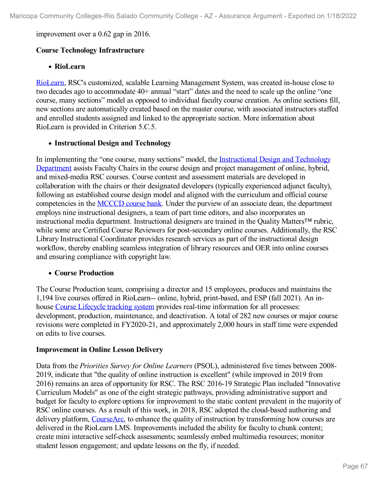improvement over a 0.62 gap in 2016.

## **Course Technology Infrastructure**

### **RioLearn**

[RioLearn](file:///D:/evidence/viewfile?fileId=1357531), RSC's customized, scalable Learning Management System, was created in-house close to two decades ago to accommodate 40+ annual "start" dates and the need to scale up the online "one course, many sections" model as opposed to individual faculty course creation. As online sections fill, new sections are automatically created based on the master course, with associated instructors staffed and enrolled students assigned and linked to the appropriate section. More information about RioLearn is provided in Criterion 5.C.5.

### **Instructional Design and Technology**

In [implementing](file:///D:/evidence/viewfile?fileId=1352628) the "one course, many sections" model, the Instructional Design and Technology Department assists Faculty Chairs in the course design and project management of online, hybrid, and mixed-media RSC courses. Course content and assessment materials are developed in collaboration with the chairs or their designated developers (typically experienced adjunct faculty), following an established course design model and aligned with the curriculum and official course competencies in the [MCCCD](file:///D:/evidence/viewfile?fileId=1352606) course bank. Under the purview of an associate dean, the department employs nine instructional designers, a team of part time editors, and also incorporates an instructional media department. Instructional designers are trained in the Quality Matters™ rubric, while some are Certified Course Reviewers for post-secondary online courses. Additionally, the RSC Library Instructional Coordinator provides research services as part of the instructional design workflow, thereby enabling seamless integration of library resources and OER into online courses and ensuring compliance with copyright law.

### **Course Production**

The Course Production team, comprising a director and 15 employees, produces and maintains the 1,194 live courses offered in RioLearn-- online, hybrid, print-based, and ESP (fall 2021). An in house Course [Lifecycle](file:///D:/evidence/viewfile?fileId=1352646) tracking system provides real-time information for all processes: development, production, maintenance, and deactivation. A total of 282 new courses or major course revisions were completed in FY2020-21, and approximately 2,000 hours in staff time were expended on edits to live courses.

### **Improvement in Online Lesson Delivery**

Data from the *Priorities Survey for Online Learners* (PSOL), administered five times between 2008- 2019, indicate that "the quality of online instruction is excellent" (while improved in 2019 from 2016) remains an area of opportunity for RSC. The RSC 2016-19 Strategic Plan included "Innovative Curriculum Models" as one of the eight strategic pathways, providing administrative support and budget for faculty to explore options for improvement to the static content prevalent in the majority of RSC online courses. As a result of this work, in 2018, RSC adopted the cloud-based authoring and delivery platform, [CourseArc,](file:///D:/evidence/viewfile?fileId=1352626) to enhance the quality of instruction by transforming how courses are delivered in the RioLearn LMS. Improvements included the ability for faculty to chunk content; create mini interactive self-check assessments; seamlessly embed multimedia resources; monitor student lesson engagement; and update lessons on the fly, if needed.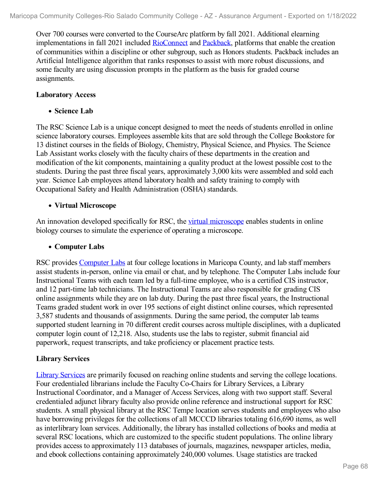Over 700 courses were converted to the CourseArc platform by fall 2021. Additional elearning implementations in fall 2021 included [RioConnect](file:///D:/evidence/viewfile?fileId=1352652) and [Packback,](file:///D:/evidence/viewfile?fileId=1352612) platforms that enable the creation of communities within a discipline or other subgroup, such as Honors students. Packback includes an Artificial Intelligence algorithm that ranks responses to assist with more robust discussions, and some faculty are using discussion prompts in the platform as the basis for graded course assignments.

#### **Laboratory Access**

#### **Science Lab**

The RSC Science Lab is a unique concept designed to meet the needs of students enrolled in online science laboratory courses. Employees assemble kits that are sold through the College Bookstore for 13 distinct courses in the fields of Biology, Chemistry, Physical Science, and Physics. The Science Lab Assistant works closely with the faculty chairs of these departments in the creation and modification of the kit components, maintaining a quality product at the lowest possible cost to the students. During the past three fiscal years, approximately 3,000 kits were assembled and sold each year. Science Lab employees attend laboratory health and safety training to comply with Occupational Safety and Health Administration (OSHA) standards.

### **Virtual Microscope**

An innovation developed specifically for RSC, the virtual [microscope](file:///D:/evidence/viewfile?fileId=1352647) enables students in online biology courses to simulate the experience of operating a microscope.

#### **Computer Labs**

RSC provides [Computer](file:///D:/evidence/viewfile?fileId=1352615) Labs at four college locations in Maricopa County, and lab staff members assist students in-person, online via email or chat, and by telephone. The Computer Labs include four Instructional Teams with each team led by a full-time employee, who is a certified CIS instructor, and 12 part-time lab technicians. The Instructional Teams are also responsible for grading CIS online assignments while they are on lab duty. During the past three fiscal years, the Instructional Teams graded student work in over 195 sections of eight distinct online courses, which represented 3,587 students and thousands of assignments. During the same period, the computer lab teams supported student learning in 70 different credit courses across multiple disciplines, with a duplicated computer login count of 12,218. Also, students use the labs to register, submit financial aid paperwork, request transcripts, and take proficiency or placement practice tests.

### **Library Services**

Library [Services](file:///D:/evidence/viewfile?fileId=1352627) are primarily focused on reaching online students and serving the college locations. Four credentialed librarians include the Faculty Co-Chairs for Library Services, a Library Instructional Coordinator, and a Manager of Access Services, along with two support staff. Several credentialed adjunct library faculty also provide online reference and instructional support for RSC students. A small physical library at the RSC Tempe location serves students and employees who also have borrowing privileges for the collections of all MCCCD libraries totaling 616,690 items, as well as interlibrary loan services. Additionally, the library has installed collections of books and media at several RSC locations, which are customized to the specific student populations. The online library provides access to approximately 113 databases of journals, magazines, newspaper articles, media, and ebook collections containing approximately 240,000 volumes. Usage statistics are tracked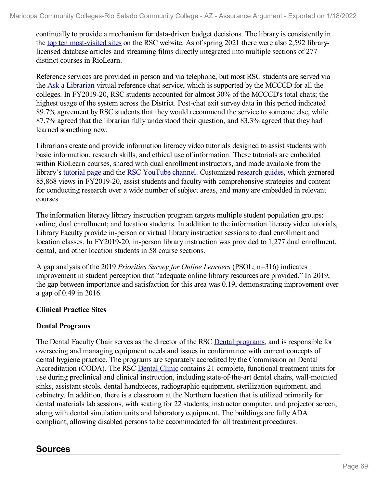continually to provide a mechanism for data-driven budget decisions. The library is consistently in the top ten [most-visited](file:///D:/evidence/viewfile?fileId=1352655) sites on the RSC website. As of spring 2021 there were also 2,592 librarylicensed database articles and streaming films directly integrated into multiple sections of 277 distinct courses in RioLearn.

Reference services are provided in person and via telephone, but most RSC students are served via the Ask a [Librarian](file:///D:/evidence/viewfile?fileId=1352613) virtual reference chat service, which is supported by the MCCCD for all the colleges. In FY2019-20, RSC students accounted for almost 30% of the MCCCD's total chats; the highest usage of the system across the District. Post-chat exit survey data in this period indicated 89.7% agreement by RSC students that they would recommend the service to someone else, while 87.7% agreed that the librarian fully understood their question, and 83.3% agreed that they had learned something new.

Librarians create and provide information literacy video tutorials designed to assist students with basic information, research skills, and ethical use of information. These tutorials are embedded within RioLearn courses, shared with dual enrollment instructors, and made available from the library's [tutorial](file:///D:/evidence/viewfile?fileId=1352632) page and the RSC [YouTube](file:///D:/evidence/viewfile?fileId=1352649) channel. Customized [research](file:///D:/evidence/viewfile?fileId=1352630) guides, which garnered 85,868 views in FY2019-20, assist students and faculty with comprehensive strategies and content for conducting research over a wide number of subject areas, and many are embedded in relevant courses.

The information literacy library instruction program targets multiple student population groups: online; dual enrollment; and location students. In addition to the information literacy video tutorials, Library Faculty provide in-person or virtual library instruction sessions to dual enrollment and location classes. In FY2019-20, in-person library instruction was provided to 1,277 dual enrollment, dental, and other location students in 58 course sections.

A gap analysis of the 2019 *Priorities Survey for Online Learners* (PSOL; n=316) indicates improvement in student perception that "adequate online library resources are provided." In 2019, the gap between importance and satisfaction for this area was 0.19, demonstrating improvement over a gap of 0.49 in 2016.

### **Clinical Practice Sites**

### **Dental Programs**

The Dental Faculty Chair serves as the director of the RSC Dental [programs](file:///D:/evidence/viewfile?fileId=1352624), and is responsible for overseeing and managing equipment needs and issues in conformance with current concepts of dental hygiene practice. The programs are separately accredited by the Commission on Dental Accreditation (CODA). The RSC [Dental](file:///D:/evidence/viewfile?fileId=1352617) Clinic contains 21 complete, functional treatment units for use during preclinical and clinical instruction, including state-of-the-art dental chairs, wall-mounted sinks, assistant stools, dental handpieces, radiographic equipment, sterilization equipment, and cabinetry. In addition, there is a classroom at the Northern location that is utilized primarily for dental materials lab sessions, with seating for 22 students, instructor computer, and projector screen, along with dental simulation units and laboratory equipment. The buildings are fully ADA compliant, allowing disabled persons to be accommodated for all treatment procedures.

# **Sources**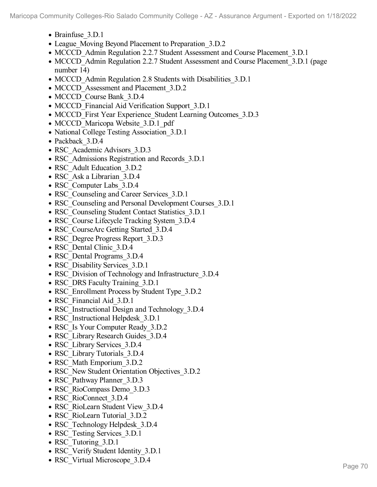- Brainfuse 3.D.1
- League Moving Beyond Placement to Preparation 3.D.2
- MCCCD Admin Regulation 2.2.7 Student Assessment and Course Placement 3.D.1
- MCCCD Admin Regulation 2.2.7 Student Assessment and Course Placement 3.D.1 (page number 14)
- MCCCD Admin Regulation 2.8 Students with Disabilities 3.D.1
- MCCCD Assessment and Placement 3.D.2
- MCCCD Course Bank 3.D.4
- MCCCD Financial Aid Verification Support 3.D.1
- MCCCD First Year Experience Student Learning Outcomes 3.D.3
- MCCCD Maricopa Website 3.D.1 pdf
- National College Testing Association 3.D.1
- Packback 3.D.4
- RSC Academic Advisors 3.D.3
- RSC Admissions Registration and Records 3.D.1
- RSC Adult Education 3.D.2
- RSC Ask a Librarian 3.D.4
- RSC Computer Labs 3.D.4
- RSC Counseling and Career Services 3.D.1
- RSC Counseling and Personal Development Courses 3.D.1
- RSC Counseling Student Contact Statistics 3.D.1
- RSC Course Lifecycle Tracking System 3.D.4
- RSC\_CourseArc Getting Started 3.D.4
- RSC Degree Progress Report 3.D.3
- RSC Dental Clinic 3.D.4
- RSC Dental Programs 3.D.4
- RSC Disability Services 3.D.1
- RSC Division of Technology and Infrastructure 3.D.4
- RSC DRS Faculty Training 3.D.1
- RSC Enrollment Process by Student Type 3.D.2
- RSC Financial Aid 3.D.1
- RSC Instructional Design and Technology 3.D.4
- RSC Instructional Helpdesk 3.D.1
- RSC Is Your Computer Ready 3.D.2
- RSC Library Research Guides 3.D.4
- RSC Library Services 3.D.4
- RSC Library Tutorials 3.D.4
- RSC Math Emporium 3.D.2
- RSC New Student Orientation Objectives 3.D.2
- RSC\_Pathway Planner\_3.D.3
- RSC\_RioCompass Demo\_3.D.3
- RSC RioConnect 3.D.4
- RSC\_RioLearn Student View\_3.D.4
- RSC\_RioLearn Tutorial\_3.D.2
- RSC Technology Helpdesk 3.D.4
- RSC Testing Services 3.D.1
- RSC Tutoring 3.D.1
- RSC Verify Student Identity 3.D.1
- RSC Virtual Microscope 3.D.4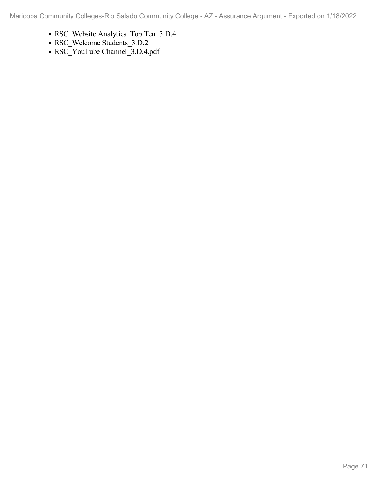- RSC\_Website Analytics\_Top Ten\_3.D.4
- RSC\_Welcome Students\_3.D.2
- RSC\_YouTube Channel\_3.D.4.pdf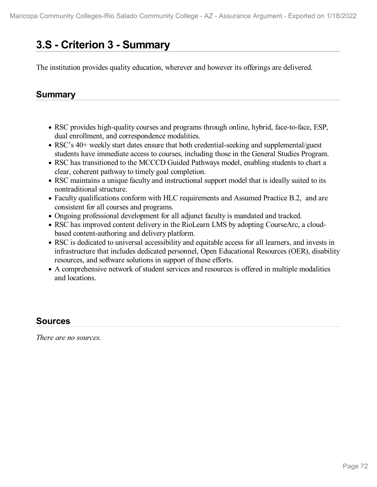# **3.S - Criterion 3 -Summary**

The institution provides quality education, wherever and however its offerings are delivered.

# **Summary**

- RSC provides high-quality courses and programs through online, hybrid, face-to-face, ESP, dual enrollment, and correspondence modalities.
- RSC's 40+ weekly start dates ensure that both credential-seeking and supplemental/guest students have immediate access to courses, including those in the General Studies Program.
- RSC has transitioned to the MCCCD Guided Pathways model, enabling students to chart a clear, coherent pathway to timely goal completion.
- RSC maintains a unique faculty and instructional support model that is ideally suited to its nontraditional structure.
- Faculty qualifications conform with HLC requirements and Assumed Practice B.2, and are consistent for all courses and programs.
- Ongoing professional development for all adjunct faculty is mandated and tracked.
- RSC has improved content delivery in the RioLearn LMS by adopting CourseArc, a cloud based content-authoring and delivery platform.
- RSC is dedicated to universal accessibility and equitable access for all learners, and invests in infrastructure that includes dedicated personnel, Open Educational Resources (OER), disability resources, and software solutions in support of these efforts.
- A comprehensive network of student services and resources is offered in multiple modalities and locations.

# **Sources**

*There are no sources.*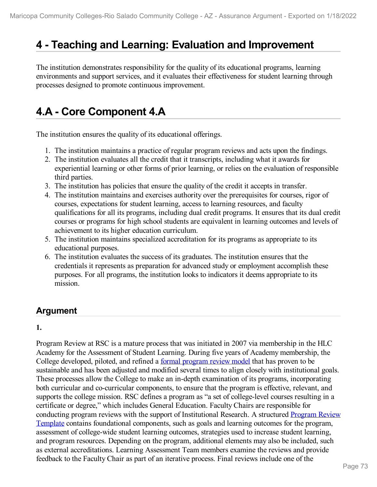# **4 -Teaching and Learning: Evaluation and Improvement**

The institution demonstrates responsibility for the quality of its educational programs, learning environments and support services, and it evaluates their effectiveness for student learning through processes designed to promote continuous improvement.

# **4.A - Core Component 4.A**

The institution ensures the quality of its educational offerings.

- 1. The institution maintains a practice of regular program reviews and acts upon the findings.
- 2. The institution evaluates all the credit that it transcripts, including what it awards for experiential learning or other forms of prior learning, or relies on the evaluation of responsible third parties.
- 3. The institution has policies that ensure the quality of the credit it accepts in transfer.
- 4. The institution maintains and exercises authority over the prerequisites for courses, rigor of courses, expectations for student learning, access to learning resources, and faculty qualifications for all its programs, including dual credit programs. It ensures that its dual credit courses or programs for high school students are equivalent in learning outcomes and levels of achievement to its higher education curriculum.
- 5. The institution maintains specialized accreditation for its programs as appropriate to its educational purposes.
- 6. The institution evaluates the success of its graduates. The institution ensures that the credentials it represents as preparation for advanced study or employment accomplish these purposes. For all programs, the institution looks to indicators it deems appropriate to its mission.

# **Argument**

**1.**

Program Review at RSC is a mature process that was initiated in 2007 via membership in the HLC Academy for the Assessment of Student Learning. During five years of Academy membership, the College developed, piloted, and refined a formal [program](file:///D:/evidence/viewfile?fileId=1352731) review model that has proven to be sustainable and has been adjusted and modified several times to align closely with institutional goals. These processes allow the College to make an in-depth examination of its programs, incorporating both curricular and co-curricular components, to ensure that the program is effective, relevant, and supports the college mission. RSC defines a program as "a set of college-level courses resulting in a certificate or degree," which includes General Education. Faculty Chairs are responsible for conducting program reviews with the support of [Institutional](file:///D:/evidence/viewfile?fileId=1352727) Research. A structured Program Review Template contains foundational components, such as goals and learning outcomes for the program, assessment of college-wide student learning outcomes, strategies used to increase student learning, and program resources. Depending on the program, additional elements may also be included, such as external accreditations. Learning Assessment Team members examine the reviews and provide feedback to the Faculty Chair as part of an iterative process. Final reviews include one of the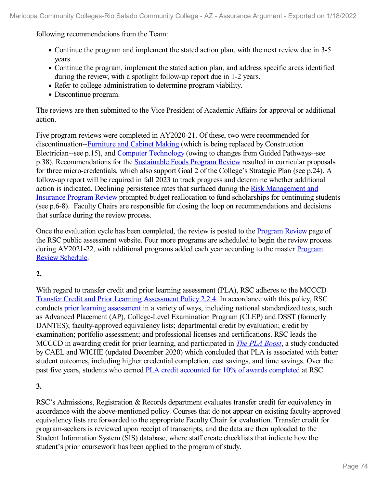following recommendations from the Team:

- Continue the program and implement the stated action plan, with the next review due in 3-5 years.
- Continue the program, implement the stated action plan, and address specific areas identified during the review, with a spotlight follow-up report due in 1-2 years.
- Refer to college administration to determine program viability.
- Discontinue program.

The reviews are then submitted to the Vice President of Academic Affairs for approval or additional action.

Five program reviews were completed in AY2020-21. Of these, two were recommended for discontinuation-[-Furniture](file:///D:/evidence/viewfile?fileId=1352736) and Cabinet Making (which is being replaced by Construction Electrician--see p.15), and Computer [Technology](file:///D:/evidence/viewfile?fileId=1352743) (owing to changes from Guided Pathways--see p.38). Recommendations for the [Sustainable](file:///D:/evidence/viewfile?fileId=1352755) Foods Program Review resulted in curricular proposals for three micro-credentials, which also support Goal 2 of the College's Strategic Plan (see p.24). A follow-up report will be required in fall 2023 to track progress and determine whether additional action is indicated. Declining persistence rates that surfaced during the Risk [Management](file:///D:/evidence/viewfile?fileId=1352733) and Insurance Program Review prompted budget reallocation to fund scholarships for continuing students (see p.6-8). Faculty Chairs are responsible for closing the loop on recommendations and decisions that surface during the review process.

Once the evaluation cycle has been completed, the review is posted to the [Program](file:///D:/evidence/viewfile?fileId=1352723) Review page of the RSC public assessment website. Four more programs are scheduled to begin the review process during [AY2021-22,](file:///D:/evidence/viewfile?fileId=1352728) with additional programs added each year according to the master **Program** Review Schedule.

# **2.**

With regard to transfer credit and prior learning assessment (PLA), RSC adheres to the MCCCD Transfer Credit and Prior Learning [Assessment](file:///D:/evidence/viewfile?fileId=1352744#page=10) Policy 2.2.4. In accordance with this policy, RSC conducts prior learning [assessment](file:///D:/evidence/viewfile?fileId=1352722) in a variety of ways, including national standardized tests, such as Advanced Placement (AP), College-Level Examination Program (CLEP) and DSST (formerly DANTES); faculty-approved equivalency lists; departmental credit by evaluation; credit by examination; portfolio assessment; and professional licenses and certifications. RSC leads the MCCCD in awarding credit for prior learning, and participated in *The PLA [Boost](file:///D:/evidence/viewfile?fileId=1352734)*, a study conducted by CAEL and WICHE (updated December 2020) which concluded that PLA is associated with better student outcomes, including higher credential completion, cost savings, and time savings. Over the past five years, students who earned PLA credit accounted for 10% of awards [completed](file:///D:/evidence/viewfile?fileId=1352724) at RSC.

# **3.**

RSC's Admissions, Registration & Records department evaluates transfer credit for equivalency in accordance with the above-mentioned policy. Courses that do not appear on existing faculty-approved equivalency lists are forwarded to the appropriate Faculty Chair for evaluation. Transfer credit for program-seekers is reviewed upon receipt of transcripts, and the data are then uploaded to the Student Information System (SIS) database, where staff create checklists that indicate how the student's prior coursework has been applied to the program of study.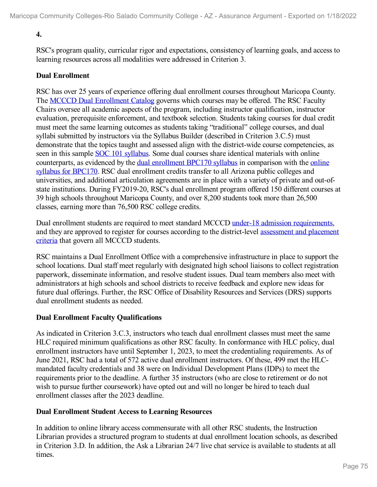# **4.**

RSC's program quality, curricular rigor and expectations, consistency of learning goals, and access to learning resources across all modalities were addressed in Criterion 3.

## **Dual Enrollment**

RSC has over 25 years of experience offering dual enrollment courses throughout Maricopa County. The MCCCD Dual [Enrollment](file:///D:/evidence/viewfile?fileId=1352741) Catalog governs which courses may be offered. The RSC Faculty Chairs oversee all academic aspects of the program, including instructor qualification, instructor evaluation, prerequisite enforcement, and textbook selection. Students taking courses for dual credit must meet the same learning outcomes as students taking "traditional" college courses, and dual syllabi submitted by instructors via the Syllabus Builder (described in Criterion 3.C.5) must demonstrate that the topics taught and assessed align with the district-wide course competencies, as seen in this sample SOC 101 [syllabus](file:///D:/evidence/viewfile?fileId=1352745). Some dual courses share identical materials with online [counterparts,](file:///D:/evidence/viewfile?fileId=1352738) as evidenced by the dual [enrollment](file:///D:/evidence/viewfile?fileId=1352748) BPC170 syllabus in comparison with the online syllabus for BPC170. RSC dual enrollment credits transfer to all Arizona public colleges and universities, and additional articulation agreements are in place with a variety of private and out-ofstate institutions. During FY2019-20, RSC's dual enrollment program offered 150 different courses at 39 high schools throughout Maricopa County, and over 8,200 students took more than 26,500 classes, earning more than 76,500 RSC college credits.

Dual enrollment students are required to meet standard MCCCD under-18 admission [requirements](file:///D:/evidence/viewfile?fileId=1352730), and they are approved to register for courses according to the [district-level](file:///D:/evidence/viewfile?fileid=1352719) assessment and placement criteria that govern all MCCCD students.

RSC maintains a Dual Enrollment Office with a comprehensive infrastructure in place to support the school locations. Dual staff meet regularly with designated high school liaisons to collect registration paperwork, disseminate information, and resolve student issues. Dual team members also meet with administrators at high schools and school districts to receive feedback and explore new ideas for future dual offerings. Further, the RSC Office of Disability Resources and Services (DRS) supports dual enrollment students as needed.

# **Dual Enrollment Faculty Qualifications**

As indicated in Criterion 3.C.3, instructors who teach dual enrollment classes must meet the same HLC required minimum qualifications as other RSC faculty. In conformance with HLC policy, dual enrollment instructors have until September 1, 2023, to meet the credentialing requirements. As of June 2021, RSC had a total of 572 active dual enrollment instructors. Of these, 499 met the HLC mandated faculty credentials and 38 were on Individual Development Plans (IDPs) to meet the requirements prior to the deadline. A further 35 instructors (who are close to retirement or do not wish to pursue further coursework) have opted out and will no longer be hired to teach dual enrollment classes after the 2023 deadline.

## **Dual Enrollment Student Access to Learning Resources**

In addition to online library access commensurate with all other RSC students, the Instruction Librarian provides a structured program to students at dual enrollment location schools, as described in Criterion 3.D. In addition, the Ask a Librarian 24/7 live chat service is available to students at all times.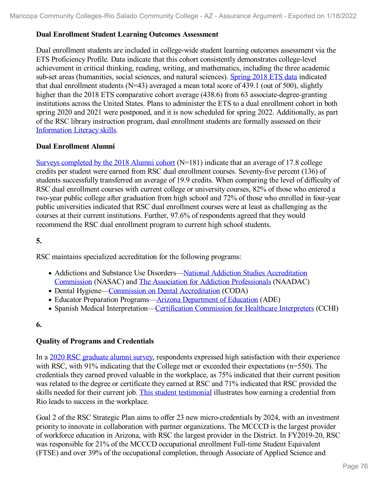## **Dual Enrollment Student Learning Outcomes Assessment**

Dual enrollment students are included in college-wide student learning outcomes assessment via the ETS Proficiency Profile. Data indicate that this cohort consistently demonstrates college-level achievement in critical thinking, reading, writing, and mathematics, including the three academic sub-set areas (humanities, social sciences, and natural sciences). [Spring](file:///D:/evidence/viewfile?fileid=1352729) 2018 ETS data indicated that dual enrollment students ( $N=43$ ) averaged a mean total score of 439.1 (out of 500), slightly higher than the 2018 ETS comparative cohort average (438.6) from 63 associate-degree-granting institutions across the United States. Plans to administer the ETS to a dual enrollment cohort in both spring 2020 and 2021 were postponed, and it is now scheduled for spring 2022. Additionally, as part of the RSC library instruction program, dual enrollment students are formally assessed on their [Information](file:///D:/evidence/viewfile?fileid=1352735) Literacy skills.

## **Dual Enrollment Alumni**

Surveys [completed](file:///D:/evidence/viewfile?fileid=1352756) by the 2018 Alumni cohort (N=181) indicate that an average of 17.8 college credits per student were earned from RSC dual enrollment courses. Seventy-five percent (136) of students successfully transferred an average of 19.9 credits. When comparing the level of difficulty of RSC dual enrollment courses with current college or university courses, 82% of those who entered a two-year public college after graduation from high school and 72% of those who enrolled in four-year public universities indicated that RSC dual enrollment courses were at least as challenging as the courses at their current institutions. Further, 97.6% of respondents agreed that they would recommend the RSC dual enrollment program to current high school students.

# **5.**

RSC maintains specialized accreditation for the following programs:

- Addictions and Substance Use [Disorders—National](file:///D:/evidence/viewfile?fileid=1352725) Addiction Studies Accreditation Commission (NASAC) and The Association for Addiction [Professionals](file:///D:/evidence/viewfile?fileid=1352716) (NAADAC)
- Dental Hygiene—Commission on Dental [Accreditation](file:///D:/evidence/viewfile?fileid=1352715) (CODA)
- Educator Preparation Programs—Arizona [Department](file:///D:/evidence/viewfile?fileid=1352712) of Education (ADE)
- Spanish Medical Interpretation[—Certification](file:///D:/evidence/viewfile?fileid=1352714) Commission for Healthcare Interpreters (CCHI)

## **6.**

# **Quality of Programs and Credentials**

In a 2020 RSC [graduate](file:///D:/evidence/viewfile?fileid=1352751) alumni survey, respondents expressed high satisfaction with their experience with RSC, with 91% indicating that the College met or exceeded their expectations (n=550). The credentials they earned proved valuable in the workplace, as 75% indicated that their current position was related to the degree or certificate they earned at RSC and 71% indicated that RSC provided the skills needed for their current job. This student [testimonial](file:///D:/evidence/viewfile?fileid=1352746) illustrates how earning a credential from Rio leads to success in the workplace.

Goal 2 of the RSC Strategic Plan aims to offer 23 new micro-credentials by 2024, with an investment priority to innovate in collaboration with partner organizations. The MCCCD is the largest provider of workforce education in Arizona, with RSC the largest provider in the District. In FY2019-20, RSC was responsible for 21% of the MCCCD occupational enrollment Full-time Student Equivalent (FTSE) and over 39% of the occupational completion, through Associate of Applied Science and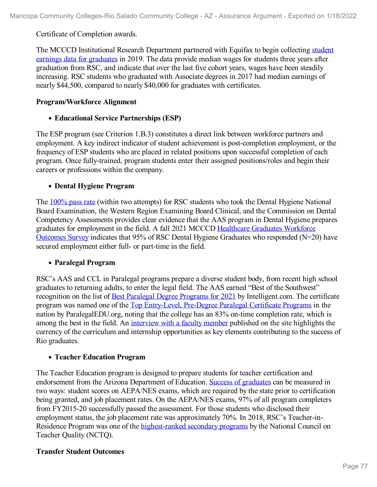Certificate of Completion awards.

The MCCCD [Institutional](file:///D:/evidence/viewfile?fileid=1352718) Research Department partnered with Equifax to begin collecting student earnings data for graduates in 2019. The data provide median wages for students three years after graduation from RSC, and indicate that over the last five cohort years, wages have been steadily increasing. RSC students who graduated with Associate degrees in 2017 had median earnings of nearly \$44,500, compared to nearly \$40,000 for graduates with certificates.

## **Program/Workforce Alignment**

# **Educational Service Partnerships (ESP)**

The ESP program (see Criterion 1.B.3) constitutes a direct link between workforce partners and employment. A key indirect indicator of student achievement is post-completion employment, or the frequency of ESP students who are placed in related positions upon successful completion of each program. Once fully-trained, program students enter their assigned positions/roles and begin their careers or professions within the company.

# **Dental Hygiene Program**

The [100%](file:///D:/evidence/viewfile?fileid=1352732) pass rate (within two attempts) for RSC students who took the Dental Hygiene National Board Examination, the Western Region Examining Board Clinical, and the Commission on Dental Competency Assessments provides clear evidence that the AAS program in Dental Hygiene prepares graduates for [employment](file:///D:/evidence/viewfile?fileid=1352720) in the field. A fall 2021 MCCCD Healthcare Graduates Workforce Outcomes Survey indicates that 95% of RSC Dental Hygiene Graduates who responded (N=20) have secured employment either full- or part-time in the field.

## **Paralegal Program**

RSC's AAS and CCL in Paralegal programs prepare a diverse student body, from recent high school graduates to returning adults, to enter the legal field. The AAS earned "Best of the Southwest" recognition on the list of <u>Best Paralegal Degree [Programs](file:///D:/evidence/viewfile?fileid=1352713) for 2021</u> by Intelligent.com. The certificate program was named one of the Top [Entry-Level,](file:///D:/evidence/viewfile?fileid=1352752#page=4) Pre-Degree Paralegal Certificate Programs in the nation by ParalegalEDU.org, noting that the college has an 83% on-time completion rate, which is among the best in the field. An [interview](file:///D:/evidence/viewfile?fileid=1352726) with a faculty member published on the site highlights the currency of the curriculum and internship opportunities as key elements contributing to the success of Rio graduates.

## **Teacher Education Program**

The Teacher Education program is designed to prepare students for teacher certification and endorsement from the Arizona Department of Education. Success of [graduates](file:///D:/evidence/viewfile?fileid=1352754) can be measured in two ways: student scores on AEPA/NES exams, which are required by the state prior to certification being granted, and job placement rates. On the AEPA/NES exams, 97% of all program completers from FY2015-20 successfully passed the assessment. For those students who disclosed their employment status, the job placement rate was approximately 70%. In 2018, RSC's Teacher-in Residence Program was one of the [highest-ranked](file:///D:/evidence/viewfile?fileid=1352739) secondary programs by the National Council on Teacher Quality (NCTQ).

# **Transfer Student Outcomes**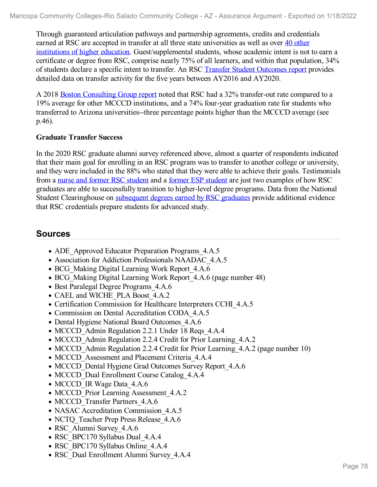Through guaranteed articulation pathways and partnership agreements, credits and credentials earned at RSC are accepted in transfer at all three state universities as well as over 40 other institutions of higher education. [Guest/supplemental](file:///D:/evidence/viewfile?fileid=1352717) students, whose academic intent is not to earn a certificate or degree from RSC, comprise nearly 75% of all learners, and within that population, 34% of students declare a specific intent to transfer. An RSC Transfer Student [Outcomes](file:///D:/evidence/viewfile?fileid=1352750) report provides detailed data on transfer activity for the five years between AY2016 and AY2020.

A 2018 Boston [Consulting](file:///D:/evidence/viewfile?fileid=1352740#page=48) Group report noted that RSC had a 32% transfer-out rate compared to a 19% average for other MCCCD institutions, and a 74% four-year graduation rate for students who transferred to Arizona universities--three percentage points higher than the MCCCD average (see p.46).

# **Graduate Transfer Success**

In the 2020 RSC graduate alumni survey referenced above, almost a quarter of respondents indicated that their main goal for enrolling in an RSC program was to transfer to another college or university, and they were included in the 88% who stated that they were able to achieve their goals. Testimonials from a nurse and former RSC [student](file:///D:/evidence/viewfile?fileid=1352747) and a former ESP student are just two examples of how RSC graduates are able to successfully transition to higher-level degree programs. Data from the National Student Clearinghouse on [subsequent](file:///D:/evidence/viewfile?fileid=1352742) degrees earned by RSC graduates provide additional evidence that RSC credentials prepare students for advanced study.

# **Sources**

- ADE Approved Educator Preparation Programs 4.A.5
- Association for Addiction Professionals NAADAC\_4.A.5
- BCG Making Digital Learning Work Report 4.A.6
- BCG Making Digital Learning Work Report 4.A.6 (page number 48)
- Best Paralegal Degree Programs 4.A.6
- CAEL and WICHE\_PLA Boost\_4.A.2
- Certification Commission for Healthcare Interpreters CCHI\_4.A.5
- Commission on Dental Accreditation CODA\_4.A.5
- Dental Hygiene National Board Outcomes 4.A.6
- MCCCD Admin Regulation 2.2.1 Under 18 Reqs 4.A.4
- MCCCD Admin Regulation 2.2.4 Credit for Prior Learning 4.A.2
- MCCCD Admin Regulation 2.2.4 Credit for Prior Learning 4.A.2 (page number 10)
- MCCCD Assessment and Placement Criteria 4.A.4
- MCCCD Dental Hygiene Grad Outcomes Survey Report 4.A.6
- MCCCD Dual Enrollment Course Catalog 4.A.4
- MCCCD IR Wage Data 4.A.6
- MCCCD Prior Learning Assessment 4.A.2
- MCCCD Transfer Partners 4.A.6
- NASAC Accreditation Commission 4.A.5
- NCTQ Teacher Prep Press Release 4.A.6
- RSC Alumni Survey 4.A.6
- RSC\_BPC170 Syllabus Dual\_4.A.4
- RSC\_BPC170 Syllabus Online\_4.A.4
- RSC Dual Enrollment Alumni Survey 4.A.4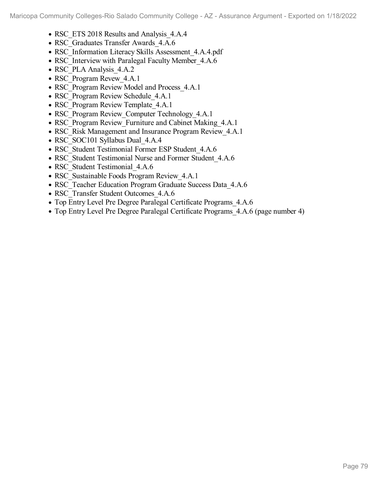- RSC\_ETS 2018 Results and Analysis\_4.A.4
- RSC Graduates Transfer Awards 4.A.6
- RSC\_Information Literacy Skills Assessment\_4.A.4.pdf
- RSC Interview with Paralegal Faculty Member 4.A.6
- RSC\_PLA Analysis\_4.A.2
- RSC Program Revew 4.A.1
- RSC Program Review Model and Process 4.A.1
- RSC Program Review Schedule 4.A.1
- RSC Program Review Template 4.A.1
- RSC Program Review Computer Technology 4.A.1
- RSC Program Review Furniture and Cabinet Making 4.A.1
- RSC Risk Management and Insurance Program Review 4.A.1
- RSC SOC101 Syllabus Dual 4.A.4
- RSC Student Testimonial Former ESP Student 4.A.6
- RSC\_Student Testimonial Nurse and Former Student\_4.A.6
- RSC Student Testimonial 4.A.6
- RSC Sustainable Foods Program Review 4.A.1
- RSC Teacher Education Program Graduate Success Data 4.A.6
- RSC Transfer Student Outcomes 4.A.6
- Top Entry Level Pre Degree Paralegal Certificate Programs 4.A.6
- Top Entry Level Pre Degree Paralegal Certificate Programs 4.A.6 (page number 4)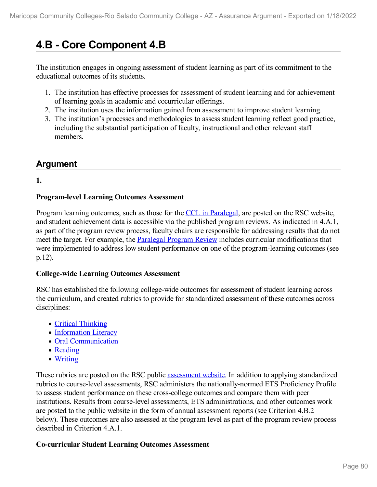# **4.B - Core Component 4.B**

The institution engages in ongoing assessment of student learning as part of its commitment to the educational outcomes of its students.

- 1. The institution has effective processes for assessment of student learning and for achievement of learning goals in academic and cocurricular offerings.
- 2. The institution uses the information gained from assessment to improve student learning.
- 3. The institution's processes and methodologies to assess student learning reflect good practice, including the substantial participation of faculty, instructional and other relevant staff members.

# **Argument**

**1.**

# **Program-level Learning Outcomes Assessment**

Program learning outcomes, such as those for the CCL in [Paralegal,](file:///D:/evidence/viewfile?fileId=1352771) are posted on the RSC website, and student achievement data is accessible via the published program reviews. As indicated in 4.A.1, as part of the program review process, faculty chairs are responsible for addressing results that do not meet the target. For example, the **[Paralegal](file:///D:/evidence/viewfile?fileid=1352780) Program Review** includes curricular modifications that were implemented to address low student performance on one of the program-learning outcomes (see p.12).

## **College-wide Learning Outcomes Assessment**

RSC has established the following college-wide outcomes for assessment of student learning across the curriculum, and created rubrics to provide for standardized assessment of these outcomes across disciplines:

- Critical [Thinking](file:///D:/evidence/viewfile?fileId=1352778)
- [Information](file:///D:/evidence/viewfile?fileId=1352784) Literacy
- Oral [Communication](file:///D:/evidence/viewfile?fileId=1352775)
- [Reading](file:///D:/evidence/viewfile?fileId=1352795)
- [Writing](file:///D:/evidence/viewfile?fileId=1352791)

These rubrics are posted on the RSC public [assessment](file:///D:/evidence/viewfile?fileId=1352769) website. In addition to applying standardized rubrics to course-level assessments, RSC administers the nationally-normed ETS Proficiency Profile to assess student performance on these cross-college outcomes and compare them with peer institutions. Results from course-level assessments, ETS administrations, and other outcomes work are posted to the public website in the form of annual assessment reports (see Criterion 4.B.2) below). These outcomes are also assessed at the program level as part of the program review process described in Criterion 4.A.1.

# **Co-curricular Student Learning Outcomes Assessment**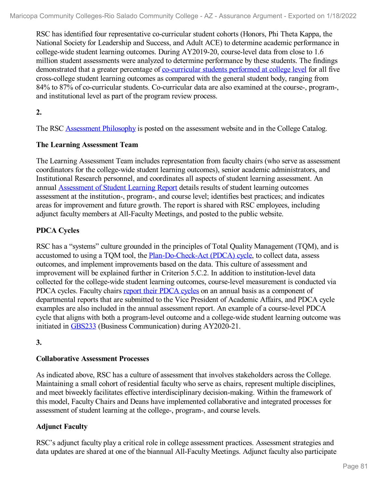RSC has identified four representative co-curricular student cohorts (Honors, Phi Theta Kappa, the National Society for Leadership and Success, and Adult ACE) to determine academic performance in college-wide student learning outcomes. During AY2019-20, course-level data from close to 1.6 million student assessments were analyzed to determine performance by these students. The findings demonstrated that a greater percentage of <u>[co-curricular](file:///D:/evidence/viewfile?fileId=1352787) students performed at college level</u> for all five cross-college student learning outcomes as compared with the general student body, ranging from 84% to 87% of co-curricular students. Co-curricular data are also examined at the course-, program-, and institutional level as part of the program review process.

**2.**

The RSC [Assessment](file:///D:/evidence/viewfile?fileId=1352790) Philosophy is posted on the assessment website and in the College Catalog.

# **The Learning Assessment Team**

The Learning Assessment Team includes representation from faculty chairs (who serve as assessment coordinators for the college-wide student learning outcomes), senior academic administrators, and Institutional Research personnel, and coordinates all aspects of student learning assessment. An annual [Assessment](file:///D:/evidence/viewfile?fileId=1352777) of Student Learning Report details results of student learning outcomes assessment at the institution-, program-, and course level; identifies best practices; and indicates areas for improvement and future growth. The report is shared with RSC employees, including adjunct faculty members at All-Faculty Meetings, and posted to the public website.

# **PDCA Cycles**

RSC has a "systems" culture grounded in the principles of Total Quality Management (TQM), and is accustomed to using a TQM tool, the [Plan-Do-Check-Act](file:///D:/evidence/viewfile?fileId=1352773) (PDCA) cycle, to collect data, assess outcomes, and implement improvements based on the data. This culture of assessment and improvement will be explained further in Criterion 5.C.2. In addition to institution-level data collected for the college-wide student learning outcomes, course-level measurement is conducted via PDCA cycles. Faculty chairs report their [PDCA](file:///D:/evidence/viewfile?fileId=1352788) cycles on an annual basis as a component of departmental reports that are submitted to the Vice President of Academic Affairs, and PDCA cycle examples are also included in the annual assessment report. An example of a course-level PDCA cycle that aligns with both a program-level outcome and a college-wide student learning outcome was initiated in [GBS233](file:///D:/evidence/viewfile?fileId=1352776) (Business Communication) during AY2020-21.

# **3.**

## **Collaborative Assessment Processes**

As indicated above, RSC has a culture of assessment that involves stakeholders across the College. Maintaining a small cohort of residential faculty who serve as chairs, represent multiple disciplines, and meet biweekly facilitates effective interdisciplinary decision-making. Within the framework of this model, Faculty Chairs and Deans have implemented collaborative and integrated processes for assessment of student learning at the college-, program-, and course levels.

# **Adjunct Faculty**

RSC's adjunct faculty play a critical role in college assessment practices. Assessment strategies and data updates are shared at one of the biannual All-Faculty Meetings. Adjunct faculty also participate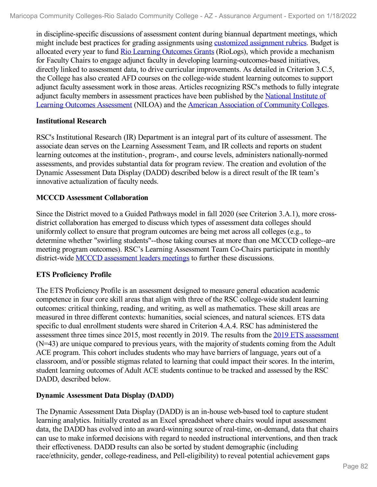in discipline-specific discussions of assessment content during biannual department meetings, which might include best practices for grading assignments using customized [assignment](file:///D:/evidence/viewfile?fileId=1352786) rubrics. Budget is allocated every year to fund Rio Learning [Outcomes](file:///D:/evidence/viewfile?fileId=1352779) Grants (RioLogs), which provide a mechanism for Faculty Chairs to engage adjunct faculty in developing learning-outcomes-based initiatives, directly linked to assessment data, to drive curricular improvements. As detailed in Criterion 3.C.5, the College has also created AFD courses on the college-wide student learning outcomes to support adjunct faculty assessment work in those areas. Articles recognizing RSC's methods to fully integrate adjunct faculty members in assessment practices have been published by the National Institute of Learning Outcomes Assessment (NILOA) and the American Association of [Community](file:///D:/evidence/viewfile?fileId=1352783) Colleges.

#### **Institutional Research**

RSC's Institutional Research (IR) Department is an integral part of its culture of assessment. The associate dean serves on the Learning Assessment Team, and IR collects and reports on student learning outcomes at the institution-, program-, and course levels, administers nationally-normed assessments, and provides substantial data for program review. The creation and evolution of the Dynamic Assessment Data Display (DADD) described below is a direct result of the IR team's innovative actualization of faculty needs.

#### **MCCCD Assessment Collaboration**

Since the District moved to a Guided Pathways model in fall 2020 (see Criterion 3.A.1), more cross district collaboration has emerged to discuss which types of assessment data colleges should uniformly collect to ensure that program outcomes are being met across all colleges (e.g., to determine whether "swirling students"--those taking courses at more than one MCCCD college--are meeting program outcomes). RSC's Learning Assessment Team Co-Chairs participate in monthly district-wide **MCCCD** [assessment](file:///D:/evidence/viewfile?fileId=1352772) leaders meetings to further these discussions.

## **ETS Proficiency Profile**

The ETS Proficiency Profile is an assessment designed to measure general education academic competence in four core skill areas that align with three of the RSC college-wide student learning outcomes: critical thinking, reading, and writing, as well as mathematics. These skill areas are measured in three different contexts: humanities, social sciences, and natural sciences. ETS data specific to dual enrollment students were shared in Criterion 4.A.4. RSC has administered the [assessment](file:///D:/evidence/viewfile?fileId=1352792) three times since 2015, most recently in 2019. The results from the 2019 ETS assessment (N=43) are unique compared to previous years, with the majority of students coming from the Adult ACE program. This cohort includes students who may have barriers of language, years out of a classroom, and/or possible stigmas related to learning that could impact their scores. In the interim, student learning outcomes of Adult ACE students continue to be tracked and assessed by the RSC DADD, described below.

## **Dynamic Assessment Data Display (DADD)**

The Dynamic Assessment Data Display (DADD) is an in-house web-based tool to capture student learning analytics. Initially created as an Excel spreadsheet where chairs would input assessment data, the DADD has evolved into an award-winning source of real-time, on-demand, data that chairs can use to make informed decisions with regard to needed instructional interventions, and then track their effectiveness. DADD results can also be sorted by student demographic (including race/ethnicity, gender, college-readiness, and Pell-eligibility) to reveal potential achievement gaps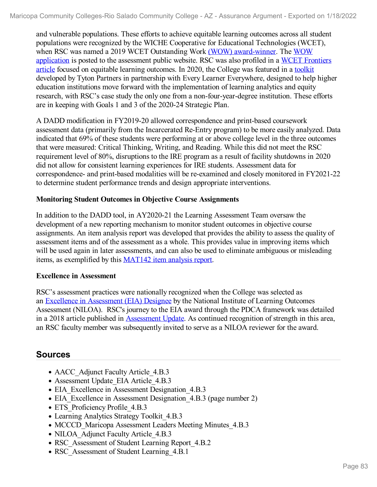and vulnerable populations. These efforts to achieve equitable learning outcomes across all student populations were recognized by the WICHE Cooperative for Educational Technologies (WCET), when RSC was named a 2019 WCET Outstanding Work (WOW) [award-winner.](file:///D:/evidence/viewfile?fileId=1352793) The WOW [application](file:///D:/evidence/viewfile?fileId=1352785) is posted to the assessment public website. RSC was also profiled in a WCET Frontiers article focused on equitable learning outcomes. In 2020, the College was featured in a [toolkit](file:///D:/evidence/viewfile?fileId=1352794) developed by Tyton Partners in partnership with Every Learner Everywhere, designed to help higher education institutions move forward with the implementation of learning analytics and equity research, with RSC's case study the only one from a non-four-year-degree institution. These efforts are in keeping with Goals 1 and 3 of the 2020-24 Strategic Plan.

A DADD modification in FY2019-20 allowed correspondence and print-based coursework assessment data (primarily from the Incarcerated Re-Entry program) to be more easily analyzed. Data indicated that 69% of these students were performing at or above college level in the three outcomes that were measured: Critical Thinking, Writing, and Reading. While this did not meet the RSC requirement level of 80%, disruptions to the IRE program as a result of facility shutdowns in 2020 did not allow for consistent learning experiences for IRE students. Assessment data for correspondence- and print-based modalities will be re-examined and closely monitored in FY2021-22 to determine student performance trends and design appropriate interventions.

## **Monitoring Student Outcomes in Objective Course Assignments**

In addition to the DADD tool, in AY2020-21 the Learning Assessment Team oversaw the development of a new reporting mechanism to monitor student outcomes in objective course assignments. An item analysis report was developed that provides the ability to assess the quality of assessment items and of the assessment as a whole. This provides value in improving items which will be used again in later assessments, and can also be used to eliminate ambiguous or misleading items, as exemplified by this [MAT142](file:///D:/evidence/viewfile?fileId=1352782) item analysis report.

## **Excellence in Assessment**

RSC's assessment practices were nationally recognized when the College was selected as an Excellence in [Assessment](file:///D:/evidence/viewfile?fileId=1352774#page=2) (EIA) Designee by the National Institute of Learning Outcomes Assessment (NILOA). RSC's journey to the EIA award through the PDCA framework was detailed in a 2018 article published in [Assessment](file:///D:/evidence/viewfile?fileId=1352789) Update. As continued recognition of strength in this area, an RSC faculty member was subsequently invited to serve as a NILOA reviewer for the award.

# **Sources**

- AACC Adjunct Faculty Article 4.B.3
- Assessment Update EIA Article 4.B.3
- EIA Excellence in Assessment Designation 4.B.3
- EIA Excellence in Assessment Designation 4.B.3 (page number 2)
- ETS Proficiency Profile 4.B.3
- Learning Analytics Strategy Toolkit 4.B.3
- MCCCD Maricopa Assessment Leaders Meeting Minutes 4.B.3
- NILOA Adjunct Faculty Article 4.B.3
- RSC Assessment of Student Learning Report 4.B.2
- RSC Assessment of Student Learning 4.B.1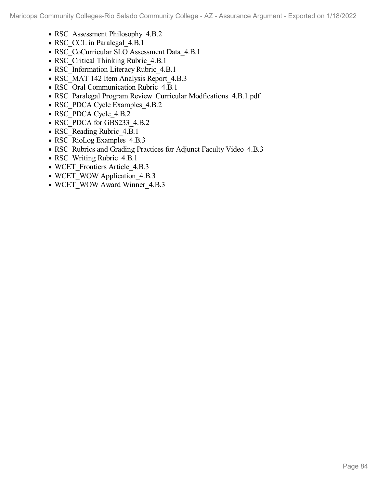- RSC Assessment Philosophy 4.B.2
- RSC CCL in Paralegal 4.B.1
- RSC\_CoCurricular SLO Assessment Data\_4.B.1
- RSC Critical Thinking Rubric 4.B.1
- RSC Information Literacy Rubric 4.B.1
- RSC\_MAT 142 Item Analysis Report\_4.B.3
- RSC Oral Communication Rubric 4.B.1
- RSC\_Paralegal Program Review\_Curricular Modfications\_4.B.1.pdf
- RSC\_PDCA Cycle Examples\_4.B.2
- RSC\_PDCA Cycle\_4.B.2
- RSC\_PDCA for GBS233\_4.B.2
- RSC Reading Rubric 4.B.1
- RSC RioLog Examples 4.B.3
- RSC Rubrics and Grading Practices for Adjunct Faculty Video 4.B.3
- RSC Writing Rubric 4.B.1
- WCET\_Frontiers Article\_4.B.3
- WCET WOW Application 4.B.3
- WCET\_WOW Award Winner\_4.B.3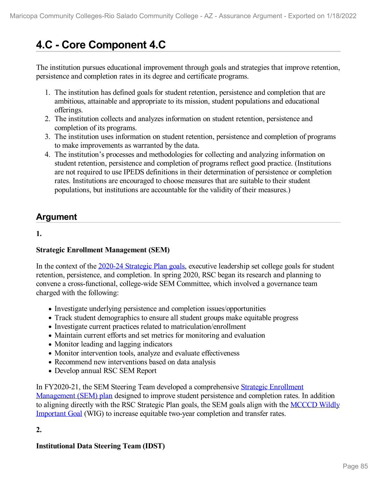# **4.C - Core Component 4.C**

The institution pursues educational improvement through goals and strategies that improve retention, persistence and completion rates in its degree and certificate programs.

- 1. The institution has defined goals for student retention, persistence and completion that are ambitious, attainable and appropriate to its mission, student populations and educational offerings.
- 2. The institution collects and analyzes information on student retention, persistence and completion of its programs.
- 3. The institution uses information on student retention, persistence and completion of programs to make improvements as warranted by the data.
- 4. The institution's processes and methodologies for collecting and analyzing information on student retention, persistence and completion of programs reflect good practice. (Institutions are not required to use IPEDS definitions in their determination of persistence or completion rates. Institutions are encouraged to choose measures that are suitable to their student populations, but institutions are accountable for the validity of their measures.)

# **Argument**

# **1.**

# **Strategic Enrollment Management (SEM)**

In the context of the 2020-24 [Strategic](file:///D:/evidence/viewfile?fileId=1352815) Plan goals, executive leadership set college goals for student retention, persistence, and completion. In spring 2020, RSC began its research and planning to convene a cross-functional, college-wide SEM Committee, which involved a governance team charged with the following:

- Investigate underlying persistence and completion issues/opportunities
- Track student demographics to ensure all student groups make equitable progress
- Investigate current practices related to matriculation/enrollment
- Maintain current efforts and set metrics for monitoring and evaluation
- Monitor leading and lagging indicators
- Monitor intervention tools, analyze and evaluate effectiveness
- Recommend new interventions based on data analysis
- Develop annual RSC SEM Report

In FY2020-21, the SEM Steering Team developed a [comprehensive](file:///D:/evidence/viewfile?fileId=1352804) Strategic Enrollment Management (SEM) plan designed to improve student persistence and completion rates. In addition to aligning directly with the RSC Strategic Plan goals, the SEM goals align with the MCCCD Wildly Important Goal (WIG) to increase equitable two-year [completion](file:///D:/evidence/viewfile?fileId=1352806) and transfer rates.

# **2.**

# **Institutional Data Steering Team (IDST)**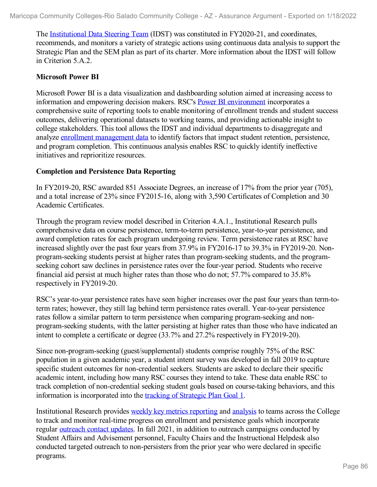The [Institutional](file:///D:/evidence/viewfile?fileId=1352814) Data Steering Team (IDST) was constituted in FY2020-21, and coordinates, recommends, and monitors a variety of strategic actions using continuous data analysis to support the Strategic Plan and the SEM plan as part of its charter. More information about the IDST will follow in Criterion 5.A.2.

#### **Microsoft Power BI**

Microsoft Power BI is a data visualization and dashboarding solution aimed at increasing access to information and empowering decision makers. RSC's Power BI [environment](file:///D:/evidence/viewfile?fileId=1352811) incorporates a comprehensive suite of reporting tools to enable monitoring of enrollment trends and student success outcomes, delivering operational datasets to working teams, and providing actionable insight to college stakeholders. This tool allows the IDST and individual departments to disaggregate and analyze enrollment [management](file:///D:/evidence/viewfile?fileId=1352820) data to identify factors that impact student retention, persistence, and program completion. This continuous analysis enables RSC to quickly identify ineffective initiatives and reprioritize resources.

#### **Completion and Persistence Data Reporting**

In FY2019-20, RSC awarded 851 Associate Degrees, an increase of 17% from the prior year (705), and a total increase of 23% since FY2015-16, along with 3,590 Certificates of Completion and 30 Academic Certificates.

Through the program review model described in Criterion 4.A.1., Institutional Research pulls comprehensive data on course persistence, term-to-term persistence, year-to-year persistence, and award completion rates for each program undergoing review. Term persistence rates at RSC have increased slightly over the past four years from 37.9% in FY2016-17 to 39.3% in FY2019-20. Non program-seeking students persist at higher rates than program-seeking students, and the programseeking cohort saw declines in persistence rates over the four-year period. Students who receive financial aid persist at much higher rates than those who do not; 57.7% compared to 35.8% respectively in FY2019-20.

RSC's year-to-year persistence rates have seen higher increases over the past four years than term-toterm rates; however, they still lag behind term persistence rates overall. Year-to-year persistence rates follow a similar pattern to term persistence when comparing program-seeking and nonprogram-seeking students, with the latter persisting at higher rates than those who have indicated an intent to complete a certificate or degree (33.7% and 27.2% respectively in FY2019-20).

Since non-program-seeking (guest/supplemental) students comprise roughly 75% of the RSC population in a given academic year, a student intent survey was developed in fall 2019 to capture specific student outcomes for non-credential seekers. Students are asked to declare their specific academic intent, including how many RSC courses they intend to take. These data enable RSC to track completion of non-credential seeking student goals based on course-taking behaviors, and this information is incorporated into the tracking of [Strategic](file:///D:/evidence/viewfile?fileId=1352812) Plan Goal 1.

Institutional Research provides weekly key metrics [reporting](file:///D:/evidence/viewfile?fileId=1352817) and [analysis](file:///D:/evidence/viewfile?fileId=1352816) to teams across the College to track and monitor real-time progress on enrollment and persistence goals which incorporate regular [outreach](file:///D:/evidence/viewfile?fileId=1352809) contact updates. In fall 2021, in addition to outreach campaigns conducted by Student Affairs and Advisement personnel, Faculty Chairs and the Instructional Helpdesk also conducted targeted outreach to non-persisters from the prior year who were declared in specific programs.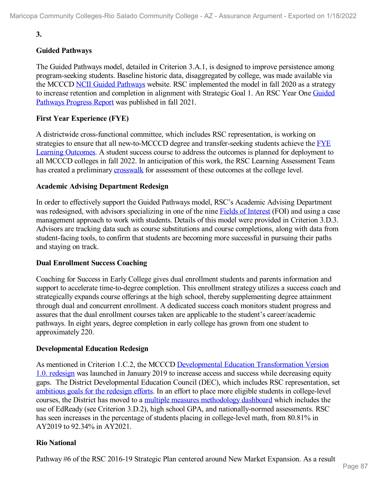# **3.**

# **Guided Pathways**

The Guided Pathways model, detailed in Criterion 3.A.1, is designed to improve persistence among program-seeking students. Baseline historic data, disaggregated by college, was made available via the MCCCD NCII Guided [Pathways](file:///D:/evidence/viewfile?fileId=1352808) website. RSC implemented the model in fall 2020 as a strategy to increase retention and [completion](file:///D:/evidence/viewfile?fileId=1352819) in alignment with Strategic Goal 1. An RSC Year One Guided Pathways Progress Report was published in fall 2021.

# **First Year Experience (FYE)**

A districtwide cross-functional committee, which includes RSC representation, is working on strategies to ensure that all [new-to-MCCCD](file:///D:/evidence/viewfile?fileId=1352838) degree and transfer-seeking students achieve the FYE Learning Outcomes. A student success course to address the outcomes is planned for deployment to all MCCCD colleges in fall 2022. In anticipation of this work, the RSC Learning Assessment Team has created a preliminary [crosswalk](file:///D:/evidence/viewfile?fileId=1352826) for assessment of these outcomes at the college level.

## **Academic Advising Department Redesign**

In order to effectively support the Guided Pathways model, RSC's Academic Advising Department was redesigned, with advisors specializing in one of the nine Fields of [Interest](file:///D:/evidence/viewfile?fileId=1352805) (FOI) and using a case management approach to work with students. Details of this model were provided in Criterion 3.D.3. Advisors are tracking data such as course substitutions and course completions, along with data from student-facing tools, to confirm that students are becoming more successful in pursuing their paths and staying on track.

#### **Dual Enrollment Success Coaching**

Coaching for Success in Early College gives dual enrollment students and parents information and support to accelerate time-to-degree completion. This enrollment strategy utilizes a success coach and strategically expands course offerings at the high school, thereby supplementing degree attainment through dual and concurrent enrollment. A dedicated success coach monitors student progress and assures that the dual enrollment courses taken are applicable to the student's career/academic pathways. In eight years, degree completion in early college has grown from one student to approximately 220.

## **Developmental Education Redesign**

As mentioned in Criterion 1.C.2, the MCCCD Developmental Education [Transformation](file:///D:/evidence/viewfile?fileId=1352810) Version 1.0. redesign was launched in January 2019 to increase access and success while decreasing equity gaps. The District Developmental Education Council (DEC), which includes RSC representation, set [ambitious](file:///D:/evidence/viewfile?fileId=1352818) goals for the redesign efforts. In an effort to place more eligible students in college-level courses, the District has moved to a multiple measures [methodology](file:///D:/evidence/viewfile?fileId=1352801) dashboard which includes the use of EdReady (see Criterion 3.D.2), high school GPA, and nationally-normed assessments. RSC has seen increases in the percentage of students placing in college-level math, from 80.81% in AY2019 to 92.34% in AY2021.

## **Rio National**

Pathway #6 of the RSC 2016-19 Strategic Plan centered around New Market Expansion. As a result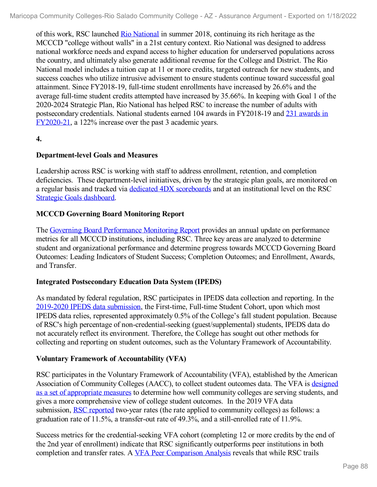of this work, RSC launched Rio [National](file:///D:/evidence/viewfile?fileId=1352828) in summer 2018, continuing its rich heritage as the MCCCD "college without walls" in a 21st century context. Rio National was designed to address national workforce needs and expand access to higher education for underserved populations across the country, and ultimately also generate additional revenue for the College and District. The Rio National model includes a tuition cap at 11 or more credits, targeted outreach for new students, and success coaches who utilize intrusive advisement to ensure students continue toward successful goal attainment. Since FY2018-19, full-time student enrollments have increased by 26.6% and the average full-time student credits attempted have increased by 35.66%. In keeping with Goal 1 of the 2020-2024 Strategic Plan, Rio National has helped RSC to increase the number of adults with [postsecondary](file:///D:/evidence/viewfile?fileId=1352807) credentials. National students earned 104 awards in FY2018-19 and 231 awards in FY2020-21, a 122% increase over the past 3 academic years.

# **4.**

## **Department-level Goals and Measures**

Leadership across RSC is working with staff to address enrollment, retention, and completion deficiencies. These department-level initiatives, driven by the strategic plan goals, are monitored on a regular basis and tracked via dedicated 4DX [scoreboards](file:///D:/evidence/viewfile?fileId=1352839) and at an institutional level on the RSC Strategic Goals [dashboard](file:///D:/evidence/viewfile?fileId=1352893).

# **MCCCD Governing Board Monitoring Report**

The Governing Board [Performance](file:///D:/evidence/viewfile?fileId=1352836) Monitoring Report provides an annual update on performance metrics for all MCCCD institutions, including RSC. Three key areas are analyzed to determine student and organizational performance and determine progress towards MCCCD Governing Board Outcomes: Leading Indicators of Student Success; Completion Outcomes; and Enrollment, Awards, and Transfer.

## **Integrated Postsecondary Education Data System (IPEDS)**

As mandated by federal regulation, RSC participates in IPEDS data collection and reporting. In the 2019-2020 IPEDS data [submission,](file:///D:/evidence/viewfile?fileId=1352837) the First-time, Full-time Student Cohort, upon which most IPEDS data relies, represented approximately 0.5% of the College's fall student population. Because of RSC's high percentage of non-credential-seeking (guest/supplemental) students, IPEDS data do not accurately reflect its environment. Therefore, the College has sought out other methods for collecting and reporting on student outcomes, such as the Voluntary Framework of Accountability.

## **Voluntary Framework of Accountability (VFA)**

RSC participates in the Voluntary Framework of Accountability (VFA), established by the American Association of [Community](file:///D:/evidence/viewfile?fileId=1352824) Colleges (AACC), to collect student outcomes data. The VFA is designed as a set of appropriate measures to determine how well community colleges are serving students, and gives a more comprehensive view of college student outcomes. In the 2019 VFA data submission, **RSC [reported](file:///D:/evidence/viewfile?fileId=1352832)** two-year rates (the rate applied to community colleges) as follows: a graduation rate of 11.5%, a transfer-out rate of 49.3%, and a still-enrolled rate of 11.9%.

Success metrics for the credential-seeking VFA cohort (completing 12 or more credits by the end of the 2nd year of enrollment) indicate that RSC significantly outperforms peer institutions in both completion and transfer rates. A VFA Peer [Comparison](file:///D:/evidence/viewfile?fileId=1352833) Analysis reveals that while RSC trails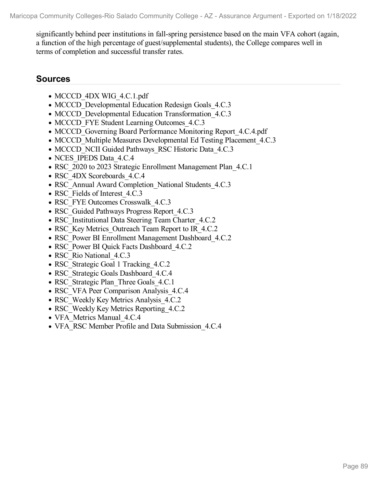significantly behind peer institutions in fall-spring persistence based on the main VFA cohort (again, a function of the high percentage of guest/supplemental students), the College compares well in terms of completion and successful transfer rates.

# **Sources**

- MCCCD 4DX WIG 4.C.1.pdf
- MCCCD Developmental Education Redesign Goals 4.C.3
- MCCCD Developmental Education Transformation 4.C.3
- MCCCD FYE Student Learning Outcomes 4.C.3
- MCCCD Governing Board Performance Monitoring Report 4.C.4.pdf
- MCCCD Multiple Measures Developmental Ed Testing Placement 4.C.3
- MCCCD NCII Guided Pathways RSC Historic Data 4.C.3
- NCES IPEDS Data 4.C.4
- RSC 2020 to 2023 Strategic Enrollment Management Plan 4.C.1
- RSC\_4DX Scoreboards\_4.C.4
- RSC\_Annual Award Completion\_National Students\_4.C.3
- RSC Fields of Interest 4.C.3
- RSC\_FYE Outcomes Crosswalk\_4.C.3
- RSC Guided Pathways Progress Report 4.C.3
- RSC Institutional Data Steering Team Charter 4.C.2
- RSC Key Metrics Outreach Team Report to IR 4.C.2
- RSC\_Power BI Enrollment Management Dashboard 4.C.2
- RSC\_Power BI Quick Facts Dashboard 4.C.2
- RSC Rio National 4.C.3
- RSC Strategic Goal 1 Tracking 4.C.2
- RSC Strategic Goals Dashboard 4.C.4
- RSC Strategic Plan Three Goals 4.C.1
- RSC VFA Peer Comparison Analysis 4.C.4
- RSC Weekly Key Metrics Analysis 4.C.2
- RSC Weekly Key Metrics Reporting 4.C.2
- VFA Metrics Manual 4.C.4
- VFA\_RSC Member Profile and Data Submission 4.C.4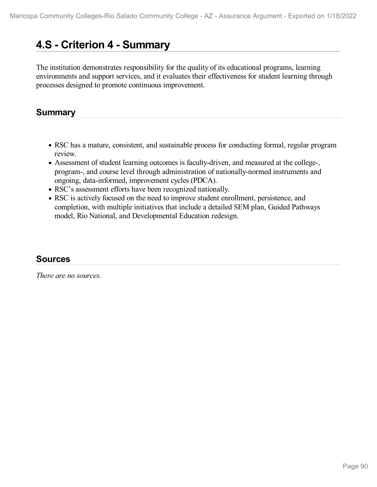# **4.S - Criterion 4 -Summary**

The institution demonstrates responsibility for the quality of its educational programs, learning environments and support services, and it evaluates their effectiveness for student learning through processes designed to promote continuous improvement.

# **Summary**

- RSC has a mature, consistent, and sustainable process for conducting formal, regular program review.
- Assessment of student learning outcomes is faculty-driven, and measured at the college-, program-, and course level through administration of nationally-normed instruments and ongoing, data-informed, improvement cycles (PDCA).
- RSC's assessment efforts have been recognized nationally.
- RSC is actively focused on the need to improve student enrollment, persistence, and completion, with multiple initiatives that include a detailed SEM plan, Guided Pathways model, Rio National, and Developmental Education redesign.

# **Sources**

*There are no sources.*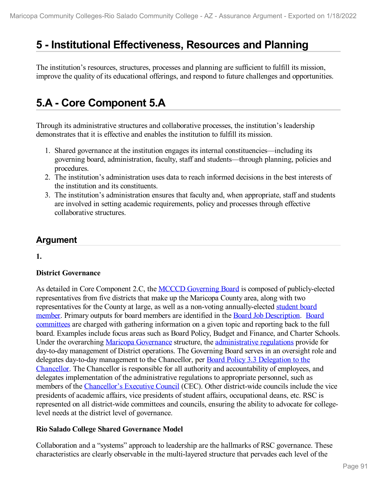# **5 -Institutional Effectiveness, Resources and Planning**

The institution's resources, structures, processes and planning are sufficient to fulfill its mission, improve the quality of its educational offerings, and respond to future challenges and opportunities.

# **5.A - Core Component 5.A**

Through its administrative structures and collaborative processes, the institution's leadership demonstrates that it is effective and enables the institution to fulfill its mission.

- 1. Shared governance at the institution engages its internal constituencies—including its governing board, administration, faculty, staff and students—through planning, policies and procedures.
- 2. The institution's administration uses data to reach informed decisions in the best interests of the institution and its constituents.
- 3. The institution's administration ensures that faculty and, when appropriate, staff and students are involved in setting academic requirements, policy and processes through effective collaborative structures.

# **Argument**

**1.**

# **District Governance**

As detailed in Core Component 2.C, the **MCCCD** [Governing](file:///D:/evidence/viewfile?fileId=1352850) Board is composed of publicly-elected representatives from five districts that make up the Maricopa County area, along with two representatives for the County at large, as well as a non-voting [annually-elected](file:///D:/evidence/viewfile?fileId=1352852) student board member. Primary outputs for board members are identified in the Board Job [Description.](file:///D:/evidence/viewfile?fileId=1352845) Board committees are charged with gathering information on a given topic and reporting back to the full board. Examples include focus areas such as Board Policy, Budget and Finance, and Charter Schools. Under the overarching Maricopa [Governance](file:///D:/evidence/viewfile?fileId=1352849) structure, the [administrative](file:///D:/evidence/viewfile?fileId=1352846) regulations provide for day-to-day management of District operations. The Governing Board serves in an oversight role and delegates day-to-day management to the Chancellor, per Board Policy 3.3 Delegation to the Chancellor. The Chancellor is responsible for all authority and [accountability](file:///D:/evidence/viewfile?fileId=1352854) of employees, and delegates implementation of the administrative regulations to appropriate personnel, such as members of the [Chancellor's](file:///D:/evidence/viewfile?fileId=1352847) Executive Council (CEC). Other district-wide councils include the vice presidents of academic affairs, vice presidents of student affairs, occupational deans, etc. RSC is represented on all district-wide committees and councils, ensuring the ability to advocate for collegelevel needs at the district level of governance.

# **Rio Salado College Shared Governance Model**

Collaboration and a "systems" approach to leadership are the hallmarks of RSC governance. These characteristics are clearly observable in the multi-layered structure that pervades each level of the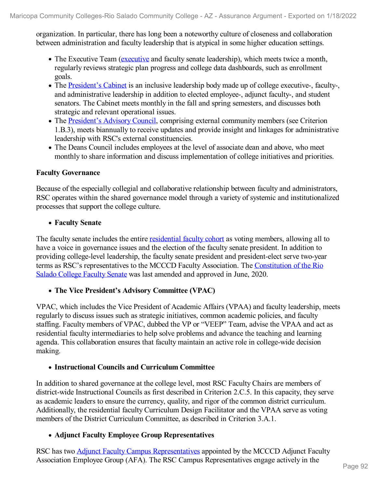organization. In particular, there has long been a noteworthy culture of closeness and collaboration between administration and faculty leadership that is atypical in some higher education settings.

- The Executive Team ([executive](file:///D:/evidence/viewfile?fileId=1352855) and faculty senate leadership), which meets twice a month, regularly reviews strategic plan progress and college data dashboards, such as enrollment goals.
- The [President's](file:///D:/evidence/viewfile?fileId=1352861) Cabinet is an inclusive leadership body made up of college executive-, faculty-, and administrative leadership in addition to elected employee-, adjunct faculty-, and student senators. The Cabinet meets monthly in the fall and spring semesters, and discusses both strategic and relevant operational issues.
- The [President's](file:///D:/evidence/viewfile?fileId=1352856) Advisory Council, comprising external community members (see Criterion 1.B.3), meets biannually to receive updates and provide insight and linkages for administrative leadership with RSC's external constituencies.
- The Deans Council includes employees at the level of associate dean and above, who meet monthly to share information and discuss implementation of college initiatives and priorities.

## **Faculty Governance**

Because of the especially collegial and collaborative relationship between faculty and administrators, RSC operates within the shared governance model through a variety of systemic and institutionalized processes that support the college culture.

# **Faculty Senate**

The faculty senate includes the entire [residential](file:///D:/evidence/viewfile?fileId=1352860) faculty cohort as voting members, allowing all to have a voice in governance issues and the election of the faculty senate president. In addition to providing college-level leadership, the faculty senate president and president-elect serve two-year terms as RSC's [representatives](file:///D:/evidence/viewfile?fileId=1352864) to the MCCCD Faculty Association. The Constitution of the Rio Salado College Faculty Senate was last amended and approved in June, 2020.

## **The Vice President's Advisory Committee (VPAC)**

VPAC, which includes the Vice President of Academic Affairs (VPAA) and faculty leadership, meets regularly to discuss issues such as strategic initiatives, common academic policies, and faculty staffing. Faculty members of VPAC, dubbed the VP or "VEEP" Team, advise the VPAA and act as residential faculty intermediaries to help solve problems and advance the teaching and learning agenda. This collaboration ensures that faculty maintain an active role in college-wide decision making.

## **Instructional Councils and Curriculum Committee**

In addition to shared governance at the college level, most RSC Faculty Chairs are members of district-wide Instructional Councils as first described in Criterion 2.C.5. In this capacity, they serve as academic leaders to ensure the currency, quality, and rigor of the common district curriculum. Additionally, the residential faculty Curriculum Design Facilitator and the VPAA serve as voting members of the District Curriculum Committee, as described in Criterion 3.A.1.

# **Adjunct Faculty Employee Group Representatives**

RSC has two Adjunct Faculty Campus [Representatives](file:///D:/evidence/viewfile?fileId=1352851) appointed by the MCCCD Adjunct Faculty Association Employee Group (AFA). The RSC Campus Representatives engage actively in the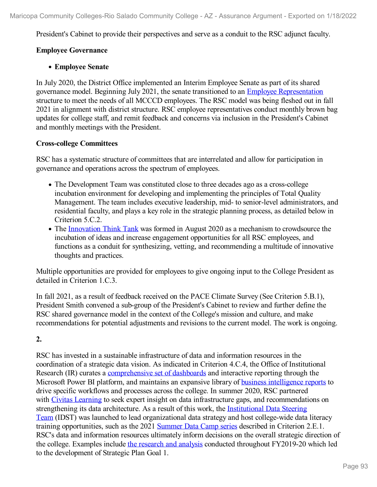President's Cabinet to provide their perspectives and serve as a conduit to the RSC adjunct faculty.

# **Employee Governance**

## **Employee Senate**

In July 2020, the District Office implemented an Interim Employee Senate as part of its shared governance model. Beginning July 2021, the senate transitioned to an Employee [Representation](file:///D:/evidence/viewfile?fileId=1352867) structure to meet the needs of all MCCCD employees. The RSC model was being fleshed out in fall 2021 in alignment with district structure. RSC employee representatives conduct monthly brown bag updates for college staff, and remit feedback and concerns via inclusion in the President's Cabinet and monthly meetings with the President.

## **Cross-college Committees**

RSC has a systematic structure of committees that are interrelated and allow for participation in governance and operations across the spectrum of employees.

- The Development Team was constituted close to three decades ago as a cross-college incubation environment for developing and implementing the principles of Total Quality Management. The team includes executive leadership, mid- to senior-level administrators, and residential faculty, and plays a key role in the strategic planning process, as detailed below in Criterion 5.C.2.
- The [Innovation](file:///D:/evidence/viewfile?fileId=1352878) Think Tank was formed in August 2020 as a mechanism to crowdsource the incubation of ideas and increase engagement opportunities for all RSC employees, and functions as a conduit for synthesizing, vetting, and recommending a multitude of innovative thoughts and practices.

Multiple opportunities are provided for employees to give ongoing input to the College President as detailed in Criterion 1.C.3.

In fall 2021, as a result of feedback received on the PACE Climate Survey (See Criterion 5.B.1), President Smith convened a sub-group of the President's Cabinet to review and further define the RSC shared governance model in the context of the College's mission and culture, and make recommendations for potential adjustments and revisions to the current model. The work is ongoing.

# **2.**

RSC has invested in a sustainable infrastructure of data and information resources in the coordination of a strategic data vision. As indicated in Criterion 4.C.4, the Office of Institutional Research (IR) curates a [comprehensive](file:///D:/evidence/viewfile?fileId=1352870) set of dashboards and interactive reporting through the Microsoft Power BI platform, and maintains an expansive library of **business [intelligence](file:///D:/evidence/viewfile?fileId=1352871) reports** to drive specific workflows and processes across the college. In summer 2020, RSC partnered with Civitas [Learning](file:///D:/evidence/viewfile?fileId=1352872) to seek expert insight on data infrastructure gaps, and recommendations on [strengthening](file:///D:/evidence/viewfile?fileId=1352874) its data architecture. As a result of this work, the Institutional Data Steering Team (IDST) was launched to lead organizational data strategy and host college-wide data literacy training opportunities, such as the 2021 [Summer](file:///D:/evidence/viewfile?fileId=1352858) Data Camp series described in Criterion 2.E.1. RSC's data and information resources ultimately inform decisions on the overall strategic direction of the college. Examples include the [research](file:///D:/evidence/viewfile?fileId=1352866) and analysis conducted throughout FY2019-20 which led to the development of Strategic Plan Goal 1.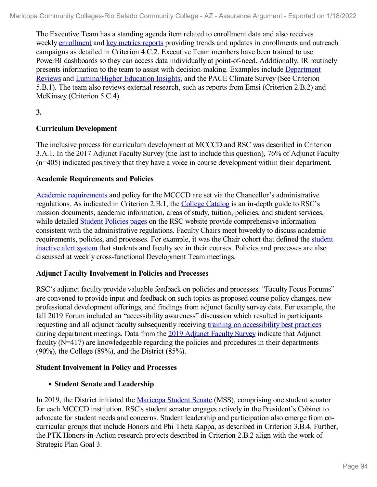The Executive Team has a standing agenda item related to enrollment data and also receives weekly [enrollment](file:///D:/evidence/viewfile?fileId=1352876) and key [metrics](file:///D:/evidence/viewfile?fileId=1352873) reports providing trends and updates in enrollments and outreach campaigns as detailed in Criterion 4.C.2. Executive Team members have been trained to use PowerBI dashboards so they can access data individually at point-of-need. Additionally, IR routinely presents information to the team to assist with [decision-making.](file:///D:/evidence/viewfile?fileId=1352869) Examples include Department Reviews and [Lumina/Higher](file:///D:/evidence/viewfile?fileId=1352868) Education Insights, and the PACE Climate Survey (See Criterion 5.B.1). The team also reviews external research, such as reports from Emsi (Criterion 2.B.2) and McKinsey (Criterion 5.C.4).

**3.**

# **Curriculum Development**

The inclusive process for curriculum development at MCCCD and RSC was described in Criterion 3.A.1. In the 2017 Adjunct Faculty Survey (the last to include this question), 76% of Adjunct Faculty (n=405) indicated positively that they have a voice in course development within their department.

# **Academic Requirements and Policies**

Academic [requirements](file:///D:/evidence/viewfile?fileId=1352857) and policy for the MCCCD are set via the Chancellor's administrative regulations. As indicated in Criterion 2.B.1, the [College](https://www.riosalado.edu/sites/default/files/inline/file/9366-21-22-catalog-online.pdf) Catalog is an in-depth guide to RSC's mission documents, academic information, areas of study, tuition, policies, and student services, while detailed **Student [Policies](http://www.riosalado.edu/policies/Pages/default.aspx) pages** on the RSC website provide comprehensive information consistent with the administrative regulations. Faculty Chairs meet biweekly to discuss academic [requirements,](file:///D:/evidence/viewfile?fileId=1352877) policies, and processes. For example, it was the Chair cohort that defined the student inactive alert system that students and faculty see in their courses. Policies and processes are also discussed at weekly cross-functional Development Team meetings.

## **Adjunct Faculty Involvement in Policies and Processes**

RSC's adjunct faculty provide valuable feedback on policies and processes. "Faculty Focus Forums" are convened to provide input and feedback on such topics as proposed course policy changes, new professional development offerings, and findings from adjunct faculty survey data. For example, the fall 2019 Forum included an "accessibility awareness" discussion which resulted in participants requesting and all adjunct faculty subsequently receiving training on [accessibility](file:///D:/evidence/viewfile?fileId=1352862) best practices during department meetings. Data from the 2019 [Adjunct](file:///D:/evidence/viewfile?fileId=1352879) Faculty Survey indicate that Adjunct faculty (N=417) are knowledgeable regarding the policies and procedures in their departments (90%), the College (89%), and the District (85%).

## **Student Involvement in Policy and Processes**

# **Student Senate and Leadership**

In 2019, the District initiated the [Maricopa](file:///D:/evidence/viewfile?fileId=1352853) Student Senate (MSS), comprising one student senator for each MCCCD institution. RSC's student senator engages actively in the President's Cabinet to advocate for student needs and concerns. Student leadership and participation also emerge from cocurricular groups that include Honors and Phi Theta Kappa, as described in Criterion 3.B.4. Further, the PTK Honors-in-Action research projects described in Criterion 2.B.2 align with the work of Strategic Plan Goal 3.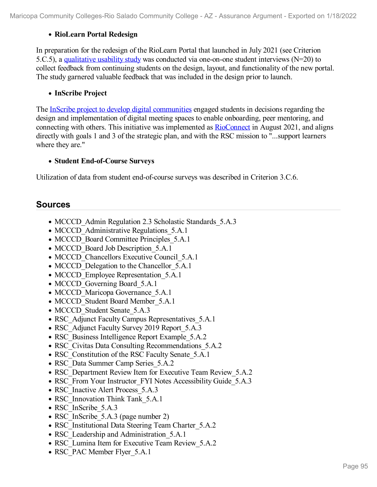# **RioLearn Portal Redesign**

In preparation for the redesign of the RioLearn Portal that launched in July 2021 (see Criterion 5.C.5), a [qualitative](file:///D:/evidence/viewfile?fileId=1352881) usability study was conducted via one-on-one student interviews ( $N=20$ ) to collect feedback from continuing students on the design, layout, and functionality of the new portal. The study garnered valuable feedback that was included in the design prior to launch.

## **InScribe Project**

The InScribe project to develop digital [communities](file:///D:/evidence/viewfile?fileId=1352882#page=2) engaged students in decisions regarding the design and implementation of digital meeting spaces to enable onboarding, peer mentoring, and connecting with others. This initiative was implemented as [RioConnect](file:///D:/evidence/viewfile?fileId=1352865) in August 2021, and aligns directly with goals 1 and 3 of the strategic plan, and with the RSC mission to "...support learners where they are."

## **Student End-of-Course Surveys**

Utilization of data from student end-of-course surveys was described in Criterion 3.C.6.

# **Sources**

- MCCCD Admin Regulation 2.3 Scholastic Standards 5.A.3
- MCCCD Administrative Regulations 5.A.1
- MCCCD Board Committee Principles 5.A.1
- MCCCD Board Job Description 5.A.1
- MCCCD Chancellors Executive Council 5.A.1
- MCCCD Delegation to the Chancellor 5.A.1
- MCCCD Employee Representation 5.A.1
- MCCCD Governing Board 5.A.1
- MCCCD Maricopa Governance 5.A.1
- MCCCD Student Board Member 5.A.1
- MCCCD Student Senate 5.A.3
- RSC Adjunct Faculty Campus Representatives 5.A.1
- RSC Adjunct Faculty Survey 2019 Report 5.A.3
- RSC Business Intelligence Report Example 5.A.2
- RSC Civitas Data Consulting Recommendations 5.A.2
- RSC Constitution of the RSC Faculty Senate 5.A.1
- RSC\_Data Summer Camp Series\_5.A.2
- RSC Department Review Item for Executive Team Review 5.A.2
- RSC From Your Instructor FYI Notes Accessibility Guide 5.A.3
- RSC Inactive Alert Process 5.A.3
- RSC Innovation Think Tank 5.A.1
- RSC InScribe 5.A.3
- RSC InScribe 5.A.3 (page number 2)
- RSC Institutional Data Steering Team Charter 5.A.2
- RSC Leadership and Administration 5.A.1
- RSC Lumina Item for Executive Team Review 5.A.2
- RSC\_PAC Member Flyer\_5.A.1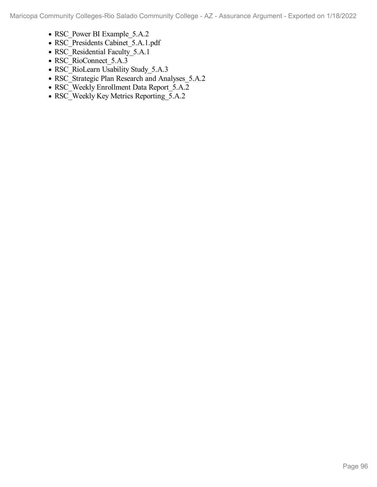- RSC\_Power BI Example\_5.A.2
- RSC\_Presidents Cabinet\_5.A.1.pdf
- RSC\_Residential Faculty\_5.A.1
- RSC\_RioConnect\_5.A.3
- RSC\_RioLearn Usability Study\_5.A.3
- RSC\_Strategic Plan Research and Analyses\_5.A.2
- RSC\_Weekly Enrollment Data Report\_5.A.2
- RSC\_Weekly Key Metrics Reporting\_5.A.2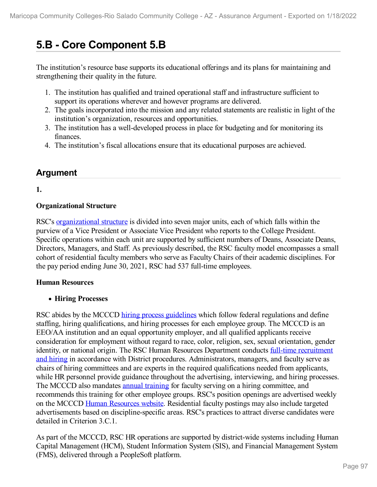# **5.B - Core Component 5.B**

The institution's resource base supports its educational offerings and its plans for maintaining and strengthening their quality in the future.

- 1. The institution has qualified and trained operational staff and infrastructure sufficient to support its operations wherever and however programs are delivered.
- 2. The goals incorporated into the mission and any related statements are realistic in light of the institution's organization, resources and opportunities.
- 3. The institution has a well-developed process in place for budgeting and for monitoring its finances.
- 4. The institution's fiscal allocations ensure that its educational purposes are achieved.

# **Argument**

**1.**

# **Organizational Structure**

RSC's [organizational](file:///D:/evidence/viewfile?fileId=1352902) structure is divided into seven major units, each of which falls within the purview ofa Vice President or Associate Vice President who reports to the College President. Specific operations within each unit are supported by sufficient numbers of Deans, Associate Deans, Directors, Managers, and Staff. As previously described, the RSC faculty model encompasses a small cohort of residential faculty members who serve as Faculty Chairs of their academic disciplines. For the pay period ending June 30, 2021, RSC had 537 full-time employees.

# **Human Resources**

# **Hiring Processes**

RSC abides by the MCCCD hiring process [guidelines](file:///D:/evidence/viewfile?fileId=1352904) which follow federal regulations and define staffing, hiring qualifications, and hiring processes for each employee group. The MCCCD is an EEO/AA institution and an equal opportunity employer, and all qualified applicants receive consideration for employment without regard to race, color, religion, sex, sexual orientation, gender identity, or national origin. The RSC Human Resources Department conducts full-time recruitment and hiring in accordance with District procedures. [Administrators,](file:///D:/evidence/viewfile?fileId=1352894) managers, and faculty serve as chairs of hiring committees and are experts in the required qualifications needed from applicants, while HR personnel provide guidance throughout the advertising, interviewing, and hiring processes. The MCCCD also mandates annual [training](file:///D:/evidence/viewfile?fileId=1352925) for faculty serving on a hiring committee, and recommends this training for other employee groups. RSC's position openings are advertised weekly on the MCCCD Human [Resources](file:///D:/evidence/viewfile?fileId=1352895) website. Residential faculty postings may also include targeted advertisements based on discipline-specific areas. RSC's practices to attract diverse candidates were detailed in Criterion 3.C.1.

As part of the MCCCD, RSC HR operations are supported by district-wide systems including Human Capital Management (HCM), Student Information System (SIS), and Financial Management System (FMS), delivered through a PeopleSoft platform.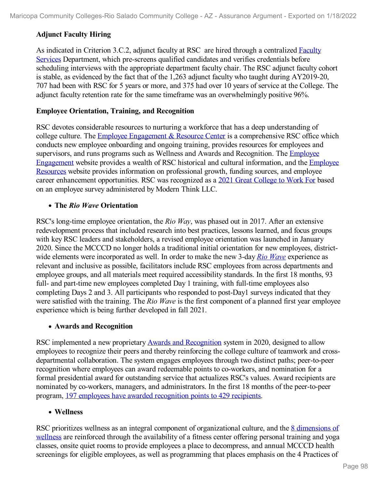# **Adjunct Faculty Hiring**

As indicated in Criterion 3.C.2, adjunct faculty at RSC are hired through a centralized Faculty Services [Department,](file:///D:/evidence/viewfile?fileId=1352915) which pre-screens qualified candidates and verifies credentials before scheduling interviews with the appropriate department faculty chair. The RSC adjunct faculty cohort is stable, as evidenced by the fact that of the 1,263 adjunct faculty who taught during AY2019-20, 707 had been with RSC for 5 years or more, and 375 had over 10 years of service at the College. The adjunct faculty retention rate for the same timeframe was an overwhelmingly positive 96%.

# **Employee Orientation, Training, and Recognition**

RSC devotes considerable resources to nurturing a workforce that has a deep understanding of college culture. The Employee [Engagement](file:///D:/evidence/viewfile?fileId=1352900) & Resource Center is a comprehensive RSC office which conducts new employee onboarding and ongoing training, provides resources for employees and supervisors, and runs programs such as Wellness and Awards and [Recognition.](file:///D:/evidence/viewfile?fileId=1352903) The Employee [Engagement](file:///D:/evidence/viewfile?fileId=1352918) website provides a wealth of RSC historical and cultural information, and the Employee Resources website provides information on professional growth, funding sources, and employee career enhancement opportunities. RSC was recognized as a 2021 Great [College](file:///D:/evidence/viewfile?fileId=1352896) to Work For based on an employee survey administered by Modern Think LLC.

# **The** *Rio Wave* **Orientation**

RSC's long-time employee orientation, the *Rio Way*, was phased out in 2017. After an extensive redevelopment process that included research into best practices, lessons learned, and focus groups with key RSC leaders and stakeholders, a revised employee orientation was launched in January 2020. Since the MCCCD no longer holds a traditional initial orientation for new employees, district wide elements were incorporated as well. In order to make the new 3-day *Rio [Wave](file:///D:/evidence/viewfile?fileId=1352922)* experience as relevant and inclusive as possible, facilitators include RSC employees from across departments and employee groups, and all materials meet required accessibility standards. In the first 18 months, 93 full- and part-time new employees completed Day 1 training, with full-time employees also completing Days 2 and 3. All participants who responded to post-Day1 surveys indicated that they were satisfied with the training. The *Rio Wave* is the first component of a planned first year employee experience which is being further developed in fall 2021.

## **Awards and Recognition**

RSC implemented a new proprietary Awards and [Recognition](file:///D:/evidence/viewfile?fileId=1352927) system in 2020, designed to allow employees to recognize their peers and thereby reinforcing the college culture of teamwork and cross departmental collaboration. The system engages employees through two distinct paths; peer-to-peer recognition where employees can award redeemable points to co-workers, and nomination for a formal presidential award for outstanding service that actualizes RSC's values. Award recipients are nominated by co-workers, managers, and administrators. In the first 18 months of the peer-to-peer program, 197 employees have awarded [recognition](file:///D:/evidence/viewfile?fileId=1352899) points to 429 recipients.

## **Wellness**

RSC prioritizes wellness as an integral component of [organizational](file:///D:/evidence/viewfile?fileid=1352920) culture, and the 8 dimensions of wellness are reinforced through the availability of a fitness center offering personal training and yoga classes, onsite quiet rooms to provide employees a place to decompress, and annual MCCCD health screenings for eligible employees, as well as programming that places emphasis on the 4 Practices of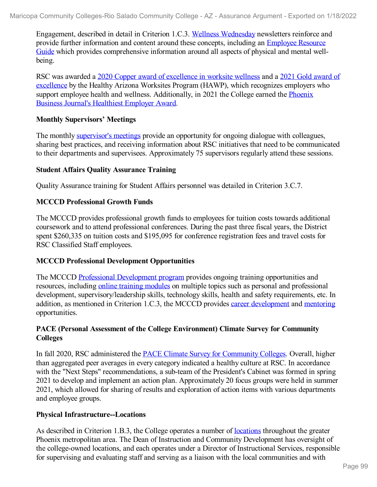Engagement, described in detail in Criterion 1.C.3. Wellness [Wednesday](file:///D:/evidence/viewfile?fileId=1352929) newsletters reinforce and provide further information and content around these concepts, including an Employee Resource Guide which provides [comprehensive](file:///D:/evidence/viewfile?fileId=1352930) information around all aspects of physical and mental well being.

RSC was awarded a 2020 Copper award of [excellence](file:///D:/evidence/viewfile?fileId=1352919) in worksite wellness and a 2021 Gold award of excellence by the Healthy Arizona Worksites Program (HAWP), which recognizes employers who support employee health and wellness. [Additionally,](file:///D:/evidence/viewfile?fileId=1352926) in 2021 the College earned the Phoenix Business Journal's Healthiest Employer Award.

## **Monthly Supervisors' Meetings**

The monthly [supervisor's](file:///D:/evidence/viewfile?fileId=1352921) meetings provide an opportunity for ongoing dialogue with colleagues, sharing best practices, and receiving information about RSC initiatives that need to be communicated to their departments and supervisees. Approximately 75 supervisors regularly attend these sessions.

#### **Student Affairs Quality Assurance Training**

Quality Assurance training for Student Affairs personnel was detailed in Criterion 3.C.7.

#### **MCCCD Professional Growth Funds**

The MCCCD provides professional growth funds to employees for tuition costs towards additional coursework and to attend professional conferences. During the past three fiscal years, the District spent \$260,335 on tuition costs and \$195,095 for conference registration fees and travel costs for RSC Classified Staff employees.

#### **MCCCD Professional Development Opportunities**

The MCCCD Professional [Development](file:///D:/evidence/viewfile?fileId=1352916) program provides ongoing training opportunities and resources, including online training [modules](file:///D:/evidence/viewfile?fileId=1352911) on multiple topics such as personal and professional development, supervisory/leadership skills, technology skills, health and safety requirements, etc. In addition, as mentioned in Criterion 1.C.3, the MCCCD provides career [development](file:///D:/evidence/viewfile?fileId=1352912) and [mentoring](file:///D:/evidence/viewfile?fileId=1352905) opportunities.

## **PACE (Personal Assessment of the College Environment) Climate Survey for Community Colleges**

In fall 2020, RSC administered the PACE Climate Survey for [Community](file:///D:/evidence/viewfile?fileId=1352928) Colleges. Overall, higher than aggregated peer averages in every category indicated a healthy culture at RSC. In accordance with the "Next Steps" recommendations, a sub-team of the President's Cabinet was formed in spring 2021 to develop and implement an action plan. Approximately 20 focus groups were held in summer 2021, which allowed for sharing of results and exploration of action items with various departments and employee groups.

## **Physical Infrastructure--Locations**

As described in Criterion 1.B.3, the College operates a number of <u>[locations](file:///D:/evidence/viewfile?fileId=1352910)</u> throughout the greater Phoenix metropolitan area. The Dean of Instruction and Community Development has oversight of the college-owned locations, and each operates under a Director of Instructional Services, responsible for supervising and evaluating staff and serving as a liaison with the local communities and with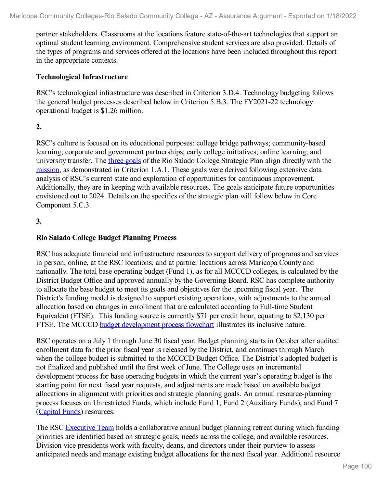partner stakeholders. Classrooms at the locations feature state-of-the-art technologies that support an optimal student learning environment. Comprehensive student services are also provided. Details of the types of programs and services offered at the locations have been included throughout this report in the appropriate contexts.

#### **Technological Infrastructure**

RSC's technological infrastructure was described in Criterion 3.D.4. Technology budgeting follows the general budget processes described below in Criterion 5.B.3. The FY2021-22 technology operational budget is \$1.26 million.

## **2.**

RSC's culture is focused on its educational purposes: college bridge pathways; community-based learning; corporate and government partnerships; early college initiatives; online learning; and university transfer. The three [goals](file:///D:/evidence/viewfile?fileId=1352907) of the Rio Salado College Strategic Plan align directly with the [mission](file:///D:/evidence/viewfile?fileId=1352906), as demonstrated in Criterion 1.A.1. These goals were derived following extensive data analysis of RSC's current state and exploration of opportunities for continuous improvement. Additionally, they are in keeping with available resources. The goals anticipate future opportunities envisioned out to 2024. Details on the specifics of the strategic plan will follow below in Core Component 5.C.3.

## **3.**

## **Rio Salado College Budget Planning Process**

RSC has adequate financial and infrastructure resources to support delivery of programs and services in person, online, at the RSC locations, and at partner locations across Maricopa County and nationally. The total base operating budget (Fund 1), as for all MCCCD colleges, is calculated by the District Budget Office and approved annually by the Governing Board. RSC has complete authority to allocate the base budget to meet its goals and objectives for the upcoming fiscal year. The District's funding model is designed to support existing operations, with adjustments to the annual allocation based on changes in enrollment that are calculated according to Full-time Student Equivalent (FTSE). This funding source is currently \$71 per credit hour, equating to \$2,130 per FTSE. The MCCCD budget [development](file:///D:/evidence/viewfile?fileId=1352924) process flowchart illustrates its inclusive nature.

RSC operates on a July 1 through June 30 fiscal year. Budget planning starts in October after audited enrollment data for the prior fiscal year is released by the District, and continues through March when the college budget is submitted to the MCCCD Budget Office. The District's adopted budget is not finalized and published until the first week of June. The College uses an incremental development process for base operating budgets in which the current year's operating budget is the starting point for next fiscal year requests, and adjustments are made based on available budget allocations in alignment with priorities and strategic planning goals. An annual resource-planning process focuses on Unrestricted Funds, which include Fund 1, Fund 2 (Auxiliary Funds), and Fund 7 ([Capital](file:///D:/evidence/viewfile?fileId=1352898) Funds) resources.

The RSC [Executive](file:///D:/evidence/viewfile?fileId=1352901) Team holds a collaborative annual budget planning retreat during which funding priorities are identified based on strategic goals, needs across the college, and available resources. Division vice presidents work with faculty, deans, and directors under their purview to assess anticipated needs and manage existing budget allocations for the next fiscal year. Additional resource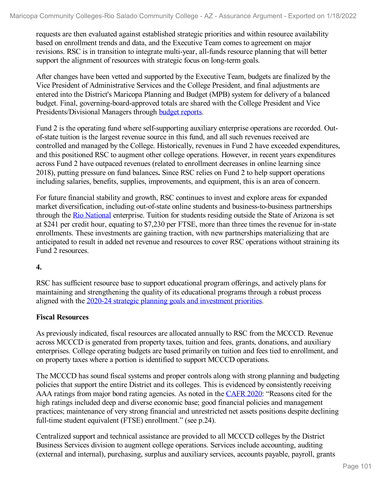requests are then evaluated against established strategic priorities and within resource availability based on enrollment trends and data, and the Executive Team comes to agreement on major revisions. RSC is in transition to integrate multi-year, all-funds resource planning that will better support the alignment of resources with strategic focus on long-term goals.

After changes have been vetted and supported by the Executive Team, budgets are finalized by the Vice President of Administrative Services and the College President, and final adjustments are entered into the District's Maricopa Planning and Budget (MPB) system for delivery of a balanced budget. Final, governing-board-approved totals are shared with the College President and Vice Presidents/Divisional Managers through budget [reports](file:///D:/evidence/viewfile?fileId=1352917).

Fund 2 is the operating fund where self-supporting auxiliary enterprise operations are recorded. Out of-state tuition is the largest revenue source in this fund, and all such revenues received are controlled and managed by the College. Historically, revenues in Fund 2 have exceeded expenditures, and this positioned RSC to augment other college operations. However, in recent years expenditures across Fund 2 have outpaced revenues (related to enrollment decreases in online learning since 2018), putting pressure on fund balances**.** Since RSC relies on Fund 2 to help support operations including salaries, benefits, supplies, improvements, and equipment, this is an area of concern.

For future financial stability and growth, RSC continues to invest and explore areas for expanded market diversification, including out-of-state online students and business-to-business partnerships through the Rio [National](file:///D:/evidence/viewfile?fileId=1352923) enterprise. Tuition for students residing outside the State of Arizona is set at \$241 per credit hour, equating to \$7,230 per FTSE, more than three times the revenue for in-state enrollments. These investments are gaining traction, with new partnerships materializing that are anticipated to result in added net revenue and resources to cover RSC operations without straining its Fund 2 resources.

## **4.**

RSC has sufficient resource base to support educational program offerings, and actively plans for maintaining and strengthening the quality of its educational programs through a robust process aligned with the 2020-24 strategic planning goals and [investment](file:///D:/evidence/viewfile?fileId=1352908) priorities.

# **Fiscal Resources**

As previously indicated, fiscal resources are allocated annually to RSC from the MCCCD. Revenue across MCCCD is generated from property taxes, tuition and fees, grants, donations, and auxiliary enterprises. College operating budgets are based primarily on tuition and fees tied to enrollment, and on property taxes where a portion is identified to support MCCCD operations.

The MCCCD has sound fiscal systems and proper controls along with strong planning and budgeting policies that support the entire District and its colleges. This is evidenced by consistently receiving AAA ratings from major bond rating agencies. As noted in the [CAFR](file:///D:/evidence/viewfile?fileId=1352931) 2020: "Reasons cited for the high ratings included deep and diverse economic base; good financial policies and management practices; maintenance of very strong financial and unrestricted net assets positions despite declining full-time student equivalent (FTSE) enrollment." (see p.24).

Centralized support and technical assistance are provided to all MCCCD colleges by the District Business Services division to augment college operations. Services include accounting, auditing (external and internal), purchasing, surplus and auxiliary services, accounts payable, payroll, grants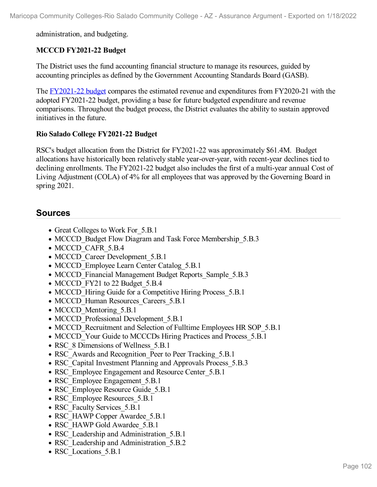administration, and budgeting.

## **MCCCD FY2021-22 Budget**

The District uses the fund accounting financial structure to manage its resources, guided by accounting principles as defined by the Government Accounting Standards Board (GASB).

The [FY2021-22](file:///D:/evidence/viewfile?fileId=1352914) budget compares the estimated revenue and expenditures from FY2020-21 with the adopted FY2021-22 budget, providing a base for future budgeted expenditure and revenue comparisons. Throughout the budget process, the District evaluates the ability to sustain approved initiatives in the future.

# **Rio Salado College FY2021-22 Budget**

RSC's budget allocation from the District for FY2021-22 was approximately \$61.4M. Budget allocations have historically been relatively stable year-over-year, with recent-year declines tied to declining enrollments. The FY2021-22 budget also includes the first of a multi-year annual Cost of Living Adjustment (COLA) of 4% for all employees that was approved by the Governing Board in spring 2021.

# **Sources**

- Great Colleges to Work For 5.B.1
- MCCCD Budget Flow Diagram and Task Force Membership 5.B.3
- MCCCD CAFR 5.B.4
- MCCCD Career Development 5.B.1
- MCCCD Employee Learn Center Catalog 5.B.1
- MCCCD Financial Management Budget Reports Sample 5.B.3
- MCCCD FY21 to 22 Budget 5.B.4
- MCCCD Hiring Guide for a Competitive Hiring Process 5.B.1
- MCCCD Human Resources Careers 5.B.1
- MCCCD Mentoring 5.B.1
- MCCCD Professional Development 5.B.1
- MCCCD Recruitment and Selection of Fulltime Employees HR SOP 5.B.1
- MCCCD Your Guide to MCCCDs Hiring Practices and Process 5.B.1
- RSC 8 Dimensions of Wellness 5.B.1
- RSC Awards and Recognition Peer to Peer Tracking 5.B.1
- RSC Capital Investment Planning and Approvals Process 5.B.3
- RSC Employee Engagement and Resource Center 5.B.1
- RSC Employee Engagement 5.B.1
- RSC Employee Resource Guide 5.B.1
- RSC Employee Resources 5.B.1
- RSC Faculty Services 5.B.1
- RSC HAWP Copper Awardee 5.B.1
- RSC\_HAWP Gold Awardee\_5.B.1
- RSC Leadership and Administration 5.B.1
- RSC Leadership and Administration 5.B.2
- RSC Locations 5.B.1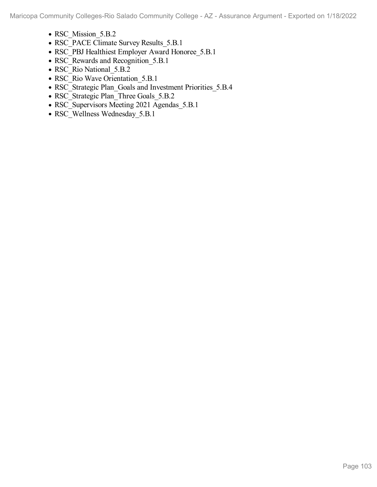Maricopa Community Colleges-Rio Salado Community College - AZ - Assurance Argument - Exported on 1/18/2022

- RSC Mission 5.B.2
- RSC\_PACE Climate Survey Results\_5.B.1
- RSC\_PBJ Healthiest Employer Award Honoree\_5.B.1
- RSC\_Rewards and Recognition\_5.B.1
- RSC\_Rio National\_5.B.2
- RSC\_Rio Wave Orientation 5.B.1
- RSC\_Strategic Plan\_Goals and Investment Priorities\_5.B.4
- RSC\_Strategic Plan\_Three Goals\_5.B.2
- RSC\_Supervisors Meeting 2021 Agendas\_5.B.1
- RSC\_Wellness Wednesday\_5.B.1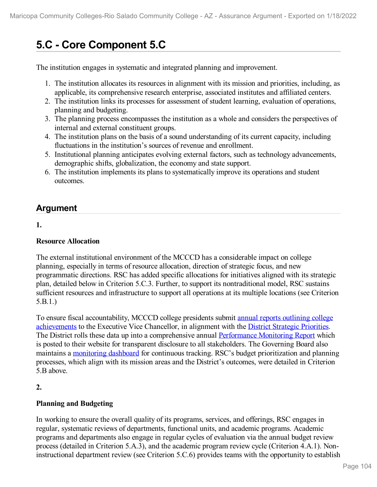# **5.C - Core Component 5.C**

The institution engages in systematic and integrated planning and improvement.

- 1. The institution allocates its resources in alignment with its mission and priorities, including, as applicable, its comprehensive research enterprise, associated institutes and affiliated centers.
- 2. The institution links its processes for assessment of student learning, evaluation of operations, planning and budgeting.
- 3. The planning process encompasses the institution as a whole and considers the perspectives of internal and external constituent groups.
- 4. The institution plans on the basis of a sound understanding of its current capacity, including fluctuations in the institution's sources of revenue and enrollment.
- 5. Institutional planning anticipates evolving external factors, such as technology advancements, demographic shifts, globalization, the economy and state support.
- 6. The institution implements its plans to systematically improve its operations and student outcomes.

# **Argument**

# **1.**

# **Resource Allocation**

The external institutional environment of the MCCCD has a considerable impact on college planning, especially in terms of resource allocation, direction of strategic focus, and new programmatic directions. RSC has added specific allocations for initiatives aligned with its strategic plan, detailed below in Criterion 5.C.3. Further, to support its nontraditional model, RSC sustains sufficient resources and infrastructure to support all operations at its multiple locations (see Criterion 5.B.1.)

To ensure fiscal [accountability,](file:///D:/evidence/viewfile?fileId=1352967) MCCCD college presidents submit annual reports outlining college achievements to the Executive Vice Chancellor, in alignment with the District Strategic [Priorities.](file:///D:/evidence/viewfile?fileId=1352934) The District rolls these data up into a comprehensive annual [Performance](file:///D:/evidence/viewfile?fileId=1352946) Monitoring Report which is posted to their website for transparent disclosure to all stakeholders. The Governing Board also maintains a [monitoring](file:///D:/evidence/viewfile?fileId=1352939) dashboard for continuous tracking. RSC's budget prioritization and planning processes, which align with its mission areas and the District's outcomes, were detailed in Criterion 5.B above.

# **2.**

# **Planning and Budgeting**

In working to ensure the overall quality of its programs, services, and offerings, RSC engages in regular, systematic reviews of departments, functional units, and academic programs. Academic programs and departments also engage in regular cycles of evaluation via the annual budget review process (detailed in Criterion 5.A.3), and the academic program review cycle (Criterion 4.A.1). Noninstructional department review (see Criterion 5.C.6) provides teams with the opportunity to establish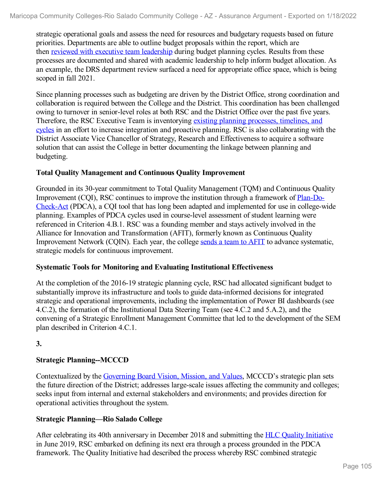strategic operational goals and assess the need for resources and budgetary requests based on future priorities. Departments are able to outline budget proposals within the report, which are then reviewed with executive team [leadership](file:///D:/evidence/viewfile?fileId=1352966) during budget planning cycles. Results from these processes are documented and shared with academic leadership to help inform budget allocation. As an example, the DRS department review surfaced a need for appropriate office space, which is being scoped in fall 2021.

Since planning processes such as budgeting are driven by the District Office, strong coordination and collaboration is required between the College and the District. This coordination has been challenged owing to turnover in senior-level roles at both RSC and the District Office over the past five years. Therefore, the RSC Executive Team is [inventorying](file:///D:/evidence/viewfile?fileId=1352943) existing planning processes, timelines, and cycles in an effort to increase integration and proactive planning. RSC is also collaborating with the District Associate Vice Chancellor of Strategy, Research and Effectiveness to acquire a software solution that can assist the College in better documenting the linkage between planning and budgeting.

## **Total Quality Management and Continuous Quality Improvement**

Grounded in its 30-year commitment to Total Quality Management (TQM) and Continuous Quality [Improvement](file:///D:/evidence/viewfile?fileId=1352958) (CQI), RSC continues to improve the institution through a framework of Plan-Do- Check-Act (PDCA), a CQI tool that has long been adapted and implemented for use in college-wide planning. Examples of PDCA cycles used in course-level assessment of student learning were referenced in Criterion 4.B.1. RSC was a founding member and stays actively involved in the Alliance for Innovation and Transformation (AFIT), formerly known as Continuous Quality Improvement Network (CQIN). Each year, the college [sends](file:///D:/evidence/viewfile?fileId=1352935) a team to AFIT to advance systematic, strategic models for continuous improvement.

## **Systematic Tools for Monitoring and Evaluating Institutional Effectiveness**

At the completion of the 2016-19 strategic planning cycle, RSC had allocated significant budget to substantially improve its infrastructure and tools to guide data-informed decisions for integrated strategic and operational improvements, including the implementation of Power BI dashboards (see 4.C.2), the formation of the Institutional Data Steering Team (see 4.C.2 and 5.A.2), and the convening of a Strategic Enrollment Management Committee that led to the development of the SEM plan described in Criterion 4.C.1.

**3.**

# **Strategic Planning--MCCCD**

Contextualized by the [Governing](file:///D:/evidence/viewfile?fileId=1352953) Board Vision, Mission, and Values, MCCCD's strategic plan sets the future direction of the District; addresses large-scale issues affecting the community and colleges; seeks input from internal and external stakeholders and environments; and provides direction for operational activities throughout the system.

## **Strategic Planning—Rio Salado College**

After celebrating its 40th anniversary in December 2018 and submitting the HLC Quality [Initiative](file:///D:/evidence/viewfile?fileId=1352942) in June 2019, RSC embarked on defining its next era through a process grounded in the PDCA framework. The Quality Initiative had described the process whereby RSC combined strategic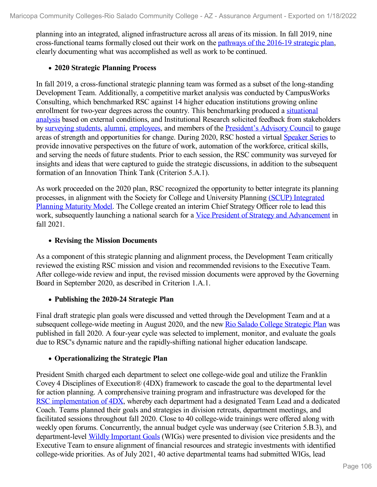planning into an integrated, aligned infrastructure across all areas of its mission. In fall 2019, nine cross-functional teams formally closed out their work on the [pathways](file:///D:/evidence/viewfile?fileId=1352961) of the 2016-19 strategic plan, clearly documenting what was accomplished as well as work to be continued.

#### **2020 Strategic Planning Process**

In fall 2019, a cross-functional strategic planning team was formed as a subset of the long-standing Development Team. Additionally, a competitive market analysis was conducted by CampusWorks Consulting, which benchmarked RSC against 14 higher education institutions growing online enrollment for two-year degrees across the country. This [benchmarking](file:///D:/evidence/viewfile?fileId=1352952) produced a situational analysis based on external conditions, and Institutional Research solicited feedback from stakeholders by [surveying](file:///D:/evidence/viewfile?fileId=1352971) students, [alumni,](file:///D:/evidence/viewfile?fileId=1352973) [employees](file:///D:/evidence/viewfile?fileId=1352962), and members of the [President's](file:///D:/evidence/viewfile?fileId=1352957) Advisory Council to gauge areas of strength and opportunities for change. During 2020, RSC hosted a virtual [Speaker](file:///D:/evidence/viewfile?fileId=1352969) Series to provide innovative perspectives on the future of work, automation of the workforce, critical skills, and serving the needs of future students. Prior to each session, the RSC community was surveyed for insights and ideas that were captured to guide the strategic discussions, in addition to the subsequent formation of an Innovation Think Tank (Criterion 5.A.1).

As work proceeded on the 2020 plan, RSC recognized the opportunity to better integrate its planning processes, in alignment with the Society for College and [University](file:///D:/evidence/viewfile?fileId=1352970) Planning (SCUP) Integrated Planning Maturity Model. The College created an interim Chief Strategy Officer role to lead this work, subsequently launching a national search for a Vice President of Strategy and [Advancement](file:///D:/evidence/viewfile?fileId=1352964) in fall 2021.

#### **Revising the Mission Documents**

As a component of this strategic planning and alignment process, the Development Team critically reviewed the existing RSC mission and vision and recommended revisions to the Executive Team. After college-wide review and input, the revised mission documents were approved by the Governing Board in September 2020, as described in Criterion 1.A.1.

## **Publishing the 2020-24 Strategic Plan**

Final draft strategic plan goals were discussed and vetted through the Development Team and at a subsequent college-wide meeting in August 2020, and the new Rio Salado College [Strategic](file:///D:/evidence/viewfile?fileId=1352972) Plan was published in fall 2020. A four-year cycle was selected to implement, monitor, and evaluate the goals due to RSC's dynamic nature and the rapidly-shifting national higher education landscape.

## **Operationalizing the Strategic Plan**

President Smith charged each department to select one college-wide goal and utilize the Franklin Covey 4 Disciplines of Execution® (4DX) framework to cascade the goal to the departmental level for action planning. A comprehensive training program and infrastructure was developed for the RSC [implementation](file:///D:/evidence/viewfile?fileId=1352948) of 4DX, whereby each department had a designated Team Lead and a dedicated Coach. Teams planned their goals and strategies in division retreats, department meetings, and facilitated sessions throughout fall 2020. Close to 40 college-wide trainings were offered along with weekly open forums. Concurrently, the annual budget cycle was underway (see Criterion 5.B.3), and department-level Wildly [Important](file:///D:/evidence/viewfile?fileId=1353017) Goals (WIGs) were presented to division vice presidents and the Executive Team to ensure alignment of financial resources and strategic investments with identified college-wide priorities. As of July 2021, 40 active departmental teams had submitted WIGs, lead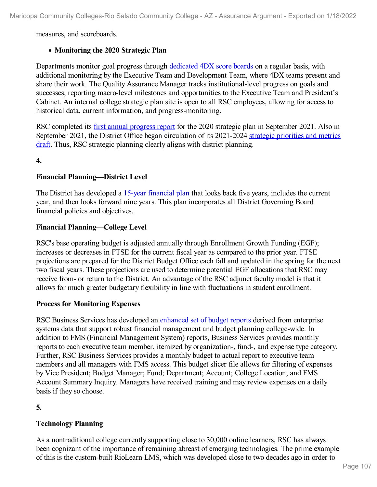measures, and scoreboards.

# **Monitoring the 2020 Strategic Plan**

Departments monitor goal progress through [dedicated](file:///D:/evidence/viewfile?fileId=1353018) 4DX score boards on a regular basis, with additional monitoring by the Executive Team and Development Team, where 4DX teams present and share their work. The Quality Assurance Manager tracks institutional-level progress on goals and successes, reporting macro-level milestones and opportunities to the Executive Team and President's Cabinet. An internal college strategic plan site is open to all RSC employees, allowing for access to historical data, current information, and progress-monitoring.

RSC completed its first annual [progress](file:///D:/evidence/viewfile?fileId=1352974) report for the 2020 strategic plan in September 2021. Also in September 2021, the District Office began circulation of its [2021-2024](file:///D:/evidence/viewfile?fileId=1352937) strategic priorities and metrics draft. Thus, RSC strategic planning clearly aligns with district planning.

**4.**

# **Financial Planning—District Level**

The District has developed a 15-year [financial](file:///D:/evidence/viewfile?fileId=1352951) plan that looks back five years, includes the current year, and then looks forward nine years. This plan incorporates all District Governing Board financial policies and objectives.

# **Financial Planning—College Level**

RSC's base operating budget is adjusted annually through Enrollment Growth Funding (EGF); increases or decreases in FTSE for the current fiscal year as compared to the prior year. FTSE projections are prepared for the District Budget Office each fall and updated in the spring for the next two fiscal years. These projections are used to determine potential EGF allocations that RSC may receive from- or return to the District. An advantage of the RSC adjunct faculty model is that it allows for much greater budgetary flexibility in line with fluctuations in student enrollment.

# **Process for Monitoring Expenses**

RSC Business Services has developed an [enhanced](file:///D:/evidence/viewfile?fileId=1352963) set of budget reports derived from enterprise systems data that support robust financial management and budget planning college-wide. In addition to FMS (Financial Management System) reports, Business Services provides monthly reports to each executive team member, itemized by organization-, fund-, and expense type category. Further, RSC Business Services provides a monthly budget to actual report to executive team members and all managers with FMS access. This budget slicer file allows for filtering of expenses by Vice President; Budget Manager; Fund; Department; Account; College Location; and FMS Account Summary Inquiry. Managers have received training and may review expenses on a daily basis if they so choose.

**5.**

# **Technology Planning**

As a nontraditional college currently supporting close to 30,000 online learners, RSC has always been cognizant of the importance of remaining abreast of emerging technologies. The prime example of this is the custom-built RioLearn LMS, which was developed close to two decades ago in order to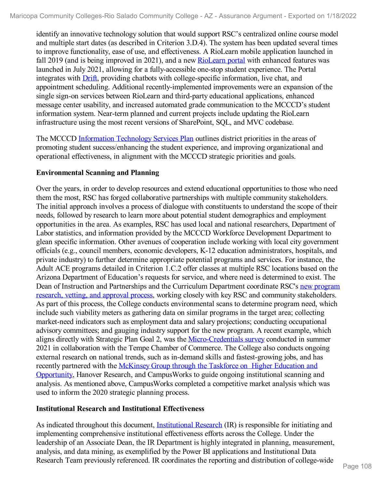identify an innovative technology solution that would support RSC's centralized online course model and multiple start dates (as described in Criterion 3.D.4). The system has been updated several times to improve functionality, ease of use, and effectiveness. A RioLearn mobile application launched in fall 2019 (and is being improved in 2021), and a new [RioLearn](file:///D:/evidence/viewfile?fileId=1352975) portal with enhanced features was launched in July 2021, allowing for a fully-accessible one-stop student experience. The Portal integrates with [Drift](file:///D:/evidence/viewfile?fileId=1352965), providing chatbots with college-specific information, live chat, and appointment scheduling. Additional recently-implemented improvements were an expansion of the single sign-on services between RioLearn and third-party educational applications, enhanced message center usability, and increased automated grade communication to the MCCCD's student information system. Near-term planned and current projects include updating the RioLearn infrastructure using the most recent versions of SharePoint, SQL, and MVC codebase.

The MCCCD [Information](file:///D:/evidence/viewfile?fileId=1352941) Technology Services Plan outlines district priorities in the areas of promoting student success/enhancing the student experience, and improving organizational and operational effectiveness, in alignment with the MCCCD strategic priorities and goals.

# **Environmental Scanning and Planning**

Over the years, in order to develop resources and extend educational opportunities to those who need them the most, RSC has forged collaborative partnerships with multiple community stakeholders. The initial approach involves a process of dialogue with constituents to understand the scope of their needs, followed by research to learn more about potential student demographics and employment opportunities in the area. As examples, RSC has used local and national researchers, Department of Labor statistics, and information provided by the MCCCD Workforce Development Department to glean specific information. Other avenues of cooperation include working with local city government officials (e.g., council members, economic developers, K-12 education administrators, hospitals, and private industry) to further determine appropriate potential programs and services. For instance, the Adult ACE programs detailed in Criterion 1.C.2 offer classes at multiple RSC locations based on the Arizona Department of Education's requests for service, and where need is determined to exist. The Dean of Instruction and [Partnerships](file:///D:/evidence/viewfile?fileId=1352968) and the Curriculum Department coordinate RSC's new program research, vetting, and approval process, working closely with key RSC and community stakeholders. As part of this process, the College conducts environmental scans to determine program need, which include such viability meters as gathering data on similar programs in the target area; collecting market-need indicators such as employment data and salary projections; conducting occupational advisory committees; and gauging industry support for the new program. A recent example, which aligns directly with Strategic Plan Goal 2, was the [Micro-Credentials](file:///D:/evidence/viewfile?fileId=1352940) survey conducted in summer 2021 in collaboration with the Tempe Chamber of Commerce. The College also conducts ongoing external research on national trends, such as in-demand skills and fastest-growing jobs, and has recently partnered with the McKinsey Group through the Taskforce on Higher Education and Opportunity, Hanover Research, and [CampusWorks](file:///D:/evidence/viewfile?fileId=1352944) to guide ongoing institutional scanning and analysis. As mentioned above, CampusWorks completed a competitive market analysis which was used to inform the 2020 strategic planning process.

# **Institutional Research and Institutional Effectiveness**

As indicated throughout this document, **[Institutional](file:///D:/evidence/viewfile?fileId=1352949) Research** (IR) is responsible for initiating and implementing comprehensive institutional effectiveness efforts across the College. Under the leadership of an Associate Dean, the IR Department is highly integrated in planning, measurement, analysis, and data mining, as exemplified by the Power BI applications and Institutional Data Research Team previously referenced. IR coordinates the reporting and distribution of college-wide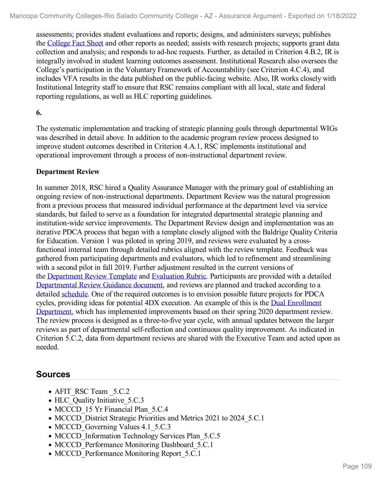assessments; provides student evaluations and reports; designs, and administers surveys; publishes the [College](file:///D:/evidence/viewfile?fileId=1352954) Fact Sheet and other reports as needed; assists with research projects; supports grant data collection and analysis; and responds to ad-hoc requests. Further, as detailed in Criterion 4.B.2, IR is integrally involved in student learning outcomes assessment. Institutional Research also oversees the College's participation in the Voluntary Framework of Accountability (see Criterion 4.C.4), and includes VFA results in the data published on the public-facing website. Also, IR works closely with Institutional Integrity staff to ensure that RSC remains compliant with all local, state and federal reporting regulations, as well as HLC reporting guidelines.

## **6.**

The systematic implementation and tracking of strategic planning goals through departmental WIGs was described in detail above. In addition to the academic program review process designed to improve student outcomes described in Criterion 4.A.1, RSC implements institutional and operational improvement through a process of non-instructional department review.

## **Department Review**

In summer 2018, RSC hired a Quality Assurance Manager with the primary goal of establishing an ongoing review ofnon-instructional departments. Department Review was the natural progression from a previous process that measured individual performance at the department level via service standards, but failed to serve as a foundation for integrated departmental strategic planning and institution-wide service improvements. The Department Review design and implementation was an iterative PDCA process that began with a template closely aligned with the Baldrige Quality Criteria for Education. Version 1 was piloted in spring 2019, and reviews were evaluated by a crossfunctional internal team through detailed rubrics aligned with the review template. Feedback was gathered from participating departments and evaluators, which led to refinement and streamlining with a second pilot in fall 2019. Further adjustment resulted in the current versions of the [Department](file:///D:/evidence/viewfile?fileId=1352938) Review Template and [Evaluation](file:///D:/evidence/viewfile?fileId=1352959) Rubric. Participants are provided with a detailed [Departmental](file:///D:/evidence/viewfile?fileId=1352947) Review Guidance document, and reviews are planned and tracked according to a detailed [schedule](file:///D:/evidence/viewfile?fileid=1352936). One of the required outcomes is to envision possible future projects for PDCA cycles, providing ideas for potential 4DX execution. An example of this is the Dual Enrollment Department, which has implemented [improvements](file:///D:/evidence/viewfile?fileId=1352945) based on their spring 2020 department review. The review process is designed as a three-to-five year cycle, with annual updates between the larger reviews as part of departmental self-reflection and continuous quality improvement. As indicated in Criterion 5.C.2, data from department reviews are shared with the Executive Team and acted upon as needed.

# **Sources**

- AFIT\_RSC Team \_5.C.2
- HLC Quality Initiative 5.C.3
- MCCCD 15 Yr Financial Plan 5.C.4
- MCCCD District Strategic Priorities and Metrics 2021 to 2024 5.C.1
- MCCCD Governing Values 4.1 5.C.3
- MCCCD Information Technology Services Plan 5.C.5
- MCCCD Performance Monitoring Dashboard 5.C.1
- MCCCD Performance Monitoring Report 5.C.1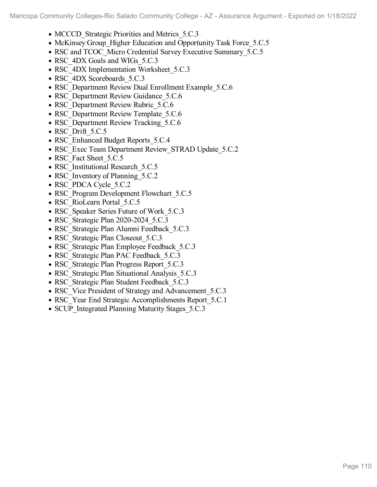- MCCCD Strategic Priorities and Metrics 5.C.3
- McKinsey Group Higher Education and Opportunity Task Force 5.C.5
- RSC and TCOC Micro Credential Survey Executive Summary 5.C.5
- RSC 4DX Goals and WIGs 5.C.3
- RSC 4DX Implementation Worksheet 5.C.3
- RSC\_4DX Scoreboards\_5.C.3
- RSC Department Review Dual Enrollment Example 5.C.6
- RSC Department Review Guidance 5.C.6
- RSC Department Review Rubric 5.C.6
- RSC Department Review Template 5.C.6
- RSC Department Review Tracking 5.C.6
- RSC Drift 5.C.5
- RSC Enhanced Budget Reports 5.C.4
- RSC\_Exec Team Department Review\_STRAD Update\_5.C.2
- RSC Fact Sheet 5.C.5
- RSC Institutional Research 5.C.5
- RSC Inventory of Planning 5.C.2
- RSC\_PDCA Cycle\_5.C.2
- RSC Program Development Flowchart 5.C.5
- RSC\_RioLearn Portal\_5.C.5
- RSC Speaker Series Future of Work 5.C.3
- RSC Strategic Plan 2020-2024 5.C.3
- RSC Strategic Plan Alumni Feedback 5.C.3
- RSC Strategic Plan Closeout 5.C.3
- RSC Strategic Plan Employee Feedback 5.C.3
- RSC Strategic Plan PAC Feedback 5.C.3
- RSC Strategic Plan Progress Report 5.C.3
- RSC Strategic Plan Situational Analysis 5.C.3
- RSC Strategic Plan Student Feedback 5.C.3
- RSC Vice President of Strategy and Advancement 5.C.3
- RSC Year End Strategic Accomplishments Report 5.C.1
- SCUP Integrated Planning Maturity Stages 5.C.3